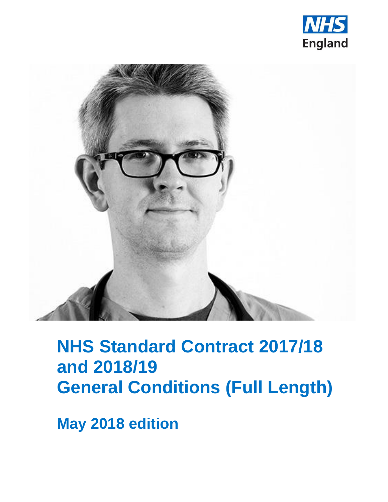



## **NHS Standard Contract 2017/18 and 2018/19 General Conditions (Full Length)**

**May 2018 edition**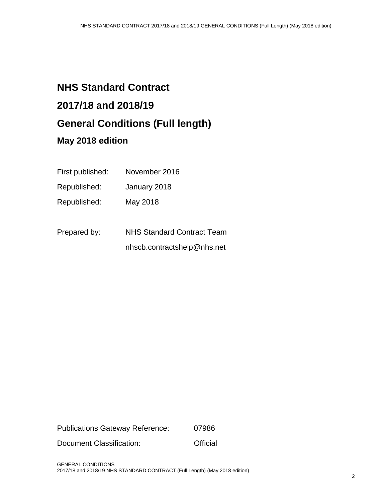### **NHS Standard Contract 2017/18 and 2018/19 General Conditions (Full length) May 2018 edition**

# First published: November 2016

| .            | .                                 |
|--------------|-----------------------------------|
| Republished: | January 2018                      |
| Republished: | May 2018                          |
| Prepared by: | <b>NHS Standard Contract Team</b> |

nhscb.contractshelp@nhs.net

Publications Gateway Reference: 07986

Document Classification: **Official**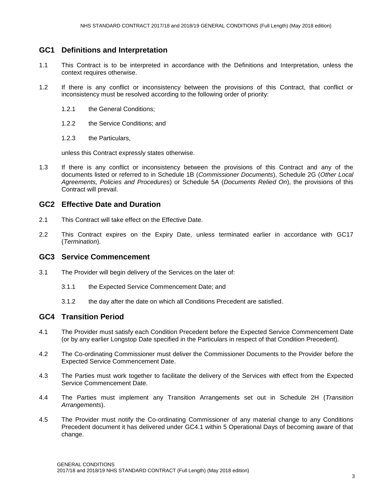#### **GC1 Definitions and Interpretation**

- 1.1 This Contract is to be interpreted in accordance with the Definitions and Interpretation, unless the context requires otherwise.
- 1.2 If there is any conflict or inconsistency between the provisions of this Contract, that conflict or inconsistency must be resolved according to the following order of priority:
	- 1.2.1 the General Conditions;
	- 1.2.2 the Service Conditions; and
	- 1.2.3 the Particulars,

unless this Contract expressly states otherwise.

1.3 If there is any conflict or inconsistency between the provisions of this Contract and any of the documents listed or referred to in Schedule 1B (*Commissioner Documents*), Schedule 2G (*Other Local Agreements, Policies and Procedures*) or Schedule 5A (*Documents Relied On*), the provisions of this Contract will prevail.

#### **GC2 Effective Date and Duration**

- 2.1 This Contract will take effect on the Effective Date.
- 2.2 This Contract expires on the Expiry Date, unless terminated earlier in accordance with GC17 (*Termination*).

#### **GC3 Service Commencement**

- 3.1 The Provider will begin delivery of the Services on the later of:
	- 3.1.1 the Expected Service Commencement Date; and
	- 3.1.2 the day after the date on which all Conditions Precedent are satisfied.

#### **GC4 Transition Period**

- 4.1 The Provider must satisfy each Condition Precedent before the Expected Service Commencement Date (or by any earlier Longstop Date specified in the Particulars in respect of that Condition Precedent).
- 4.2 The Co-ordinating Commissioner must deliver the Commissioner Documents to the Provider before the Expected Service Commencement Date.
- 4.3 The Parties must work together to facilitate the delivery of the Services with effect from the Expected Service Commencement Date.
- 4.4 The Parties must implement any Transition Arrangements set out in Schedule 2H (*Transition Arrangements*).
- 4.5 The Provider must notify the Co-ordinating Commissioner of any material change to any Conditions Precedent document it has delivered under GC4.1 within 5 Operational Days of becoming aware of that change.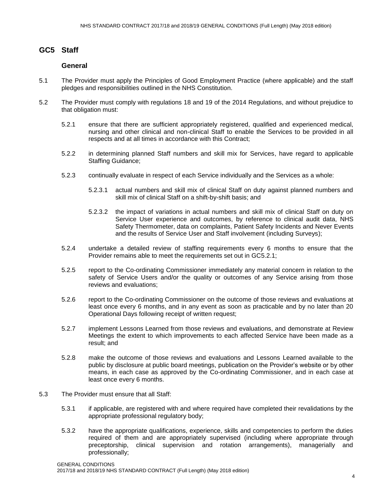#### **GC5 Staff**

#### **General**

- 5.1 The Provider must apply the Principles of Good Employment Practice (where applicable) and the staff pledges and responsibilities outlined in the NHS Constitution.
- 5.2 The Provider must comply with regulations 18 and 19 of the 2014 Regulations, and without prejudice to that obligation must:
	- 5.2.1 ensure that there are sufficient appropriately registered, qualified and experienced medical, nursing and other clinical and non-clinical Staff to enable the Services to be provided in all respects and at all times in accordance with this Contract;
	- 5.2.2 in determining planned Staff numbers and skill mix for Services, have regard to applicable Staffing Guidance;
	- 5.2.3 continually evaluate in respect of each Service individually and the Services as a whole:
		- 5.2.3.1 actual numbers and skill mix of clinical Staff on duty against planned numbers and skill mix of clinical Staff on a shift-by-shift basis; and
		- 5.2.3.2 the impact of variations in actual numbers and skill mix of clinical Staff on duty on Service User experience and outcomes, by reference to clinical audit data, NHS Safety Thermometer, data on complaints, Patient Safety Incidents and Never Events and the results of Service User and Staff involvement (including Surveys);
	- 5.2.4 undertake a detailed review of staffing requirements every 6 months to ensure that the Provider remains able to meet the requirements set out in GC5.2.1;
	- 5.2.5 report to the Co-ordinating Commissioner immediately any material concern in relation to the safety of Service Users and/or the quality or outcomes of any Service arising from those reviews and evaluations;
	- 5.2.6 report to the Co-ordinating Commissioner on the outcome of those reviews and evaluations at least once every 6 months, and in any event as soon as practicable and by no later than 20 Operational Days following receipt of written request;
	- 5.2.7 implement Lessons Learned from those reviews and evaluations, and demonstrate at Review Meetings the extent to which improvements to each affected Service have been made as a result; and
	- 5.2.8 make the outcome of those reviews and evaluations and Lessons Learned available to the public by disclosure at public board meetings, publication on the Provider's website or by other means, in each case as approved by the Co-ordinating Commissioner, and in each case at least once every 6 months.
- 5.3 The Provider must ensure that all Staff:
	- 5.3.1 if applicable, are registered with and where required have completed their revalidations by the appropriate professional regulatory body;
	- 5.3.2 have the appropriate qualifications, experience, skills and competencies to perform the duties required of them and are appropriately supervised (including where appropriate through preceptorship, clinical supervision and rotation arrangements), managerially and professionally;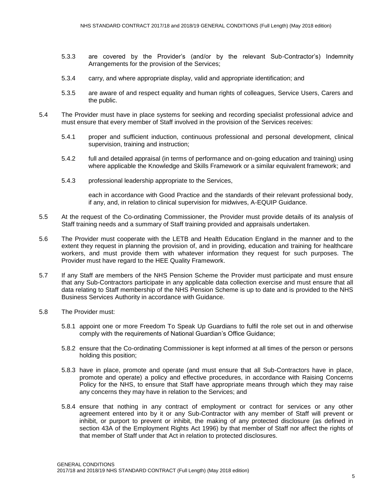- 5.3.3 are covered by the Provider's (and/or by the relevant Sub-Contractor's) Indemnity Arrangements for the provision of the Services;
- 5.3.4 carry, and where appropriate display, valid and appropriate identification; and
- 5.3.5 are aware of and respect equality and human rights of colleagues, Service Users, Carers and the public.
- 5.4 The Provider must have in place systems for seeking and recording specialist professional advice and must ensure that every member of Staff involved in the provision of the Services receives:
	- 5.4.1 proper and sufficient induction, continuous professional and personal development, clinical supervision, training and instruction;
	- 5.4.2 full and detailed appraisal (in terms of performance and on-going education and training) using where applicable the Knowledge and Skills Framework or a similar equivalent framework; and
	- 5.4.3 professional leadership appropriate to the Services,

each in accordance with Good Practice and the standards of their relevant professional body, if any, and, in relation to clinical supervision for midwives, A-EQUIP Guidance.

- 5.5 At the request of the Co-ordinating Commissioner, the Provider must provide details of its analysis of Staff training needs and a summary of Staff training provided and appraisals undertaken.
- 5.6 The Provider must cooperate with the LETB and Health Education England in the manner and to the extent they request in planning the provision of, and in providing, education and training for healthcare workers, and must provide them with whatever information they request for such purposes. The Provider must have regard to the HEE Quality Framework.
- 5.7 If any Staff are members of the NHS Pension Scheme the Provider must participate and must ensure that any Sub-Contractors participate in any applicable data collection exercise and must ensure that all data relating to Staff membership of the NHS Pension Scheme is up to date and is provided to the NHS Business Services Authority in accordance with Guidance.
- 5.8 The Provider must:
	- 5.8.1 appoint one or more Freedom To Speak Up Guardians to fulfil the role set out in and otherwise comply with the requirements of National Guardian's Office Guidance;
	- 5.8.2 ensure that the Co-ordinating Commissioner is kept informed at all times of the person or persons holding this position;
	- 5.8.3 have in place, promote and operate (and must ensure that all Sub-Contractors have in place, promote and operate) a policy and effective procedures, in accordance with Raising Concerns Policy for the NHS, to ensure that Staff have appropriate means through which they may raise any concerns they may have in relation to the Services; and
	- 5.8.4 ensure that nothing in any contract of employment or contract for services or any other agreement entered into by it or any Sub-Contractor with any member of Staff will prevent or inhibit, or purport to prevent or inhibit, the making of any protected disclosure (as defined in section 43A of the Employment Rights Act 1996) by that member of Staff nor affect the rights of that member of Staff under that Act in relation to protected disclosures.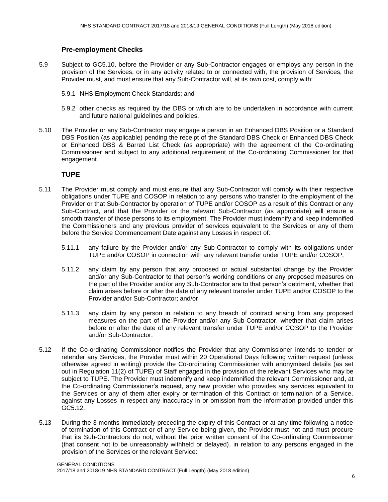#### **Pre-employment Checks**

- 5.9 Subject to GC5.10, before the Provider or any Sub-Contractor engages or employs any person in the provision of the Services, or in any activity related to or connected with, the provision of Services, the Provider must, and must ensure that any Sub-Contractor will, at its own cost, comply with:
	- 5.9.1 NHS Employment Check Standards; and
	- 5.9.2 other checks as required by the DBS or which are to be undertaken in accordance with current and future national guidelines and policies.
- 5.10 The Provider or any Sub-Contractor may engage a person in an Enhanced DBS Position or a Standard DBS Position (as applicable) pending the receipt of the Standard DBS Check or Enhanced DBS Check or Enhanced DBS & Barred List Check (as appropriate) with the agreement of the Co-ordinating Commissioner and subject to any additional requirement of the Co-ordinating Commissioner for that engagement.

#### **TUPE**

- 5.11 The Provider must comply and must ensure that any Sub-Contractor will comply with their respective obligations under TUPE and COSOP in relation to any persons who transfer to the employment of the Provider or that Sub-Contractor by operation of TUPE and/or COSOP as a result of this Contract or any Sub-Contract, and that the Provider or the relevant Sub-Contractor (as appropriate) will ensure a smooth transfer of those persons to its employment. The Provider must indemnify and keep indemnified the Commissioners and any previous provider of services equivalent to the Services or any of them before the Service Commencement Date against any Losses in respect of:
	- 5.11.1 any failure by the Provider and/or any Sub-Contractor to comply with its obligations under TUPE and/or COSOP in connection with any relevant transfer under TUPE and/or COSOP;
	- 5.11.2 any claim by any person that any proposed or actual substantial change by the Provider and/or any Sub-Contractor to that person's working conditions or any proposed measures on the part of the Provider and/or any Sub-Contractor are to that person's detriment, whether that claim arises before or after the date of any relevant transfer under TUPE and/or COSOP to the Provider and/or Sub-Contractor; and/or
	- 5.11.3 any claim by any person in relation to any breach of contract arising from any proposed measures on the part of the Provider and/or any Sub-Contractor, whether that claim arises before or after the date of any relevant transfer under TUPE and/or COSOP to the Provider and/or Sub-Contractor.
- 5.12 If the Co-ordinating Commissioner notifies the Provider that any Commissioner intends to tender or retender any Services, the Provider must within 20 Operational Days following written request (unless otherwise agreed in writing) provide the Co-ordinating Commissioner with anonymised details (as set out in Regulation 11(2) of TUPE) of Staff engaged in the provision of the relevant Services who may be subject to TUPE. The Provider must indemnify and keep indemnified the relevant Commissioner and, at the Co-ordinating Commissioner's request, any new provider who provides any services equivalent to the Services or any of them after expiry or termination of this Contract or termination of a Service, against any Losses in respect any inaccuracy in or omission from the information provided under this GC5.12.
- 5.13 During the 3 months immediately preceding the expiry of this Contract or at any time following a notice of termination of this Contract or of any Service being given, the Provider must not and must procure that its Sub-Contractors do not, without the prior written consent of the Co-ordinating Commissioner (that consent not to be unreasonably withheld or delayed), in relation to any persons engaged in the provision of the Services or the relevant Service: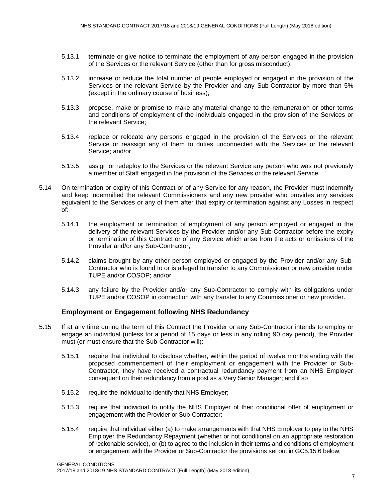- 5.13.1 terminate or give notice to terminate the employment of any person engaged in the provision of the Services or the relevant Service (other than for gross misconduct);
- 5.13.2 increase or reduce the total number of people employed or engaged in the provision of the Services or the relevant Service by the Provider and any Sub-Contractor by more than 5% (except in the ordinary course of business);
- 5.13.3 propose, make or promise to make any material change to the remuneration or other terms and conditions of employment of the individuals engaged in the provision of the Services or the relevant Service;
- 5.13.4 replace or relocate any persons engaged in the provision of the Services or the relevant Service or reassign any of them to duties unconnected with the Services or the relevant Service; and/or
- 5.13.5 assign or redeploy to the Services or the relevant Service any person who was not previously a member of Staff engaged in the provision of the Services or the relevant Service.
- 5.14 On termination or expiry of this Contract or of any Service for any reason, the Provider must indemnify and keep indemnified the relevant Commissioners and any new provider who provides any services equivalent to the Services or any of them after that expiry or termination against any Losses in respect of:
	- 5.14.1 the employment or termination of employment of any person employed or engaged in the delivery of the relevant Services by the Provider and/or any Sub-Contractor before the expiry or termination of this Contract or of any Service which arise from the acts or omissions of the Provider and/or any Sub-Contractor;
	- 5.14.2 claims brought by any other person employed or engaged by the Provider and/or any Sub-Contractor who is found to or is alleged to transfer to any Commissioner or new provider under TUPE and/or COSOP; and/or
	- 5.14.3 any failure by the Provider and/or any Sub-Contractor to comply with its obligations under TUPE and/or COSOP in connection with any transfer to any Commissioner or new provider.

#### **Employment or Engagement following NHS Redundancy**

- 5.15 If at any time during the term of this Contract the Provider or any Sub-Contractor intends to employ or engage an individual (unless for a period of 15 days or less in any rolling 90 day period), the Provider must (or must ensure that the Sub-Contractor will):
	- 5.15.1 require that individual to disclose whether, within the period of twelve months ending with the proposed commencement of their employment or engagement with the Provider or Sub-Contractor, they have received a contractual redundancy payment from an NHS Employer consequent on their redundancy from a post as a Very Senior Manager; and if so
	- 5.15.2 require the individual to identify that NHS Employer;
	- 5.15.3 require that individual to notify the NHS Employer of their conditional offer of employment or engagement with the Provider or Sub-Contractor;
	- 5.15.4 require that individual either (a) to make arrangements with that NHS Employer to pay to the NHS Employer the Redundancy Repayment (whether or not conditional on an appropriate restoration of reckonable service), or (b) to agree to the inclusion in their terms and conditions of employment or engagement with the Provider or Sub-Contractor the provisions set out in GC5.15.6 below;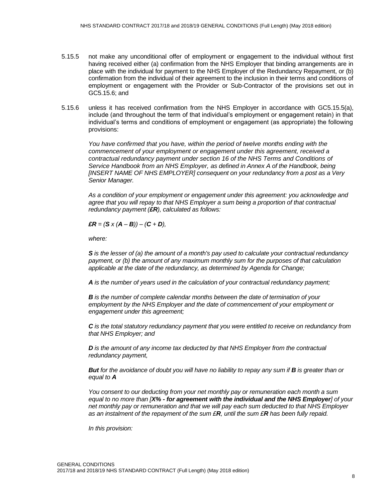- 5.15.5 not make any unconditional offer of employment or engagement to the individual without first having received either (a) confirmation from the NHS Employer that binding arrangements are in place with the individual for payment to the NHS Employer of the Redundancy Repayment, or (b) confirmation from the individual of their agreement to the inclusion in their terms and conditions of employment or engagement with the Provider or Sub-Contractor of the provisions set out in GC5.15.6; and
- 5.15.6 unless it has received confirmation from the NHS Employer in accordance with GC5.15.5(a), include (and throughout the term of that individual's employment or engagement retain) in that individual's terms and conditions of employment or engagement (as appropriate) the following provisions:

*You have confirmed that you have, within the period of twelve months ending with the commencement of your employment or engagement under this agreement, received a contractual redundancy payment under section 16 of the NHS Terms and Conditions of Service Handbook from an NHS Employer, as defined in Annex A of the Handbook, being [INSERT NAME OF NHS EMPLOYER] consequent on your redundancy from a post as a Very Senior Manager.* 

*As a condition of your employment or engagement under this agreement: you acknowledge and agree that you will repay to that NHS Employer a sum being a proportion of that contractual redundancy payment (£R), calculated as follows:*

 $\mathbf{E}R = (\mathbf{S} \times (\mathbf{A} - \mathbf{B})) - (\mathbf{C} + \mathbf{D})$ ,

*where:*

*S is the lesser of (a) the amount of a month's pay used to calculate your contractual redundancy payment, or (b) the amount of any maximum monthly sum for the purposes of that calculation applicable at the date of the redundancy, as determined by Agenda for Change;*

*A is the number of years used in the calculation of your contractual redundancy payment;* 

*B is the number of complete calendar months between the date of termination of your employment by the NHS Employer and the date of commencement of your employment or engagement under this agreement;* 

*C is the total statutory redundancy payment that you were entitled to receive on redundancy from that NHS Employer; and*

*D* is the amount of any income tax deducted by that NHS Employer from the contractual *redundancy payment,*

*But for the avoidance of doubt you will have no liability to repay any sum if <b>B is greater than or equal to A*

*You consent to our deducting from your net monthly pay or remuneration each month a sum equal to no more than [X% - for agreement with the individual and the NHS Employer] of your net monthly pay or remuneration and that we will pay each sum deducted to that NHS Employer as an instalment of the repayment of the sum £R, until the sum £R has been fully repaid.*

*In this provision:*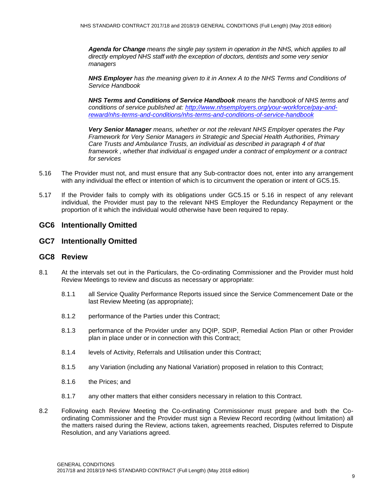*Agenda for Change means the single pay system in operation in the NHS, which applies to all directly employed NHS staff with the exception of doctors, dentists and some very senior managers*

*NHS Employer has the meaning given to it in Annex A to the NHS Terms and Conditions of Service Handbook*

*NHS Terms and Conditions of Service Handbook means the handbook of NHS terms and conditions of service published at: [http://www.nhsemployers.org/your-workforce/pay-and](http://www.nhsemployers.org/your-workforce/pay-and-reward/nhs-terms-and-conditions/nhs-terms-and-conditions-of-service-handbook)[reward/nhs-terms-and-conditions/nhs-terms-and-conditions-of-service-handbook](http://www.nhsemployers.org/your-workforce/pay-and-reward/nhs-terms-and-conditions/nhs-terms-and-conditions-of-service-handbook)*

*Very Senior Manager means, whether or not the relevant NHS Employer operates the Pay Framework for Very Senior Managers in Strategic and Special Health Authorities, Primary Care Trusts and Ambulance Trusts, an individual as described in paragraph 4 of that framework , whether that individual is engaged under a contract of employment or a contract for services*

- 5.16 The Provider must not, and must ensure that any Sub-contractor does not, enter into any arrangement with any individual the effect or intention of which is to circumvent the operation or intent of GC5.15.
- 5.17 If the Provider fails to comply with its obligations under GC5.15 or 5.16 in respect of any relevant individual, the Provider must pay to the relevant NHS Employer the Redundancy Repayment or the proportion of it which the individual would otherwise have been required to repay.

#### **GC6 Intentionally Omitted**

#### **GC7 Intentionally Omitted**

#### **GC8 Review**

- 8.1 At the intervals set out in the Particulars, the Co-ordinating Commissioner and the Provider must hold Review Meetings to review and discuss as necessary or appropriate:
	- 8.1.1 all Service Quality Performance Reports issued since the Service Commencement Date or the last Review Meeting (as appropriate);
	- 8.1.2 performance of the Parties under this Contract;
	- 8.1.3 performance of the Provider under any DQIP, SDIP, Remedial Action Plan or other Provider plan in place under or in connection with this Contract;
	- 8.1.4 levels of Activity, Referrals and Utilisation under this Contract;
	- 8.1.5 any Variation (including any National Variation) proposed in relation to this Contract;
	- 8.1.6 the Prices; and
	- 8.1.7 any other matters that either considers necessary in relation to this Contract.
- 8.2 Following each Review Meeting the Co-ordinating Commissioner must prepare and both the Coordinating Commissioner and the Provider must sign a Review Record recording (without limitation) all the matters raised during the Review, actions taken, agreements reached, Disputes referred to Dispute Resolution, and any Variations agreed.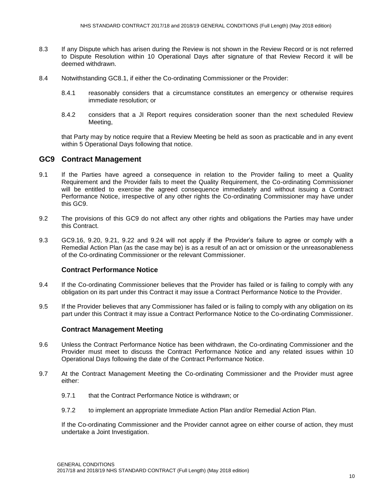- 8.3 If any Dispute which has arisen during the Review is not shown in the Review Record or is not referred to Dispute Resolution within 10 Operational Days after signature of that Review Record it will be deemed withdrawn.
- 8.4 Notwithstanding GC8.1, if either the Co-ordinating Commissioner or the Provider:
	- 8.4.1 reasonably considers that a circumstance constitutes an emergency or otherwise requires immediate resolution; or
	- 8.4.2 considers that a JI Report requires consideration sooner than the next scheduled Review Meeting,

that Party may by notice require that a Review Meeting be held as soon as practicable and in any event within 5 Operational Days following that notice.

#### **GC9 Contract Management**

- 9.1 If the Parties have agreed a consequence in relation to the Provider failing to meet a Quality Requirement and the Provider fails to meet the Quality Requirement, the Co-ordinating Commissioner will be entitled to exercise the agreed consequence immediately and without issuing a Contract Performance Notice, irrespective of any other rights the Co-ordinating Commissioner may have under this GC9.
- 9.2 The provisions of this GC9 do not affect any other rights and obligations the Parties may have under this Contract.
- 9.3 GC9.16, 9.20, 9.21, 9.22 and 9.24 will not apply if the Provider's failure to agree or comply with a Remedial Action Plan (as the case may be) is as a result of an act or omission or the unreasonableness of the Co-ordinating Commissioner or the relevant Commissioner.

#### **Contract Performance Notice**

- 9.4 If the Co-ordinating Commissioner believes that the Provider has failed or is failing to comply with any obligation on its part under this Contract it may issue a Contract Performance Notice to the Provider.
- 9.5 If the Provider believes that any Commissioner has failed or is failing to comply with any obligation on its part under this Contract it may issue a Contract Performance Notice to the Co-ordinating Commissioner.

#### **Contract Management Meeting**

- 9.6 Unless the Contract Performance Notice has been withdrawn, the Co-ordinating Commissioner and the Provider must meet to discuss the Contract Performance Notice and any related issues within 10 Operational Days following the date of the Contract Performance Notice.
- 9.7 At the Contract Management Meeting the Co-ordinating Commissioner and the Provider must agree either:
	- 9.7.1 that the Contract Performance Notice is withdrawn; or
	- 9.7.2 to implement an appropriate Immediate Action Plan and/or Remedial Action Plan.

If the Co-ordinating Commissioner and the Provider cannot agree on either course of action, they must undertake a Joint Investigation.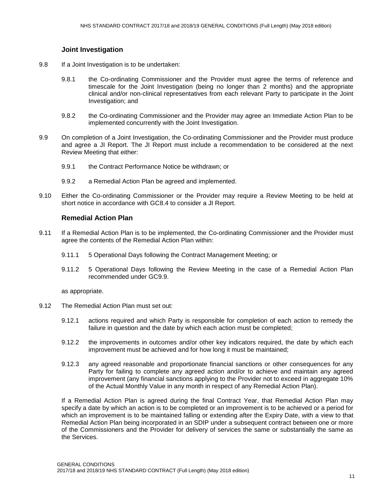#### **Joint Investigation**

- 9.8 If a Joint Investigation is to be undertaken:
	- 9.8.1 the Co-ordinating Commissioner and the Provider must agree the terms of reference and timescale for the Joint Investigation (being no longer than 2 months) and the appropriate clinical and/or non-clinical representatives from each relevant Party to participate in the Joint Investigation; and
	- 9.8.2 the Co-ordinating Commissioner and the Provider may agree an Immediate Action Plan to be implemented concurrently with the Joint Investigation.
- 9.9 On completion of a Joint Investigation, the Co-ordinating Commissioner and the Provider must produce and agree a JI Report. The JI Report must include a recommendation to be considered at the next Review Meeting that either:
	- 9.9.1 the Contract Performance Notice be withdrawn: or
	- 9.9.2 a Remedial Action Plan be agreed and implemented.
- 9.10 Either the Co-ordinating Commissioner or the Provider may require a Review Meeting to be held at short notice in accordance with GC8.4 to consider a JI Report.

#### **Remedial Action Plan**

- 9.11 If a Remedial Action Plan is to be implemented, the Co-ordinating Commissioner and the Provider must agree the contents of the Remedial Action Plan within:
	- 9.11.1 5 Operational Days following the Contract Management Meeting; or
	- 9.11.2 5 Operational Days following the Review Meeting in the case of a Remedial Action Plan recommended under GC9.9.

as appropriate.

- 9.12 The Remedial Action Plan must set out:
	- 9.12.1 actions required and which Party is responsible for completion of each action to remedy the failure in question and the date by which each action must be completed;
	- 9.12.2 the improvements in outcomes and/or other key indicators required, the date by which each improvement must be achieved and for how long it must be maintained;
	- 9.12.3 any agreed reasonable and proportionate financial sanctions or other consequences for any Party for failing to complete any agreed action and/or to achieve and maintain any agreed improvement (any financial sanctions applying to the Provider not to exceed in aggregate 10% of the Actual Monthly Value in any month in respect of any Remedial Action Plan).

If a Remedial Action Plan is agreed during the final Contract Year, that Remedial Action Plan may specify a date by which an action is to be completed or an improvement is to be achieved or a period for which an improvement is to be maintained falling or extending after the Expiry Date, with a view to that Remedial Action Plan being incorporated in an SDIP under a subsequent contract between one or more of the Commissioners and the Provider for delivery of services the same or substantially the same as the Services.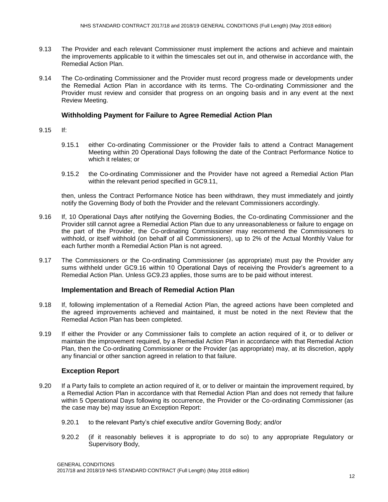- 9.13 The Provider and each relevant Commissioner must implement the actions and achieve and maintain the improvements applicable to it within the timescales set out in, and otherwise in accordance with, the Remedial Action Plan.
- 9.14 The Co-ordinating Commissioner and the Provider must record progress made or developments under the Remedial Action Plan in accordance with its terms. The Co-ordinating Commissioner and the Provider must review and consider that progress on an ongoing basis and in any event at the next Review Meeting.

#### **Withholding Payment for Failure to Agree Remedial Action Plan**

- 9.15 If:
	- 9.15.1 either Co-ordinating Commissioner or the Provider fails to attend a Contract Management Meeting within 20 Operational Days following the date of the Contract Performance Notice to which it relates; or
	- 9.15.2 the Co-ordinating Commissioner and the Provider have not agreed a Remedial Action Plan within the relevant period specified in GC9.11,

then, unless the Contract Performance Notice has been withdrawn, they must immediately and jointly notify the Governing Body of both the Provider and the relevant Commissioners accordingly.

- 9.16 If, 10 Operational Days after notifying the Governing Bodies, the Co-ordinating Commissioner and the Provider still cannot agree a Remedial Action Plan due to any unreasonableness or failure to engage on the part of the Provider, the Co-ordinating Commissioner may recommend the Commissioners to withhold, or itself withhold (on behalf of all Commissioners), up to 2% of the Actual Monthly Value for each further month a Remedial Action Plan is not agreed.
- 9.17 The Commissioners or the Co-ordinating Commissioner (as appropriate) must pay the Provider any sums withheld under GC9.16 within 10 Operational Days of receiving the Provider's agreement to a Remedial Action Plan. Unless GC9.23 applies, those sums are to be paid without interest.

#### **Implementation and Breach of Remedial Action Plan**

- 9.18 If, following implementation of a Remedial Action Plan, the agreed actions have been completed and the agreed improvements achieved and maintained, it must be noted in the next Review that the Remedial Action Plan has been completed.
- 9.19 If either the Provider or any Commissioner fails to complete an action required of it, or to deliver or maintain the improvement required, by a Remedial Action Plan in accordance with that Remedial Action Plan, then the Co-ordinating Commissioner or the Provider (as appropriate) may, at its discretion, apply any financial or other sanction agreed in relation to that failure.

#### **Exception Report**

- 9.20 If a Party fails to complete an action required of it, or to deliver or maintain the improvement required, by a Remedial Action Plan in accordance with that Remedial Action Plan and does not remedy that failure within 5 Operational Days following its occurrence, the Provider or the Co-ordinating Commissioner (as the case may be) may issue an Exception Report:
	- 9.20.1 to the relevant Party's chief executive and/or Governing Body; and/or
	- 9.20.2 (if it reasonably believes it is appropriate to do so) to any appropriate Regulatory or Supervisory Body,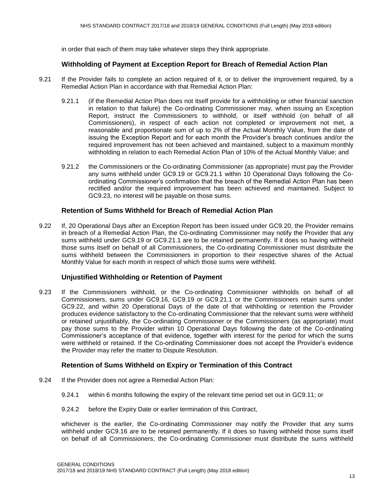in order that each of them may take whatever steps they think appropriate.

#### **Withholding of Payment at Exception Report for Breach of Remedial Action Plan**

- 9.21 If the Provider fails to complete an action required of it, or to deliver the improvement required, by a Remedial Action Plan in accordance with that Remedial Action Plan:
	- 9.21.1 (if the Remedial Action Plan does not itself provide for a withholding or other financial sanction in relation to that failure) the Co-ordinating Commissioner may, when issuing an Exception Report, instruct the Commissioners to withhold, or itself withhold (on behalf of all Commissioners), in respect of each action not completed or improvement not met, a reasonable and proportionate sum of up to 2% of the Actual Monthly Value, from the date of issuing the Exception Report and for each month the Provider's breach continues and/or the required improvement has not been achieved and maintained, subject to a maximum monthly withholding in relation to each Remedial Action Plan of 10% of the Actual Monthly Value; and
	- 9.21.2 the Commissioners or the Co-ordinating Commissioner (as appropriate) must pay the Provider any sums withheld under GC9.19 or GC9.21.1 within 10 Operational Days following the Coordinating Commissioner's confirmation that the breach of the Remedial Action Plan has been rectified and/or the required improvement has been achieved and maintained. Subject to GC9.23, no interest will be payable on those sums.

#### **Retention of Sums Withheld for Breach of Remedial Action Plan**

9.22 If, 20 Operational Days after an Exception Report has been issued under GC9.20, the Provider remains in breach of a Remedial Action Plan, the Co-ordinating Commissioner may notify the Provider that any sums withheld under GC9.19 or GC9.21.1 are to be retained permanently. If it does so having withheld those sums itself on behalf of all Commissioners, the Co-ordinating Commissioner must distribute the sums withheld between the Commissioners in proportion to their respective shares of the Actual Monthly Value for each month in respect of which those sums were withheld.

#### **Unjustified Withholding or Retention of Payment**

9.23 If the Commissioners withhold, or the Co-ordinating Commissioner withholds on behalf of all Commissioners, sums under GC9.16, GC9.19 or GC9.21.1 or the Commissioners retain sums under GC9.22, and within 20 Operational Days of the date of that withholding or retention the Provider produces evidence satisfactory to the Co-ordinating Commissioner that the relevant sums were withheld or retained unjustifiably, the Co-ordinating Commissioner or the Commissioners (as appropriate) must pay those sums to the Provider within 10 Operational Days following the date of the Co-ordinating Commissioner's acceptance of that evidence, together with interest for the period for which the sums were withheld or retained. If the Co-ordinating Commissioner does not accept the Provider's evidence the Provider may refer the matter to Dispute Resolution.

#### **Retention of Sums Withheld on Expiry or Termination of this Contract**

- 9.24 If the Provider does not agree a Remedial Action Plan:
	- 9.24.1 within 6 months following the expiry of the relevant time period set out in GC9.11; or
	- 9.24.2 before the Expiry Date or earlier termination of this Contract,

whichever is the earlier, the Co-ordinating Commissioner may notify the Provider that any sums withheld under GC9.16 are to be retained permanently. If it does so having withheld those sums itself on behalf of all Commissioners, the Co-ordinating Commissioner must distribute the sums withheld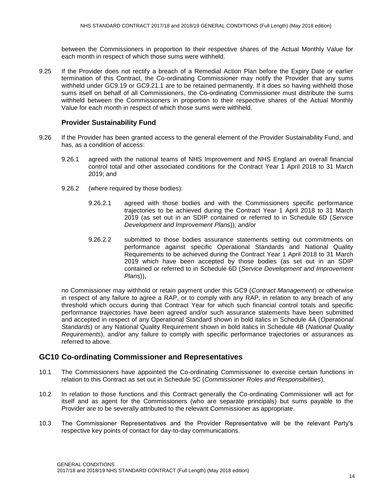between the Commissioners in proportion to their respective shares of the Actual Monthly Value for each month in respect of which those sums were withheld.

9.25 If the Provider does not rectify a breach of a Remedial Action Plan before the Expiry Date or earlier termination of this Contract, the Co-ordinating Commissioner may notify the Provider that any sums withheld under GC9.19 or GC9.21.1 are to be retained permanently. If it does so having withheld those sums itself on behalf of all Commissioners, the Co-ordinating Commissioner must distribute the sums withheld between the Commissioners in proportion to their respective shares of the Actual Monthly Value for each month in respect of which those sums were withheld.

#### **Provider Sustainability Fund**

- 9.26 If the Provider has been granted access to the general element of the Provider Sustainability Fund, and has, as a condition of access:
	- 9.26.1 agreed with the national teams of NHS Improvement and NHS England an overall financial control total and other associated conditions for the Contract Year 1 April 2018 to 31 March 2019; and
	- 9.26.2 (where required by those bodies):
		- 9.26.2.1 agreed with those bodies and with the Commissioners specific performance trajectories to be achieved during the Contract Year 1 April 2018 to 31 March 2019 (as set out in an SDIP contained or referred to in Schedule 6D (*Service Development and Improvement Plans*)); and/or
		- 9.26.2.2 submitted to those bodies assurance statements setting out commitments on performance against specific Operational Standards and National Quality Requirements to be achieved during the Contract Year 1 April 2018 to 31 March 2019 which have been accepted by those bodies (as set out in an SDIP contained or referred to in Schedule 6D (*Service Development and Improvement Plans*)),

no Commissioner may withhold or retain payment under this GC9 (*Contract Management*) or otherwise in respect of any failure to agree a RAP, or to comply with any RAP, in relation to any breach of any threshold which occurs during that Contract Year for which such financial control totals and specific performance trajectories have been agreed and/or such assurance statements have been submitted and accepted in respect of any Operational Standard shown in bold italics in Schedule 4A (*Operational Standards*) or any National Quality Requirement shown in bold italics in Schedule 4B (*National Quality Requirements*), and/or any failure to comply with specific performance trajectories or assurances as referred to above.

#### **GC10 Co-ordinating Commissioner and Representatives**

- 10.1 The Commissioners have appointed the Co-ordinating Commissioner to exercise certain functions in relation to this Contract as set out in Schedule 5C (*Commissioner Roles and Responsibilities*).
- 10.2 In relation to those functions and this Contract generally the Co-ordinating Commissioner will act for itself and as agent for the Commissioners (who are separate principals) but sums payable to the Provider are to be severally attributed to the relevant Commissioner as appropriate.
- 10.3 The Commissioner Representatives and the Provider Representative will be the relevant Party's respective key points of contact for day-to-day communications.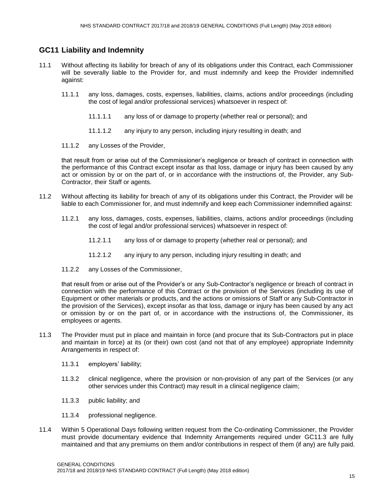#### **GC11 Liability and Indemnity**

- 11.1 Without affecting its liability for breach of any of its obligations under this Contract, each Commissioner will be severally liable to the Provider for, and must indemnify and keep the Provider indemnified against:
	- 11.1.1 any loss, damages, costs, expenses, liabilities, claims, actions and/or proceedings (including the cost of legal and/or professional services) whatsoever in respect of:
		- 11.1.1.1 any loss of or damage to property (whether real or personal); and
		- 11.1.1.2 any injury to any person, including injury resulting in death; and
	- 11.1.2 any Losses of the Provider,

that result from or arise out of the Commissioner's negligence or breach of contract in connection with the performance of this Contract except insofar as that loss, damage or injury has been caused by any act or omission by or on the part of, or in accordance with the instructions of, the Provider, any Sub-Contractor, their Staff or agents.

- 11.2 Without affecting its liability for breach of any of its obligations under this Contract, the Provider will be liable to each Commissioner for, and must indemnify and keep each Commissioner indemnified against:
	- 11.2.1 any loss, damages, costs, expenses, liabilities, claims, actions and/or proceedings (including the cost of legal and/or professional services) whatsoever in respect of:
		- 11.2.1.1 any loss of or damage to property (whether real or personal); and
		- 11.2.1.2 any injury to any person, including injury resulting in death; and
	- 11.2.2 any Losses of the Commissioner.

that result from or arise out of the Provider's or any Sub-Contractor's negligence or breach of contract in connection with the performance of this Contract or the provision of the Services (including its use of Equipment or other materials or products, and the actions or omissions of Staff or any Sub-Contractor in the provision of the Services), except insofar as that loss, damage or injury has been caused by any act or omission by or on the part of, or in accordance with the instructions of, the Commissioner, its employees or agents.

- 11.3 The Provider must put in place and maintain in force (and procure that its Sub-Contractors put in place and maintain in force) at its (or their) own cost (and not that of any employee) appropriate Indemnity Arrangements in respect of:
	- 11.3.1 employers' liability;
	- 11.3.2 clinical negligence, where the provision or non-provision of any part of the Services (or any other services under this Contract) may result in a clinical negligence claim;
	- 11.3.3 public liability; and
	- 11.3.4 professional negligence.
- 11.4 Within 5 Operational Days following written request from the Co-ordinating Commissioner, the Provider must provide documentary evidence that Indemnity Arrangements required under GC11.3 are fully maintained and that any premiums on them and/or contributions in respect of them (if any) are fully paid.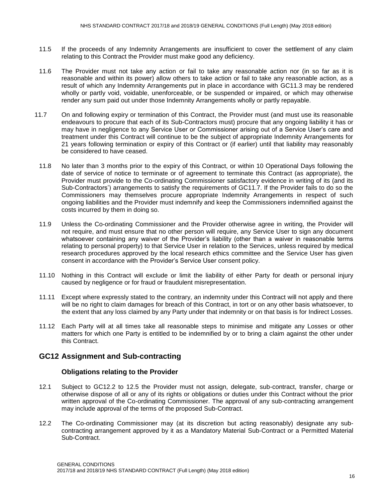- 11.5 If the proceeds of any Indemnity Arrangements are insufficient to cover the settlement of any claim relating to this Contract the Provider must make good any deficiency.
- 11.6 The Provider must not take any action or fail to take any reasonable action nor (in so far as it is reasonable and within its power) allow others to take action or fail to take any reasonable action, as a result of which any Indemnity Arrangements put in place in accordance with GC11.3 may be rendered wholly or partly void, voidable, unenforceable, or be suspended or impaired, or which may otherwise render any sum paid out under those Indemnity Arrangements wholly or partly repayable.
- 11.7 On and following expiry or termination of this Contract, the Provider must (and must use its reasonable endeavours to procure that each of its Sub-Contractors must) procure that any ongoing liability it has or may have in negligence to any Service User or Commissioner arising out of a Service User's care and treatment under this Contract will continue to be the subject of appropriate Indemnity Arrangements for 21 years following termination or expiry of this Contract or (if earlier) until that liability may reasonably be considered to have ceased.
- 11.8 No later than 3 months prior to the expiry of this Contract, or within 10 Operational Days following the date of service of notice to terminate or of agreement to terminate this Contract (as appropriate), the Provider must provide to the Co-ordinating Commissioner satisfactory evidence in writing of its (and its Sub-Contractors') arrangements to satisfy the requirements of GC11.7. If the Provider fails to do so the Commissioners may themselves procure appropriate Indemnity Arrangements in respect of such ongoing liabilities and the Provider must indemnify and keep the Commissioners indemnified against the costs incurred by them in doing so.
- 11.9 Unless the Co-ordinating Commissioner and the Provider otherwise agree in writing, the Provider will not require, and must ensure that no other person will require, any Service User to sign any document whatsoever containing any waiver of the Provider's liability (other than a waiver in reasonable terms relating to personal property) to that Service User in relation to the Services, unless required by medical research procedures approved by the local research ethics committee and the Service User has given consent in accordance with the Provider's Service User consent policy.
- 11.10 Nothing in this Contract will exclude or limit the liability of either Party for death or personal injury caused by negligence or for fraud or fraudulent misrepresentation.
- 11.11 Except where expressly stated to the contrary, an indemnity under this Contract will not apply and there will be no right to claim damages for breach of this Contract, in tort or on any other basis whatsoever, to the extent that any loss claimed by any Party under that indemnity or on that basis is for Indirect Losses.
- 11.12 Each Party will at all times take all reasonable steps to minimise and mitigate any Losses or other matters for which one Party is entitled to be indemnified by or to bring a claim against the other under this Contract.

#### **GC12 Assignment and Sub-contracting**

#### **Obligations relating to the Provider**

- 12.1 Subject to GC12.2 to 12.5 the Provider must not assign, delegate, sub-contract, transfer, charge or otherwise dispose of all or any of its rights or obligations or duties under this Contract without the prior written approval of the Co-ordinating Commissioner. The approval of any sub-contracting arrangement may include approval of the terms of the proposed Sub-Contract.
- 12.2 The Co-ordinating Commissioner may (at its discretion but acting reasonably) designate any subcontracting arrangement approved by it as a Mandatory Material Sub-Contract or a Permitted Material Sub-Contract.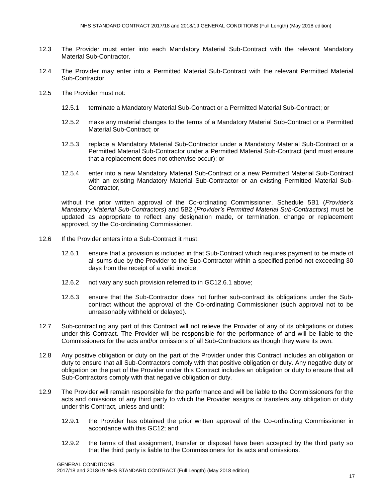- 12.3 The Provider must enter into each Mandatory Material Sub-Contract with the relevant Mandatory Material Sub-Contractor.
- 12.4 The Provider may enter into a Permitted Material Sub-Contract with the relevant Permitted Material Sub-Contractor.
- 12.5 The Provider must not:
	- 12.5.1 terminate a Mandatory Material Sub-Contract or a Permitted Material Sub-Contract; or
	- 12.5.2 make any material changes to the terms of a Mandatory Material Sub-Contract or a Permitted Material Sub-Contract; or
	- 12.5.3 replace a Mandatory Material Sub-Contractor under a Mandatory Material Sub-Contract or a Permitted Material Sub-Contractor under a Permitted Material Sub-Contract (and must ensure that a replacement does not otherwise occur); or
	- 12.5.4 enter into a new Mandatory Material Sub-Contract or a new Permitted Material Sub-Contract with an existing Mandatory Material Sub-Contractor or an existing Permitted Material Sub-Contractor,

without the prior written approval of the Co-ordinating Commissioner. Schedule 5B1 (*Provider's Mandatory Material Sub-Contractors*) and 5B2 (*Provider's Permitted Material Sub-Contractors*) must be updated as appropriate to reflect any designation made, or termination, change or replacement approved, by the Co-ordinating Commissioner.

- 12.6 If the Provider enters into a Sub-Contract it must:
	- 12.6.1 ensure that a provision is included in that Sub-Contract which requires payment to be made of all sums due by the Provider to the Sub-Contractor within a specified period not exceeding 30 days from the receipt of a valid invoice;
	- 12.6.2 not vary any such provision referred to in GC12.6.1 above;
	- 12.6.3 ensure that the Sub-Contractor does not further sub-contract its obligations under the Subcontract without the approval of the Co-ordinating Commissioner (such approval not to be unreasonably withheld or delayed).
- 12.7 Sub-contracting any part of this Contract will not relieve the Provider of any of its obligations or duties under this Contract. The Provider will be responsible for the performance of and will be liable to the Commissioners for the acts and/or omissions of all Sub-Contractors as though they were its own.
- 12.8 Any positive obligation or duty on the part of the Provider under this Contract includes an obligation or duty to ensure that all Sub-Contractors comply with that positive obligation or duty. Any negative duty or obligation on the part of the Provider under this Contract includes an obligation or duty to ensure that all Sub-Contractors comply with that negative obligation or duty.
- 12.9 The Provider will remain responsible for the performance and will be liable to the Commissioners for the acts and omissions of any third party to which the Provider assigns or transfers any obligation or duty under this Contract, unless and until:
	- 12.9.1 the Provider has obtained the prior written approval of the Co-ordinating Commissioner in accordance with this GC12; and
	- 12.9.2 the terms of that assignment, transfer or disposal have been accepted by the third party so that the third party is liable to the Commissioners for its acts and omissions.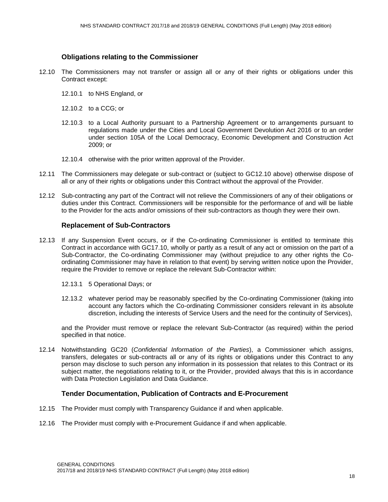#### **Obligations relating to the Commissioner**

- 12.10 The Commissioners may not transfer or assign all or any of their rights or obligations under this Contract except:
	- 12.10.1 to NHS England, or
	- 12.10.2 to a CCG; or
	- 12.10.3 to a Local Authority pursuant to a Partnership Agreement or to arrangements pursuant to regulations made under the Cities and Local Government Devolution Act 2016 or to an order under section 105A of the Local Democracy, Economic Development and Construction Act 2009; or
	- 12.10.4 otherwise with the prior written approval of the Provider.
- 12.11 The Commissioners may delegate or sub-contract or (subject to GC12.10 above) otherwise dispose of all or any of their rights or obligations under this Contract without the approval of the Provider.
- 12.12 Sub-contracting any part of the Contract will not relieve the Commissioners of any of their obligations or duties under this Contract. Commissioners will be responsible for the performance of and will be liable to the Provider for the acts and/or omissions of their sub-contractors as though they were their own.

#### **Replacement of Sub-Contractors**

- 12.13 If any Suspension Event occurs, or if the Co-ordinating Commissioner is entitled to terminate this Contract in accordance with GC17.10, wholly or partly as a result of any act or omission on the part of a Sub-Contractor, the Co-ordinating Commissioner may (without prejudice to any other rights the Coordinating Commissioner may have in relation to that event) by serving written notice upon the Provider, require the Provider to remove or replace the relevant Sub-Contractor within:
	- 12.13.1 5 Operational Days; or
	- 12.13.2 whatever period may be reasonably specified by the Co-ordinating Commissioner (taking into account any factors which the Co-ordinating Commissioner considers relevant in its absolute discretion, including the interests of Service Users and the need for the continuity of Services),

and the Provider must remove or replace the relevant Sub-Contractor (as required) within the period specified in that notice.

12.14 Notwithstanding GC20 (*Confidential Information of the Parties*), a Commissioner which assigns, transfers, delegates or sub-contracts all or any of its rights or obligations under this Contract to any person may disclose to such person any information in its possession that relates to this Contract or its subject matter, the negotiations relating to it, or the Provider, provided always that this is in accordance with Data Protection Legislation and Data Guidance.

#### **Tender Documentation, Publication of Contracts and E-Procurement**

- 12.15 The Provider must comply with Transparency Guidance if and when applicable.
- 12.16 The Provider must comply with e-Procurement Guidance if and when applicable.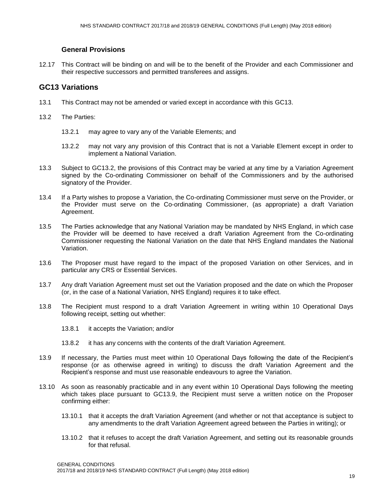#### **General Provisions**

12.17 This Contract will be binding on and will be to the benefit of the Provider and each Commissioner and their respective successors and permitted transferees and assigns.

#### **GC13 Variations**

- 13.1 This Contract may not be amended or varied except in accordance with this GC13.
- 13.2 The Parties:
	- 13.2.1 may agree to vary any of the Variable Elements; and
	- 13.2.2 may not vary any provision of this Contract that is not a Variable Element except in order to implement a National Variation.
- 13.3 Subject to GC13.2, the provisions of this Contract may be varied at any time by a Variation Agreement signed by the Co-ordinating Commissioner on behalf of the Commissioners and by the authorised signatory of the Provider.
- 13.4 If a Party wishes to propose a Variation, the Co-ordinating Commissioner must serve on the Provider, or the Provider must serve on the Co-ordinating Commissioner, (as appropriate) a draft Variation Agreement.
- 13.5 The Parties acknowledge that any National Variation may be mandated by NHS England, in which case the Provider will be deemed to have received a draft Variation Agreement from the Co-ordinating Commissioner requesting the National Variation on the date that NHS England mandates the National Variation.
- 13.6 The Proposer must have regard to the impact of the proposed Variation on other Services, and in particular any CRS or Essential Services.
- 13.7 Any draft Variation Agreement must set out the Variation proposed and the date on which the Proposer (or, in the case of a National Variation, NHS England) requires it to take effect.
- 13.8 The Recipient must respond to a draft Variation Agreement in writing within 10 Operational Days following receipt, setting out whether:
	- 13.8.1 it accepts the Variation; and/or
	- 13.8.2 it has any concerns with the contents of the draft Variation Agreement.
- 13.9 If necessary, the Parties must meet within 10 Operational Days following the date of the Recipient's response (or as otherwise agreed in writing) to discuss the draft Variation Agreement and the Recipient's response and must use reasonable endeavours to agree the Variation.
- 13.10 As soon as reasonably practicable and in any event within 10 Operational Days following the meeting which takes place pursuant to GC13.9, the Recipient must serve a written notice on the Proposer confirming either:
	- 13.10.1 that it accepts the draft Variation Agreement (and whether or not that acceptance is subject to any amendments to the draft Variation Agreement agreed between the Parties in writing); or
	- 13.10.2 that it refuses to accept the draft Variation Agreement, and setting out its reasonable grounds for that refusal.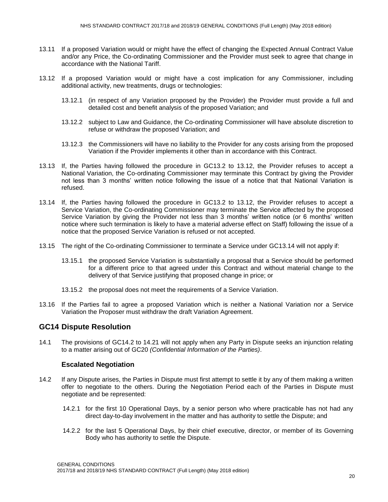- 13.11 If a proposed Variation would or might have the effect of changing the Expected Annual Contract Value and/or any Price, the Co-ordinating Commissioner and the Provider must seek to agree that change in accordance with the National Tariff.
- 13.12 If a proposed Variation would or might have a cost implication for any Commissioner, including additional activity, new treatments, drugs or technologies:
	- 13.12.1 (in respect of any Variation proposed by the Provider) the Provider must provide a full and detailed cost and benefit analysis of the proposed Variation; and
	- 13.12.2 subject to Law and Guidance, the Co-ordinating Commissioner will have absolute discretion to refuse or withdraw the proposed Variation; and
	- 13.12.3 the Commissioners will have no liability to the Provider for any costs arising from the proposed Variation if the Provider implements it other than in accordance with this Contract.
- 13.13 If, the Parties having followed the procedure in GC13.2 to 13.12, the Provider refuses to accept a National Variation, the Co-ordinating Commissioner may terminate this Contract by giving the Provider not less than 3 months' written notice following the issue of a notice that that National Variation is refused.
- 13.14 If, the Parties having followed the procedure in GC13.2 to 13.12, the Provider refuses to accept a Service Variation, the Co-ordinating Commissioner may terminate the Service affected by the proposed Service Variation by giving the Provider not less than 3 months' written notice (or 6 months' written notice where such termination is likely to have a material adverse effect on Staff) following the issue of a notice that the proposed Service Variation is refused or not accepted.
- 13.15 The right of the Co-ordinating Commissioner to terminate a Service under GC13.14 will not apply if:
	- 13.15.1 the proposed Service Variation is substantially a proposal that a Service should be performed for a different price to that agreed under this Contract and without material change to the delivery of that Service justifying that proposed change in price; or
	- 13.15.2 the proposal does not meet the requirements of a Service Variation.
- 13.16 If the Parties fail to agree a proposed Variation which is neither a National Variation nor a Service Variation the Proposer must withdraw the draft Variation Agreement.

#### **GC14 Dispute Resolution**

14.1 The provisions of GC14.2 to 14.21 will not apply when any Party in Dispute seeks an injunction relating to a matter arising out of GC20 *(Confidential Information of the Parties)*.

#### **Escalated Negotiation**

- 14.2 If any Dispute arises, the Parties in Dispute must first attempt to settle it by any of them making a written offer to negotiate to the others. During the Negotiation Period each of the Parties in Dispute must negotiate and be represented:
	- 14.2.1 for the first 10 Operational Days, by a senior person who where practicable has not had any direct day-to-day involvement in the matter and has authority to settle the Dispute; and
	- 14.2.2 for the last 5 Operational Days, by their chief executive, director, or member of its Governing Body who has authority to settle the Dispute.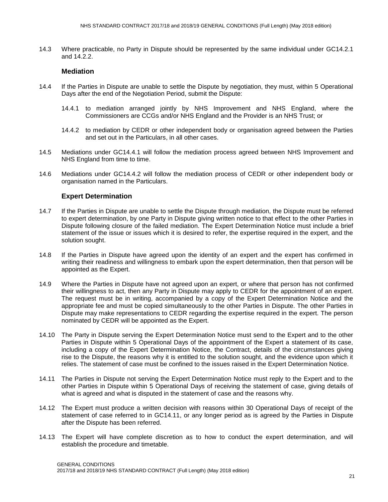14.3 Where practicable, no Party in Dispute should be represented by the same individual under GC14.2.1 and 14.2.2.

#### **Mediation**

- 14.4 If the Parties in Dispute are unable to settle the Dispute by negotiation, they must, within 5 Operational Days after the end of the Negotiation Period, submit the Dispute:
	- 14.4.1 to mediation arranged jointly by NHS Improvement and NHS England, where the Commissioners are CCGs and/or NHS England and the Provider is an NHS Trust; or
	- 14.4.2 to mediation by CEDR or other independent body or organisation agreed between the Parties and set out in the Particulars, in all other cases.
- 14.5 Mediations under GC14.4.1 will follow the mediation process agreed between NHS Improvement and NHS England from time to time.
- 14.6 Mediations under GC14.4.2 will follow the mediation process of CEDR or other independent body or organisation named in the Particulars.

#### **Expert Determination**

- 14.7 If the Parties in Dispute are unable to settle the Dispute through mediation, the Dispute must be referred to expert determination, by one Party in Dispute giving written notice to that effect to the other Parties in Dispute following closure of the failed mediation. The Expert Determination Notice must include a brief statement of the issue or issues which it is desired to refer, the expertise required in the expert, and the solution sought.
- 14.8 If the Parties in Dispute have agreed upon the identity of an expert and the expert has confirmed in writing their readiness and willingness to embark upon the expert determination, then that person will be appointed as the Expert.
- 14.9 Where the Parties in Dispute have not agreed upon an expert, or where that person has not confirmed their willingness to act, then any Party in Dispute may apply to CEDR for the appointment of an expert. The request must be in writing, accompanied by a copy of the Expert Determination Notice and the appropriate fee and must be copied simultaneously to the other Parties in Dispute. The other Parties in Dispute may make representations to CEDR regarding the expertise required in the expert. The person nominated by CEDR will be appointed as the Expert.
- 14.10 The Party in Dispute serving the Expert Determination Notice must send to the Expert and to the other Parties in Dispute within 5 Operational Days of the appointment of the Expert a statement of its case, including a copy of the Expert Determination Notice, the Contract, details of the circumstances giving rise to the Dispute, the reasons why it is entitled to the solution sought, and the evidence upon which it relies. The statement of case must be confined to the issues raised in the Expert Determination Notice.
- 14.11 The Parties in Dispute not serving the Expert Determination Notice must reply to the Expert and to the other Parties in Dispute within 5 Operational Days of receiving the statement of case, giving details of what is agreed and what is disputed in the statement of case and the reasons why.
- 14.12 The Expert must produce a written decision with reasons within 30 Operational Days of receipt of the statement of case referred to in GC14.11, or any longer period as is agreed by the Parties in Dispute after the Dispute has been referred.
- 14.13 The Expert will have complete discretion as to how to conduct the expert determination, and will establish the procedure and timetable.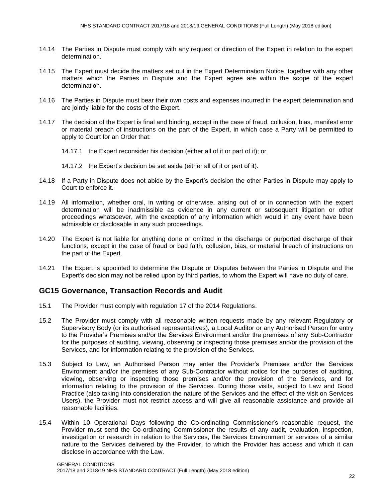- 14.14 The Parties in Dispute must comply with any request or direction of the Expert in relation to the expert determination.
- 14.15 The Expert must decide the matters set out in the Expert Determination Notice, together with any other matters which the Parties in Dispute and the Expert agree are within the scope of the expert determination.
- 14.16 The Parties in Dispute must bear their own costs and expenses incurred in the expert determination and are jointly liable for the costs of the Expert.
- 14.17 The decision of the Expert is final and binding, except in the case of fraud, collusion, bias, manifest error or material breach of instructions on the part of the Expert, in which case a Party will be permitted to apply to Court for an Order that:

14.17.1 the Expert reconsider his decision (either all of it or part of it); or

14.17.2 the Expert's decision be set aside (either all of it or part of it).

- 14.18 If a Party in Dispute does not abide by the Expert's decision the other Parties in Dispute may apply to Court to enforce it.
- 14.19 All information, whether oral, in writing or otherwise, arising out of or in connection with the expert determination will be inadmissible as evidence in any current or subsequent litigation or other proceedings whatsoever, with the exception of any information which would in any event have been admissible or disclosable in any such proceedings.
- 14.20 The Expert is not liable for anything done or omitted in the discharge or purported discharge of their functions, except in the case of fraud or bad faith, collusion, bias, or material breach of instructions on the part of the Expert.
- 14.21 The Expert is appointed to determine the Dispute or Disputes between the Parties in Dispute and the Expert's decision may not be relied upon by third parties, to whom the Expert will have no duty of care.

#### **GC15 Governance, Transaction Records and Audit**

- 15.1 The Provider must comply with regulation 17 of the 2014 Regulations.
- 15.2 The Provider must comply with all reasonable written requests made by any relevant Regulatory or Supervisory Body (or its authorised representatives), a Local Auditor or any Authorised Person for entry to the Provider's Premises and/or the Services Environment and/or the premises of any Sub-Contractor for the purposes of auditing, viewing, observing or inspecting those premises and/or the provision of the Services, and for information relating to the provision of the Services.
- 15.3 Subject to Law, an Authorised Person may enter the Provider's Premises and/or the Services Environment and/or the premises of any Sub-Contractor without notice for the purposes of auditing, viewing, observing or inspecting those premises and/or the provision of the Services, and for information relating to the provision of the Services. During those visits, subject to Law and Good Practice (also taking into consideration the nature of the Services and the effect of the visit on Services Users), the Provider must not restrict access and will give all reasonable assistance and provide all reasonable facilities.
- 15.4 Within 10 Operational Days following the Co-ordinating Commissioner's reasonable request, the Provider must send the Co-ordinating Commissioner the results of any audit, evaluation, inspection, investigation or research in relation to the Services, the Services Environment or services of a similar nature to the Services delivered by the Provider, to which the Provider has access and which it can disclose in accordance with the Law.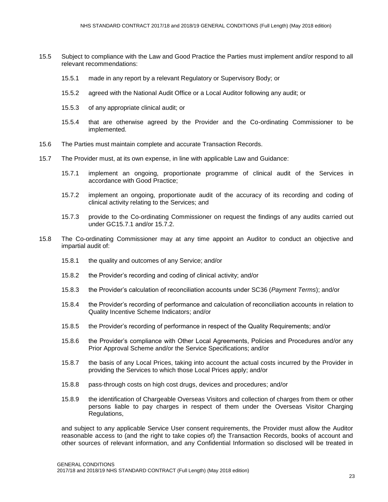- 15.5 Subject to compliance with the Law and Good Practice the Parties must implement and/or respond to all relevant recommendations:
	- 15.5.1 made in any report by a relevant Regulatory or Supervisory Body; or
	- 15.5.2 agreed with the National Audit Office or a Local Auditor following any audit; or
	- 15.5.3 of any appropriate clinical audit; or
	- 15.5.4 that are otherwise agreed by the Provider and the Co-ordinating Commissioner to be implemented.
- 15.6 The Parties must maintain complete and accurate Transaction Records.
- 15.7 The Provider must, at its own expense, in line with applicable Law and Guidance:
	- 15.7.1 implement an ongoing, proportionate programme of clinical audit of the Services in accordance with Good Practice;
	- 15.7.2 implement an ongoing, proportionate audit of the accuracy of its recording and coding of clinical activity relating to the Services; and
	- 15.7.3 provide to the Co-ordinating Commissioner on request the findings of any audits carried out under GC15.7.1 and/or 15.7.2.
- 15.8 The Co-ordinating Commissioner may at any time appoint an Auditor to conduct an objective and impartial audit of:
	- 15.8.1 the quality and outcomes of any Service; and/or
	- 15.8.2 the Provider's recording and coding of clinical activity; and/or
	- 15.8.3 the Provider's calculation of reconciliation accounts under SC36 (*Payment Terms*); and/or
	- 15.8.4 the Provider's recording of performance and calculation of reconciliation accounts in relation to Quality Incentive Scheme Indicators; and/or
	- 15.8.5 the Provider's recording of performance in respect of the Quality Requirements; and/or
	- 15.8.6 the Provider's compliance with Other Local Agreements, Policies and Procedures and/or any Prior Approval Scheme and/or the Service Specifications; and/or
	- 15.8.7 the basis of any Local Prices, taking into account the actual costs incurred by the Provider in providing the Services to which those Local Prices apply; and/or
	- 15.8.8 pass-through costs on high cost drugs, devices and procedures; and/or
	- 15.8.9 the identification of Chargeable Overseas Visitors and collection of charges from them or other persons liable to pay charges in respect of them under the Overseas Visitor Charging Regulations,

and subject to any applicable Service User consent requirements, the Provider must allow the Auditor reasonable access to (and the right to take copies of) the Transaction Records, books of account and other sources of relevant information, and any Confidential Information so disclosed will be treated in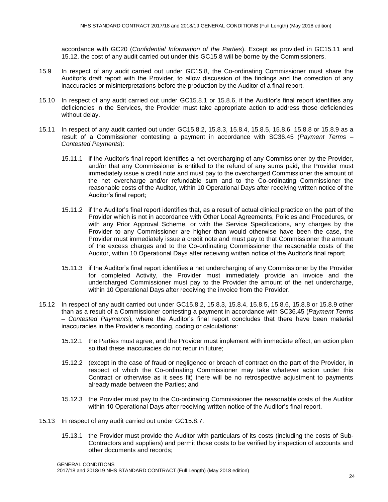accordance with GC20 (*Confidential Information of the Parties*). Except as provided in GC15.11 and 15.12, the cost of any audit carried out under this GC15.8 will be borne by the Commissioners.

- 15.9 In respect of any audit carried out under GC15.8, the Co-ordinating Commissioner must share the Auditor's draft report with the Provider, to allow discussion of the findings and the correction of any inaccuracies or misinterpretations before the production by the Auditor of a final report.
- 15.10 In respect of any audit carried out under GC15.8.1 or 15.8.6, if the Auditor's final report identifies any deficiencies in the Services, the Provider must take appropriate action to address those deficiencies without delay.
- 15.11 In respect of any audit carried out under GC15.8.2, 15.8.3, 15.8.4, 15.8.5, 15.8.6, 15.8.8 or 15.8.9 as a result of a Commissioner contesting a payment in accordance with SC36.45 (*Payment Terms – Contested Payments*):
	- 15.11.1 if the Auditor's final report identifies a net overcharging of any Commissioner by the Provider, and/or that any Commissioner is entitled to the refund of any sums paid, the Provider must immediately issue a credit note and must pay to the overcharged Commissioner the amount of the net overcharge and/or refundable sum and to the Co-ordinating Commissioner the reasonable costs of the Auditor, within 10 Operational Days after receiving written notice of the Auditor's final report;
	- 15.11.2 if the Auditor's final report identifies that, as a result of actual clinical practice on the part of the Provider which is not in accordance with Other Local Agreements, Policies and Procedures, or with any Prior Approval Scheme, or with the Service Specifications, any charges by the Provider to any Commissioner are higher than would otherwise have been the case, the Provider must immediately issue a credit note and must pay to that Commissioner the amount of the excess charges and to the Co-ordinating Commissioner the reasonable costs of the Auditor, within 10 Operational Days after receiving written notice of the Auditor's final report;
	- 15.11.3 if the Auditor's final report identifies a net undercharging of any Commissioner by the Provider for completed Activity, the Provider must immediately provide an invoice and the undercharged Commissioner must pay to the Provider the amount of the net undercharge, within 10 Operational Days after receiving the invoice from the Provider.
- 15.12 In respect of any audit carried out under GC15.8.2, 15.8.3, 15.8.4, 15.8.5, 15.8.6, 15.8.8 or 15.8.9 other than as a result of a Commissioner contesting a payment in accordance with SC36.45 (*Payment Terms – Contested Payments*), where the Auditor's final report concludes that there have been material inaccuracies in the Provider's recording, coding or calculations:
	- 15.12.1 the Parties must agree, and the Provider must implement with immediate effect, an action plan so that these inaccuracies do not recur in future;
	- 15.12.2 (except in the case of fraud or negligence or breach of contract on the part of the Provider, in respect of which the Co-ordinating Commissioner may take whatever action under this Contract or otherwise as it sees fit) there will be no retrospective adjustment to payments already made between the Parties; and
	- 15.12.3 the Provider must pay to the Co-ordinating Commissioner the reasonable costs of the Auditor within 10 Operational Days after receiving written notice of the Auditor's final report.
- 15.13 In respect of any audit carried out under GC15.8.7:
	- 15.13.1 the Provider must provide the Auditor with particulars of its costs (including the costs of Sub-Contractors and suppliers) and permit those costs to be verified by inspection of accounts and other documents and records;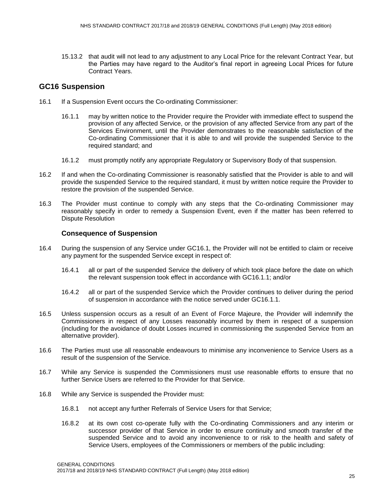15.13.2 that audit will not lead to any adjustment to any Local Price for the relevant Contract Year, but the Parties may have regard to the Auditor's final report in agreeing Local Prices for future Contract Years.

#### **GC16 Suspension**

- 16.1 If a Suspension Event occurs the Co-ordinating Commissioner:
	- 16.1.1 may by written notice to the Provider require the Provider with immediate effect to suspend the provision of any affected Service, or the provision of any affected Service from any part of the Services Environment, until the Provider demonstrates to the reasonable satisfaction of the Co-ordinating Commissioner that it is able to and will provide the suspended Service to the required standard; and
	- 16.1.2 must promptly notify any appropriate Regulatory or Supervisory Body of that suspension.
- 16.2 If and when the Co-ordinating Commissioner is reasonably satisfied that the Provider is able to and will provide the suspended Service to the required standard, it must by written notice require the Provider to restore the provision of the suspended Service.
- 16.3 The Provider must continue to comply with any steps that the Co-ordinating Commissioner may reasonably specify in order to remedy a Suspension Event, even if the matter has been referred to Dispute Resolution

#### **Consequence of Suspension**

- 16.4 During the suspension of any Service under GC16.1, the Provider will not be entitled to claim or receive any payment for the suspended Service except in respect of:
	- 16.4.1 all or part of the suspended Service the delivery of which took place before the date on which the relevant suspension took effect in accordance with GC16.1.1; and/or
	- 16.4.2 all or part of the suspended Service which the Provider continues to deliver during the period of suspension in accordance with the notice served under GC16.1.1.
- 16.5 Unless suspension occurs as a result of an Event of Force Majeure, the Provider will indemnify the Commissioners in respect of any Losses reasonably incurred by them in respect of a suspension (including for the avoidance of doubt Losses incurred in commissioning the suspended Service from an alternative provider).
- 16.6 The Parties must use all reasonable endeavours to minimise any inconvenience to Service Users as a result of the suspension of the Service.
- 16.7 While any Service is suspended the Commissioners must use reasonable efforts to ensure that no further Service Users are referred to the Provider for that Service.
- 16.8 While any Service is suspended the Provider must:
	- 16.8.1 not accept any further Referrals of Service Users for that Service;
	- 16.8.2 at its own cost co-operate fully with the Co-ordinating Commissioners and any interim or successor provider of that Service in order to ensure continuity and smooth transfer of the suspended Service and to avoid any inconvenience to or risk to the health and safety of Service Users, employees of the Commissioners or members of the public including: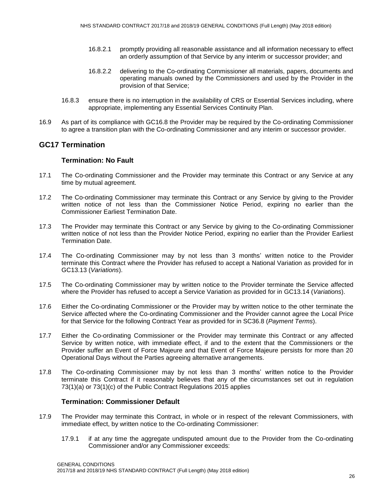- 16.8.2.1 promptly providing all reasonable assistance and all information necessary to effect an orderly assumption of that Service by any interim or successor provider; and
- 16.8.2.2 delivering to the Co-ordinating Commissioner all materials, papers, documents and operating manuals owned by the Commissioners and used by the Provider in the provision of that Service;
- 16.8.3 ensure there is no interruption in the availability of CRS or Essential Services including, where appropriate, implementing any Essential Services Continuity Plan.
- 16.9 As part of its compliance with GC16.8 the Provider may be required by the Co-ordinating Commissioner to agree a transition plan with the Co-ordinating Commissioner and any interim or successor provider.

#### **GC17 Termination**

#### **Termination: No Fault**

- 17.1 The Co-ordinating Commissioner and the Provider may terminate this Contract or any Service at any time by mutual agreement.
- 17.2 The Co-ordinating Commissioner may terminate this Contract or any Service by giving to the Provider written notice of not less than the Commissioner Notice Period, expiring no earlier than the Commissioner Earliest Termination Date.
- 17.3 The Provider may terminate this Contract or any Service by giving to the Co-ordinating Commissioner written notice of not less than the Provider Notice Period, expiring no earlier than the Provider Earliest Termination Date.
- 17.4 The Co-ordinating Commissioner may by not less than 3 months' written notice to the Provider terminate this Contract where the Provider has refused to accept a National Variation as provided for in GC13.13 (*Variations*).
- 17.5 The Co-ordinating Commissioner may by written notice to the Provider terminate the Service affected where the Provider has refused to accept a Service Variation as provided for in GC13.14 (*Variations*).
- 17.6 Either the Co-ordinating Commissioner or the Provider may by written notice to the other terminate the Service affected where the Co-ordinating Commissioner and the Provider cannot agree the Local Price for that Service for the following Contract Year as provided for in SC36.8 (*Payment Terms*).
- 17.7 Either the Co-ordinating Commissioner or the Provider may terminate this Contract or any affected Service by written notice, with immediate effect, if and to the extent that the Commissioners or the Provider suffer an Event of Force Majeure and that Event of Force Majeure persists for more than 20 Operational Days without the Parties agreeing alternative arrangements.
- 17.8 The Co-ordinating Commissioner may by not less than 3 months' written notice to the Provider terminate this Contract if it reasonably believes that any of the circumstances set out in regulation 73(1)(a) or 73(1)(c) of the Public Contract Regulations 2015 applies

#### **Termination: Commissioner Default**

- 17.9 The Provider may terminate this Contract, in whole or in respect of the relevant Commissioners, with immediate effect, by written notice to the Co-ordinating Commissioner:
	- 17.9.1 if at any time the aggregate undisputed amount due to the Provider from the Co-ordinating Commissioner and/or any Commissioner exceeds: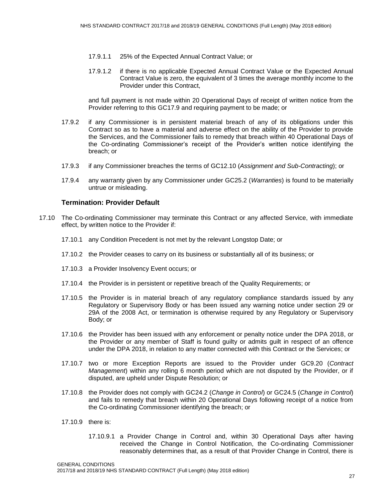- 17.9.1.1 25% of the Expected Annual Contract Value; or
- 17.9.1.2 if there is no applicable Expected Annual Contract Value or the Expected Annual Contract Value is zero, the equivalent of 3 times the average monthly income to the Provider under this Contract,

and full payment is not made within 20 Operational Days of receipt of written notice from the Provider referring to this GC17.9 and requiring payment to be made; or

- 17.9.2 if any Commissioner is in persistent material breach of any of its obligations under this Contract so as to have a material and adverse effect on the ability of the Provider to provide the Services, and the Commissioner fails to remedy that breach within 40 Operational Days of the Co-ordinating Commissioner's receipt of the Provider's written notice identifying the breach; or
- 17.9.3 if any Commissioner breaches the terms of GC12.10 (*Assignment and Sub-Contracting*); or
- 17.9.4 any warranty given by any Commissioner under GC25.2 (*Warranties*) is found to be materially untrue or misleading.

#### **Termination: Provider Default**

- 17.10 The Co-ordinating Commissioner may terminate this Contract or any affected Service, with immediate effect, by written notice to the Provider if:
	- 17.10.1 any Condition Precedent is not met by the relevant Longstop Date; or
	- 17.10.2 the Provider ceases to carry on its business or substantially all of its business; or
	- 17.10.3 a Provider Insolvency Event occurs; or
	- 17.10.4 the Provider is in persistent or repetitive breach of the Quality Requirements; or
	- 17.10.5 the Provider is in material breach of any regulatory compliance standards issued by any Regulatory or Supervisory Body or has been issued any warning notice under section 29 or 29A of the 2008 Act, or termination is otherwise required by any Regulatory or Supervisory Body; or
	- 17.10.6 the Provider has been issued with any enforcement or penalty notice under the DPA 2018, or the Provider or any member of Staff is found guilty or admits guilt in respect of an offence under the DPA 2018, in relation to any matter connected with this Contract or the Services; or
	- 17.10.7 two or more Exception Reports are issued to the Provider under GC9.20 (*Contract Management*) within any rolling 6 month period which are not disputed by the Provider, or if disputed, are upheld under Dispute Resolution; or
	- 17.10.8 the Provider does not comply with GC24.2 (*Change in Control*) or GC24.5 (*Change in Control*) and fails to remedy that breach within 20 Operational Days following receipt of a notice from the Co-ordinating Commissioner identifying the breach; or
	- 17.10.9 there is:
		- 17.10.9.1 a Provider Change in Control and, within 30 Operational Days after having received the Change in Control Notification, the Co-ordinating Commissioner reasonably determines that, as a result of that Provider Change in Control, there is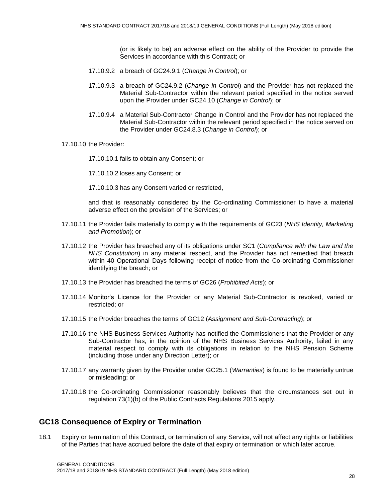(or is likely to be) an adverse effect on the ability of the Provider to provide the Services in accordance with this Contract; or

- 17.10.9.2 a breach of GC24.9.1 (*Change in Control*); or
- 17.10.9.3 a breach of GC24.9.2 (*Change in Control*) and the Provider has not replaced the Material Sub-Contractor within the relevant period specified in the notice served upon the Provider under GC24.10 (*Change in Control*); or
- 17.10.9.4 a Material Sub-Contractor Change in Control and the Provider has not replaced the Material Sub-Contractor within the relevant period specified in the notice served on the Provider under GC24.8.3 (*Change in Control*); or
- 17.10.10 the Provider:
	- 17.10.10.1 fails to obtain any Consent; or
	- 17.10.10.2 loses any Consent; or
	- 17.10.10.3 has any Consent varied or restricted,

and that is reasonably considered by the Co-ordinating Commissioner to have a material adverse effect on the provision of the Services; or

- 17.10.11 the Provider fails materially to comply with the requirements of GC23 (*NHS Identity, Marketing and Promotion*); or
- 17.10.12 the Provider has breached any of its obligations under SC1 (*Compliance with the Law and the NHS Constitution*) in any material respect, and the Provider has not remedied that breach within 40 Operational Days following receipt of notice from the Co-ordinating Commissioner identifying the breach; or
- 17.10.13 the Provider has breached the terms of GC26 (*Prohibited Acts*); or
- 17.10.14 Monitor's Licence for the Provider or any Material Sub-Contractor is revoked, varied or restricted; or
- 17.10.15 the Provider breaches the terms of GC12 (*Assignment and Sub-Contracting*); or
- 17.10.16 the NHS Business Services Authority has notified the Commissioners that the Provider or any Sub-Contractor has, in the opinion of the NHS Business Services Authority, failed in any material respect to comply with its obligations in relation to the NHS Pension Scheme (including those under any Direction Letter); or
- 17.10.17 any warranty given by the Provider under GC25.1 (*Warranties*) is found to be materially untrue or misleading; or
- 17.10.18 the Co-ordinating Commissioner reasonably believes that the circumstances set out in regulation 73(1)(b) of the Public Contracts Regulations 2015 apply.

#### **GC18 Consequence of Expiry or Termination**

18.1 Expiry or termination of this Contract, or termination of any Service, will not affect any rights or liabilities of the Parties that have accrued before the date of that expiry or termination or which later accrue.

GENERAL CONDITIONS 2017/18 and 2018/19 NHS STANDARD CONTRACT (Full Length) (May 2018 edition)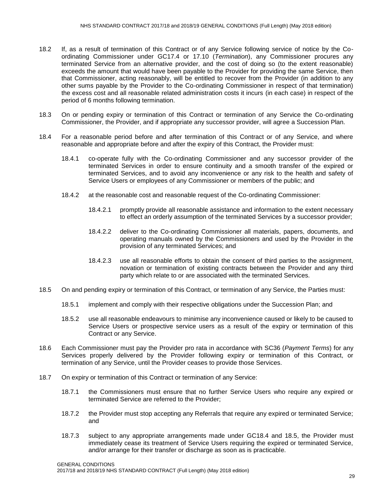- 18.2 If, as a result of termination of this Contract or of any Service following service of notice by the Coordinating Commissioner under GC17.4 or 17.10 (*Termination*), any Commissioner procures any terminated Service from an alternative provider, and the cost of doing so (to the extent reasonable) exceeds the amount that would have been payable to the Provider for providing the same Service, then that Commissioner, acting reasonably, will be entitled to recover from the Provider (in addition to any other sums payable by the Provider to the Co-ordinating Commissioner in respect of that termination) the excess cost and all reasonable related administration costs it incurs (in each case) in respect of the period of 6 months following termination.
- 18.3 On or pending expiry or termination of this Contract or termination of any Service the Co-ordinating Commissioner, the Provider, and if appropriate any successor provider, will agree a Succession Plan.
- 18.4 For a reasonable period before and after termination of this Contract or of any Service, and where reasonable and appropriate before and after the expiry of this Contract, the Provider must:
	- 18.4.1 co-operate fully with the Co-ordinating Commissioner and any successor provider of the terminated Services in order to ensure continuity and a smooth transfer of the expired or terminated Services, and to avoid any inconvenience or any risk to the health and safety of Service Users or employees of any Commissioner or members of the public; and
	- 18.4.2 at the reasonable cost and reasonable request of the Co-ordinating Commissioner:
		- 18.4.2.1 promptly provide all reasonable assistance and information to the extent necessary to effect an orderly assumption of the terminated Services by a successor provider;
		- 18.4.2.2 deliver to the Co-ordinating Commissioner all materials, papers, documents, and operating manuals owned by the Commissioners and used by the Provider in the provision of any terminated Services; and
		- 18.4.2.3 use all reasonable efforts to obtain the consent of third parties to the assignment, novation or termination of existing contracts between the Provider and any third party which relate to or are associated with the terminated Services.
- 18.5 On and pending expiry or termination of this Contract, or termination of any Service, the Parties must:
	- 18.5.1 implement and comply with their respective obligations under the Succession Plan; and
	- 18.5.2 use all reasonable endeavours to minimise any inconvenience caused or likely to be caused to Service Users or prospective service users as a result of the expiry or termination of this Contract or any Service.
- 18.6 Each Commissioner must pay the Provider pro rata in accordance with SC36 (*Payment Terms*) for any Services properly delivered by the Provider following expiry or termination of this Contract, or termination of any Service, until the Provider ceases to provide those Services.
- 18.7 On expiry or termination of this Contract or termination of any Service:
	- 18.7.1 the Commissioners must ensure that no further Service Users who require any expired or terminated Service are referred to the Provider;
	- 18.7.2 the Provider must stop accepting any Referrals that require any expired or terminated Service; and
	- 18.7.3 subject to any appropriate arrangements made under GC18.4 and 18.5, the Provider must immediately cease its treatment of Service Users requiring the expired or terminated Service, and/or arrange for their transfer or discharge as soon as is practicable.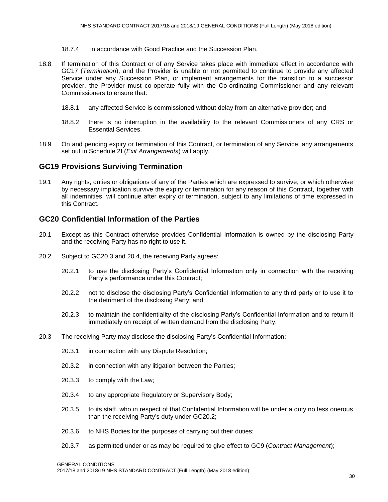- 18.7.4 in accordance with Good Practice and the Succession Plan.
- 18.8 If termination of this Contract or of any Service takes place with immediate effect in accordance with GC17 (*Termination*), and the Provider is unable or not permitted to continue to provide any affected Service under any Succession Plan, or implement arrangements for the transition to a successor provider, the Provider must co-operate fully with the Co-ordinating Commissioner and any relevant Commissioners to ensure that:
	- 18.8.1 any affected Service is commissioned without delay from an alternative provider; and
	- 18.8.2 there is no interruption in the availability to the relevant Commissioners of any CRS or Essential Services.
- 18.9 On and pending expiry or termination of this Contract, or termination of any Service, any arrangements set out in Schedule 2I (*Exit Arrangements*) will apply.

#### **GC19 Provisions Surviving Termination**

19.1 Any rights, duties or obligations of any of the Parties which are expressed to survive, or which otherwise by necessary implication survive the expiry or termination for any reason of this Contract, together with all indemnities, will continue after expiry or termination, subject to any limitations of time expressed in this Contract.

#### **GC20 Confidential Information of the Parties**

- 20.1 Except as this Contract otherwise provides Confidential Information is owned by the disclosing Party and the receiving Party has no right to use it.
- 20.2 Subject to GC20.3 and 20.4, the receiving Party agrees:
	- 20.2.1 to use the disclosing Party's Confidential Information only in connection with the receiving Party's performance under this Contract;
	- 20.2.2 not to disclose the disclosing Party's Confidential Information to any third party or to use it to the detriment of the disclosing Party; and
	- 20.2.3 to maintain the confidentiality of the disclosing Party's Confidential Information and to return it immediately on receipt of written demand from the disclosing Party.
- 20.3 The receiving Party may disclose the disclosing Party's Confidential Information:
	- 20.3.1 in connection with any Dispute Resolution;
	- 20.3.2 in connection with any litigation between the Parties;
	- 20.3.3 to comply with the Law;
	- 20.3.4 to any appropriate Regulatory or Supervisory Body;
	- 20.3.5 to its staff, who in respect of that Confidential Information will be under a duty no less onerous than the receiving Party's duty under GC20.2;
	- 20.3.6 to NHS Bodies for the purposes of carrying out their duties;
	- 20.3.7 as permitted under or as may be required to give effect to GC9 (*Contract Management*);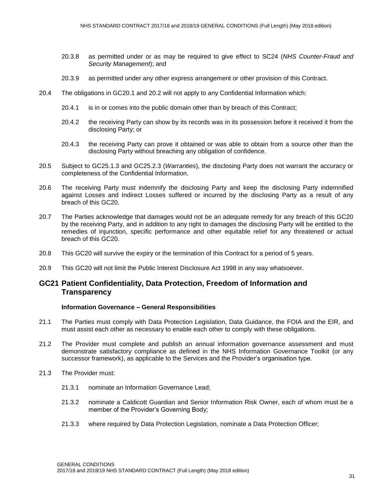- 20.3.8 as permitted under or as may be required to give effect to SC24 (*NHS Counter-Fraud and Security Management*); and
- 20.3.9 as permitted under any other express arrangement or other provision of this Contract.
- 20.4 The obligations in GC20.1 and 20.2 will not apply to any Confidential Information which:
	- 20.4.1 is in or comes into the public domain other than by breach of this Contract;
	- 20.4.2 the receiving Party can show by its records was in its possession before it received it from the disclosing Party; or
	- 20.4.3 the receiving Party can prove it obtained or was able to obtain from a source other than the disclosing Party without breaching any obligation of confidence.
- 20.5 Subject to GC25.1.3 and GC25.2.3 (*Warranties*), the disclosing Party does not warrant the accuracy or completeness of the Confidential Information.
- 20.6 The receiving Party must indemnify the disclosing Party and keep the disclosing Party indemnified against Losses and Indirect Losses suffered or incurred by the disclosing Party as a result of any breach of this GC20.
- 20.7 The Parties acknowledge that damages would not be an adequate remedy for any breach of this GC20 by the receiving Party, and in addition to any right to damages the disclosing Party will be entitled to the remedies of injunction, specific performance and other equitable relief for any threatened or actual breach of this GC20.
- 20.8 This GC20 will survive the expiry or the termination of this Contract for a period of 5 years.
- 20.9 This GC20 will not limit the Public Interest Disclosure Act 1998 in any way whatsoever.

#### **GC21 Patient Confidentiality, Data Protection, Freedom of Information and Transparency**

#### **Information Governance – General Responsibilities**

- 21.1 The Parties must comply with Data Protection Legislation, Data Guidance, the FOIA and the EIR, and must assist each other as necessary to enable each other to comply with these obligations.
- 21.2 The Provider must complete and publish an annual information governance assessment and must demonstrate satisfactory compliance as defined in the NHS Information Governance Toolkit (or any successor framework), as applicable to the Services and the Provider's organisation type.
- 21.3 The Provider must:
	- 21.3.1 nominate an Information Governance Lead;
	- 21.3.2 nominate a Caldicott Guardian and Senior Information Risk Owner, each of whom must be a member of the Provider's Governing Body;
	- 21.3.3 where required by Data Protection Legislation, nominate a Data Protection Officer;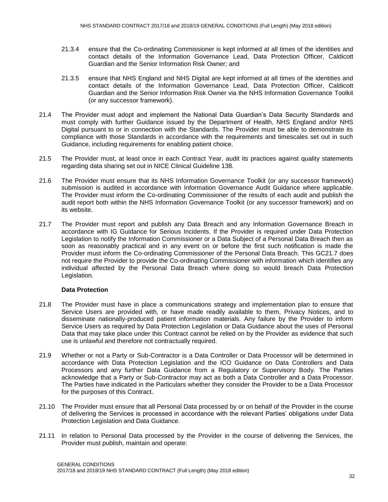- 21.3.4 ensure that the Co-ordinating Commissioner is kept informed at all times of the identities and contact details of the Information Governance Lead, Data Protection Officer, Caldicott Guardian and the Senior Information Risk Owner; and
- 21.3.5 ensure that NHS England and NHS Digital are kept informed at all times of the identities and contact details of the Information Governance Lead, Data Protection Officer, Caldicott Guardian and the Senior Information Risk Owner via the NHS Information Governance Toolkit (or any successor framework).
- 21.4 The Provider must adopt and implement the National Data Guardian's Data Security Standards and must comply with further Guidance issued by the Department of Health, NHS England and/or NHS Digital pursuant to or in connection with the Standards. The Provider must be able to demonstrate its compliance with those Standards in accordance with the requirements and timescales set out in such Guidance, including requirements for enabling patient choice.
- 21.5 The Provider must, at least once in each Contract Year, audit its practices against quality statements regarding data sharing set out in NICE Clinical Guideline 138.
- 21.6 The Provider must ensure that its NHS Information Governance Toolkit (or any successor framework) submission is audited in accordance with Information Governance Audit Guidance where applicable. The Provider must inform the Co-ordinating Commissioner of the results of each audit and publish the audit report both within the NHS Information Governance Toolkit (or any successor framework) and on its website.
- 21.7 The Provider must report and publish any Data Breach and any Information Governance Breach in accordance with IG Guidance for Serious Incidents. If the Provider is required under Data Protection Legislation to notify the Information Commissioner or a Data Subject of a Personal Data Breach then as soon as reasonably practical and in any event on or before the first such notification is made the Provider must inform the Co-ordinating Commissioner of the Personal Data Breach. This GC21.7 does not require the Provider to provide the Co-ordinating Commissioner with information which identifies any individual affected by the Personal Data Breach where doing so would breach Data Protection Legislation.

#### **Data Protection**

- 21.8 The Provider must have in place a communications strategy and implementation plan to ensure that Service Users are provided with, or have made readily available to them, Privacy Notices, and to disseminate nationally-produced patient information materials. Any failure by the Provider to inform Service Users as required by Data Protection Legislation or Data Guidance about the uses of Personal Data that may take place under this Contract cannot be relied on by the Provider as evidence that such use is unlawful and therefore not contractually required.
- 21.9 Whether or not a Party or Sub-Contractor is a Data Controller or Data Processor will be determined in accordance with Data Protection Legislation and the ICO Guidance on Data Controllers and Data Processors and any further Data Guidance from a Regulatory or Supervisory Body. The Parties acknowledge that a Party or Sub-Contractor may act as both a Data Controller and a Data Processor. The Parties have indicated in the Particulars whether they consider the Provider to be a Data Processor for the purposes of this Contract.
- 21.10 The Provider must ensure that all Personal Data processed by or on behalf of the Provider in the course of delivering the Services is processed in accordance with the relevant Parties' obligations under Data Protection Legislation and Data Guidance.
- 21.11 In relation to Personal Data processed by the Provider in the course of delivering the Services, the Provider must publish, maintain and operate: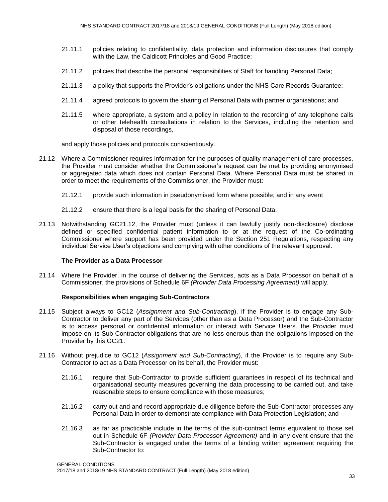- 21.11.1 policies relating to confidentiality, data protection and information disclosures that comply with the Law, the Caldicott Principles and Good Practice;
- 21.11.2 policies that describe the personal responsibilities of Staff for handling Personal Data;
- 21.11.3 a policy that supports the Provider's obligations under the NHS Care Records Guarantee;
- 21.11.4 agreed protocols to govern the sharing of Personal Data with partner organisations; and
- 21.11.5 where appropriate, a system and a policy in relation to the recording of any telephone calls or other telehealth consultations in relation to the Services, including the retention and disposal of those recordings,

and apply those policies and protocols conscientiously.

- 21.12 Where a Commissioner requires information for the purposes of quality management of care processes, the Provider must consider whether the Commissioner's request can be met by providing anonymised or aggregated data which does not contain Personal Data. Where Personal Data must be shared in order to meet the requirements of the Commissioner, the Provider must:
	- 21.12.1 provide such information in pseudonymised form where possible; and in any event
	- 21.12.2 ensure that there is a legal basis for the sharing of Personal Data.
- 21.13 Notwithstanding GC21.12, the Provider must (unless it can lawfully justify non-disclosure) disclose defined or specified confidential patient information to or at the request of the Co-ordinating Commissioner where support has been provided under the Section 251 Regulations, respecting any individual Service User's objections and complying with other conditions of the relevant approval.

#### **The Provider as a Data Processor**

21.14 Where the Provider, in the course of delivering the Services, acts as a Data Processor on behalf of a Commissioner, the provisions of Schedule 6F *(Provider Data Processing Agreement)* will apply.

#### **Responsibilities when engaging Sub-Contractors**

- 21.15 Subject always to GC12 (*Assignment and Sub-Contracting*), if the Provider is to engage any Sub-Contractor to deliver any part of the Services (other than as a Data Processor) and the Sub-Contractor is to access personal or confidential information or interact with Service Users, the Provider must impose on its Sub-Contractor obligations that are no less onerous than the obligations imposed on the Provider by this GC21.
- 21.16 Without prejudice to GC12 (*Assignment and Sub-Contracting*), if the Provider is to require any Sub-Contractor to act as a Data Processor on its behalf, the Provider must:
	- 21.16.1 require that Sub-Contractor to provide sufficient guarantees in respect of its technical and organisational security measures governing the data processing to be carried out, and take reasonable steps to ensure compliance with those measures;
	- 21.16.2 carry out and and record appropriate due diligence before the Sub-Contractor processes any Personal Data in order to demonstrate compliance with Data Protection Legislation; and
	- 21.16.3 as far as practicable include in the terms of the sub-contract terms equivalent to those set out in Schedule 6F *(Provider Data Processor Agreement)* and in any event ensure that the Sub-Contractor is engaged under the terms of a binding written agreement requiring the Sub-Contractor to: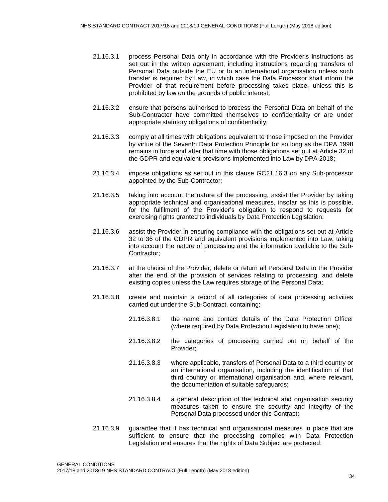- 21.16.3.1 process Personal Data only in accordance with the Provider's instructions as set out in the written agreement, including instructions regarding transfers of Personal Data outside the EU or to an international organisation unless such transfer is required by Law, in which case the Data Processor shall inform the Provider of that requirement before processing takes place, unless this is prohibited by law on the grounds of public interest;
- 21.16.3.2 ensure that persons authorised to process the Personal Data on behalf of the Sub-Contractor have committed themselves to confidentiality or are under appropriate statutory obligations of confidentiality;
- 21.16.3.3 comply at all times with obligations equivalent to those imposed on the Provider by virtue of the Seventh Data Protection Principle for so long as the DPA 1998 remains in force and after that time with those obligations set out at Article 32 of the GDPR and equivalent provisions implemented into Law by DPA 2018;
- 21.16.3.4 impose obligations as set out in this clause GC21.16.3 on any Sub-processor appointed by the Sub-Contractor;
- 21.16.3.5 taking into account the nature of the processing, assist the Provider by taking appropriate technical and organisational measures, insofar as this is possible, for the fulfilment of the Provider's obligation to respond to requests for exercising rights granted to individuals by Data Protection Legislation;
- 21.16.3.6 assist the Provider in ensuring compliance with the obligations set out at Article 32 to 36 of the GDPR and equivalent provisions implemented into Law, taking into account the nature of processing and the information available to the Sub-Contractor;
- 21.16.3.7 at the choice of the Provider, delete or return all Personal Data to the Provider after the end of the provision of services relating to processing, and delete existing copies unless the Law requires storage of the Personal Data;
- 21.16.3.8 create and maintain a record of all categories of data processing activities carried out under the Sub-Contract, containing:
	- 21.16.3.8.1 the name and contact details of the Data Protection Officer (where required by Data Protection Legislation to have one);
	- 21.16.3.8.2 the categories of processing carried out on behalf of the Provider;
	- 21.16.3.8.3 where applicable, transfers of Personal Data to a third country or an international organisation, including the identification of that third country or international organisation and, where relevant, the documentation of suitable safeguards;
	- 21.16.3.8.4 a general description of the technical and organisation security measures taken to ensure the security and integrity of the Personal Data processed under this Contract;
- 21.16.3.9 guarantee that it has technical and organisational measures in place that are sufficient to ensure that the processing complies with Data Protection Legislation and ensures that the rights of Data Subject are protected;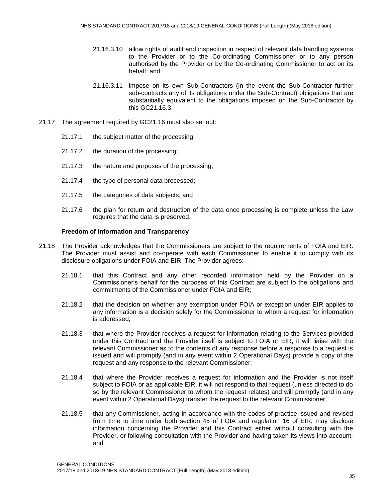- 21.16.3.10 allow rights of audit and inspection in respect of relevant data handling systems to the Provider or to the Co-ordinating Commissioner or to any person authorised by the Provider or by the Co-ordinating Commissioner to act on its behalf; and
- 21.16.3.11 impose on its own Sub-Contractors (in the event the Sub-Contractor further sub-contracts any of its obligations under the Sub-Contract) obligations that are substantially equivalent to the obligations imposed on the Sub-Contractor by this GC21.16.3.
- 21.17 The agreement required by GC21.16 must also set out:
	- 21.17.1 the subject matter of the processing;
	- 21.17.2 the duration of the processing;
	- 21.17.3 the nature and purposes of the processing;
	- 21.17.4 the type of personal data processed;
	- 21.17.5 the categories of data subjects; and
	- 21.17.6 the plan for return and destruction of the data once processing is complete unless the Law requires that the data is preserved.

#### **Freedom of Information and Transparency**

- 21.18 The Provider acknowledges that the Commissioners are subject to the requirements of FOIA and EIR. The Provider must assist and co-operate with each Commissioner to enable it to comply with its disclosure obligations under FOIA and EIR. The Provider agrees:
	- 21.18.1 that this Contract and any other recorded information held by the Provider on a Commissioner's behalf for the purposes of this Contract are subject to the obligations and commitments of the Commissioner under FOIA and EIR;
	- 21.18.2 that the decision on whether any exemption under FOIA or exception under EIR applies to any information is a decision solely for the Commissioner to whom a request for information is addressed;
	- 21.18.3 that where the Provider receives a request for information relating to the Services provided under this Contract and the Provider itself is subject to FOIA or EIR, it will liaise with the relevant Commissioner as to the contents of any response before a response to a request is issued and will promptly (and in any event within 2 Operational Days) provide a copy of the request and any response to the relevant Commissioner;
	- 21.18.4 that where the Provider receives a request for information and the Provider is not itself subject to FOIA or as applicable EIR, it will not respond to that request (unless directed to do so by the relevant Commissioner to whom the request relates) and will promptly (and in any event within 2 Operational Days) transfer the request to the relevant Commissioner;
	- 21.18.5 that any Commissioner, acting in accordance with the codes of practice issued and revised from time to time under both section 45 of FOIA and regulation 16 of EIR, may disclose information concerning the Provider and this Contract either without consulting with the Provider, or following consultation with the Provider and having taken its views into account; and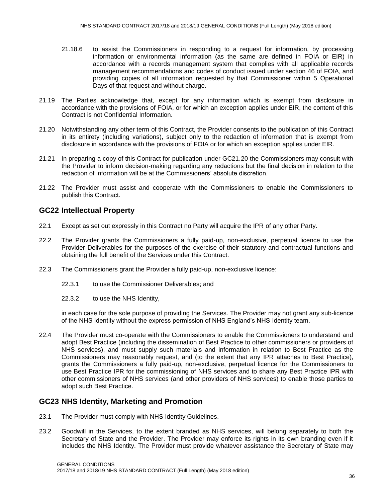- 21.18.6 to assist the Commissioners in responding to a request for information, by processing information or environmental information (as the same are defined in FOIA or EIR) in accordance with a records management system that complies with all applicable records management recommendations and codes of conduct issued under section 46 of FOIA, and providing copies of all information requested by that Commissioner within 5 Operational Days of that request and without charge.
- 21.19 The Parties acknowledge that, except for any information which is exempt from disclosure in accordance with the provisions of FOIA, or for which an exception applies under EIR, the content of this Contract is not Confidential Information.
- 21.20 Notwithstanding any other term of this Contract, the Provider consents to the publication of this Contract in its entirety (including variations), subject only to the redaction of information that is exempt from disclosure in accordance with the provisions of FOIA or for which an exception applies under EIR.
- 21.21 In preparing a copy of this Contract for publication under GC21.20 the Commissioners may consult with the Provider to inform decision-making regarding any redactions but the final decision in relation to the redaction of information will be at the Commissioners' absolute discretion.
- 21.22 The Provider must assist and cooperate with the Commissioners to enable the Commissioners to publish this Contract.

#### **GC22 Intellectual Property**

- 22.1 Except as set out expressly in this Contract no Party will acquire the IPR of any other Party.
- 22.2 The Provider grants the Commissioners a fully paid-up, non-exclusive, perpetual licence to use the Provider Deliverables for the purposes of the exercise of their statutory and contractual functions and obtaining the full benefit of the Services under this Contract.
- 22.3 The Commissioners grant the Provider a fully paid-up, non-exclusive licence:
	- 22.3.1 to use the Commissioner Deliverables: and
	- 22.3.2 to use the NHS Identity,

in each case for the sole purpose of providing the Services. The Provider may not grant any sub-licence of the NHS Identity without the express permission of NHS England's NHS Identity team.

22.4 The Provider must co-operate with the Commissioners to enable the Commissioners to understand and adopt Best Practice (including the dissemination of Best Practice to other commissioners or providers of NHS services), and must supply such materials and information in relation to Best Practice as the Commissioners may reasonably request, and (to the extent that any IPR attaches to Best Practice), grants the Commissioners a fully paid-up, non-exclusive, perpetual licence for the Commissioners to use Best Practice IPR for the commissioning of NHS services and to share any Best Practice IPR with other commissioners of NHS services (and other providers of NHS services) to enable those parties to adopt such Best Practice.

#### **GC23 NHS Identity, Marketing and Promotion**

- 23.1 The Provider must comply with NHS Identity Guidelines.
- 23.2 Goodwill in the Services, to the extent branded as NHS services, will belong separately to both the Secretary of State and the Provider. The Provider may enforce its rights in its own branding even if it includes the NHS Identity. The Provider must provide whatever assistance the Secretary of State may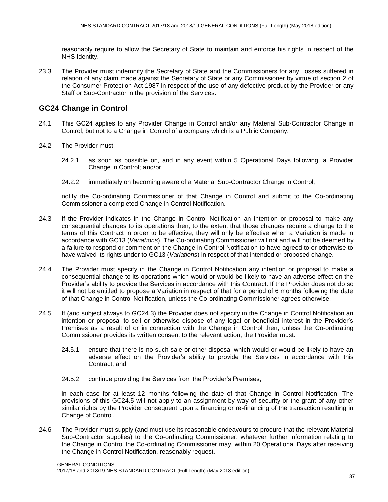reasonably require to allow the Secretary of State to maintain and enforce his rights in respect of the NHS Identity.

23.3 The Provider must indemnify the Secretary of State and the Commissioners for any Losses suffered in relation of any claim made against the Secretary of State or any Commissioner by virtue of section 2 of the Consumer Protection Act 1987 in respect of the use of any defective product by the Provider or any Staff or Sub-Contractor in the provision of the Services.

# **GC24 Change in Control**

- 24.1 This GC24 applies to any Provider Change in Control and/or any Material Sub-Contractor Change in Control, but not to a Change in Control of a company which is a Public Company.
- 24.2 The Provider must:
	- 24.2.1 as soon as possible on, and in any event within 5 Operational Days following, a Provider Change in Control; and/or
	- 24.2.2 immediately on becoming aware of a Material Sub-Contractor Change in Control,

notify the Co-ordinating Commissioner of that Change in Control and submit to the Co-ordinating Commissioner a completed Change in Control Notification.

- 24.3 If the Provider indicates in the Change in Control Notification an intention or proposal to make any consequential changes to its operations then, to the extent that those changes require a change to the terms of this Contract in order to be effective, they will only be effective when a Variation is made in accordance with GC13 (*Variations*). The Co-ordinating Commissioner will not and will not be deemed by a failure to respond or comment on the Change in Control Notification to have agreed to or otherwise to have waived its rights under to GC13 (*Variations*) in respect of that intended or proposed change.
- 24.4 The Provider must specify in the Change in Control Notification any intention or proposal to make a consequential change to its operations which would or would be likely to have an adverse effect on the Provider's ability to provide the Services in accordance with this Contract. If the Provider does not do so it will not be entitled to propose a Variation in respect of that for a period of 6 months following the date of that Change in Control Notification, unless the Co-ordinating Commissioner agrees otherwise.
- 24.5 If (and subject always to GC24.3) the Provider does not specify in the Change in Control Notification an intention or proposal to sell or otherwise dispose of any legal or beneficial interest in the Provider's Premises as a result of or in connection with the Change in Control then, unless the Co-ordinating Commissioner provides its written consent to the relevant action, the Provider must:
	- 24.5.1 ensure that there is no such sale or other disposal which would or would be likely to have an adverse effect on the Provider's ability to provide the Services in accordance with this Contract; and
	- 24.5.2 continue providing the Services from the Provider's Premises,

in each case for at least 12 months following the date of that Change in Control Notification. The provisions of this GC24.5 will not apply to an assignment by way of security or the grant of any other similar rights by the Provider consequent upon a financing or re-financing of the transaction resulting in Change of Control.

24.6 The Provider must supply (and must use its reasonable endeavours to procure that the relevant Material Sub-Contractor supplies) to the Co-ordinating Commissioner, whatever further information relating to the Change in Control the Co-ordinating Commissioner may, within 20 Operational Days after receiving the Change in Control Notification, reasonably request.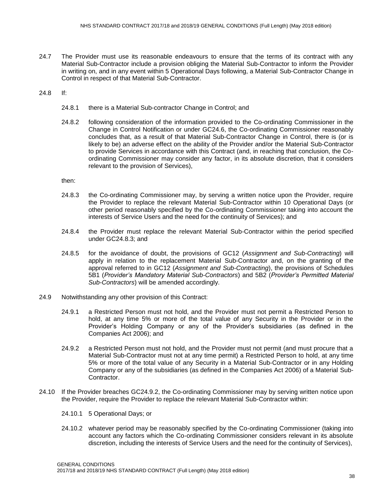- 24.7 The Provider must use its reasonable endeavours to ensure that the terms of its contract with any Material Sub-Contractor include a provision obliging the Material Sub-Contractor to inform the Provider in writing on, and in any event within 5 Operational Days following, a Material Sub-Contractor Change in Control in respect of that Material Sub-Contractor.
- 24.8 If:
	- 24.8.1 there is a Material Sub-contractor Change in Control; and
	- 24.8.2 following consideration of the information provided to the Co-ordinating Commissioner in the Change in Control Notification or under GC24.6, the Co-ordinating Commissioner reasonably concludes that, as a result of that Material Sub-Contractor Change in Control, there is (or is likely to be) an adverse effect on the ability of the Provider and/or the Material Sub-Contractor to provide Services in accordance with this Contract (and, in reaching that conclusion, the Coordinating Commissioner may consider any factor, in its absolute discretion, that it considers relevant to the provision of Services),

then:

- 24.8.3 the Co-ordinating Commissioner may, by serving a written notice upon the Provider, require the Provider to replace the relevant Material Sub-Contractor within 10 Operational Days (or other period reasonably specified by the Co-ordinating Commissioner taking into account the interests of Service Users and the need for the continuity of Services); and
- 24.8.4 the Provider must replace the relevant Material Sub-Contractor within the period specified under GC24.8.3; and
- 24.8.5 for the avoidance of doubt, the provisions of GC12 (*Assignment and Sub-Contracting*) will apply in relation to the replacement Material Sub-Contractor and, on the granting of the approval referred to in GC12 (*Assignment and Sub-Contracting*), the provisions of Schedules 5B1 (*Provider's Mandatory Material Sub-Contractors*) and 5B2 (*Provider's Permitted Material Sub-Contractors*) will be amended accordingly.
- 24.9 Notwithstanding any other provision of this Contract:
	- 24.9.1 a Restricted Person must not hold, and the Provider must not permit a Restricted Person to hold, at any time 5% or more of the total value of any Security in the Provider or in the Provider's Holding Company or any of the Provider's subsidiaries (as defined in the Companies Act 2006); and
	- 24.9.2 a Restricted Person must not hold, and the Provider must not permit (and must procure that a Material Sub-Contractor must not at any time permit) a Restricted Person to hold, at any time 5% or more of the total value of any Security in a Material Sub-Contractor or in any Holding Company or any of the subsidiaries (as defined in the Companies Act 2006) of a Material Sub-Contractor.
- 24.10 If the Provider breaches GC24.9.2, the Co-ordinating Commissioner may by serving written notice upon the Provider, require the Provider to replace the relevant Material Sub-Contractor within:
	- 24.10.1 5 Operational Days; or
	- 24.10.2 whatever period may be reasonably specified by the Co-ordinating Commissioner (taking into account any factors which the Co-ordinating Commissioner considers relevant in its absolute discretion, including the interests of Service Users and the need for the continuity of Services),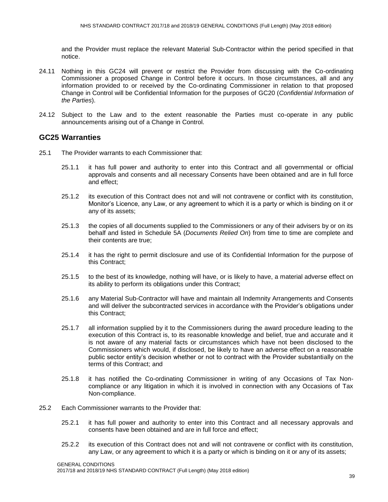and the Provider must replace the relevant Material Sub-Contractor within the period specified in that notice.

- 24.11 Nothing in this GC24 will prevent or restrict the Provider from discussing with the Co-ordinating Commissioner a proposed Change in Control before it occurs. In those circumstances, all and any information provided to or received by the Co-ordinating Commissioner in relation to that proposed Change in Control will be Confidential Information for the purposes of GC20 (*Confidential Information of the Parties*).
- 24.12 Subject to the Law and to the extent reasonable the Parties must co-operate in any public announcements arising out of a Change in Control.

# **GC25 Warranties**

- 25.1 The Provider warrants to each Commissioner that:
	- 25.1.1 it has full power and authority to enter into this Contract and all governmental or official approvals and consents and all necessary Consents have been obtained and are in full force and effect;
	- 25.1.2 its execution of this Contract does not and will not contravene or conflict with its constitution, Monitor's Licence, any Law, or any agreement to which it is a party or which is binding on it or any of its assets;
	- 25.1.3 the copies of all documents supplied to the Commissioners or any of their advisers by or on its behalf and listed in Schedule 5A (*Documents Relied On*) from time to time are complete and their contents are true;
	- 25.1.4 it has the right to permit disclosure and use of its Confidential Information for the purpose of this Contract;
	- 25.1.5 to the best of its knowledge, nothing will have, or is likely to have, a material adverse effect on its ability to perform its obligations under this Contract;
	- 25.1.6 any Material Sub-Contractor will have and maintain all Indemnity Arrangements and Consents and will deliver the subcontracted services in accordance with the Provider's obligations under this Contract;
	- 25.1.7 all information supplied by it to the Commissioners during the award procedure leading to the execution of this Contract is, to its reasonable knowledge and belief, true and accurate and it is not aware of any material facts or circumstances which have not been disclosed to the Commissioners which would, if disclosed, be likely to have an adverse effect on a reasonable public sector entity's decision whether or not to contract with the Provider substantially on the terms of this Contract; and
	- 25.1.8 it has notified the Co-ordinating Commissioner in writing of any Occasions of Tax Noncompliance or any litigation in which it is involved in connection with any Occasions of Tax Non-compliance.
- 25.2 Each Commissioner warrants to the Provider that:
	- 25.2.1 it has full power and authority to enter into this Contract and all necessary approvals and consents have been obtained and are in full force and effect;
	- 25.2.2 its execution of this Contract does not and will not contravene or conflict with its constitution, any Law, or any agreement to which it is a party or which is binding on it or any of its assets;

GENERAL CONDITIONS

2017/18 and 2018/19 NHS STANDARD CONTRACT (Full Length) (May 2018 edition)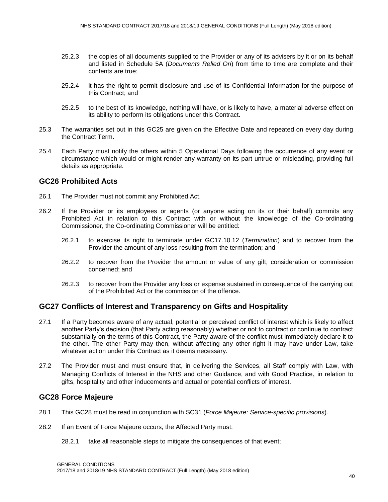- 25.2.3 the copies of all documents supplied to the Provider or any of its advisers by it or on its behalf and listed in Schedule 5A (*Documents Relied On*) from time to time are complete and their contents are true;
- 25.2.4 it has the right to permit disclosure and use of its Confidential Information for the purpose of this Contract; and
- 25.2.5 to the best of its knowledge, nothing will have, or is likely to have, a material adverse effect on its ability to perform its obligations under this Contract.
- 25.3 The warranties set out in this GC25 are given on the Effective Date and repeated on every day during the Contract Term.
- 25.4 Each Party must notify the others within 5 Operational Days following the occurrence of any event or circumstance which would or might render any warranty on its part untrue or misleading, providing full details as appropriate.

## **GC26 Prohibited Acts**

- 26.1 The Provider must not commit any Prohibited Act.
- 26.2 If the Provider or its employees or agents (or anyone acting on its or their behalf) commits any Prohibited Act in relation to this Contract with or without the knowledge of the Co-ordinating Commissioner, the Co-ordinating Commissioner will be entitled:
	- 26.2.1 to exercise its right to terminate under GC17.10.12 (*Termination*) and to recover from the Provider the amount of any loss resulting from the termination; and
	- 26.2.2 to recover from the Provider the amount or value of any gift, consideration or commission concerned; and
	- 26.2.3 to recover from the Provider any loss or expense sustained in consequence of the carrying out of the Prohibited Act or the commission of the offence.

# **GC27 Conflicts of Interest and Transparency on Gifts and Hospitality**

- 27.1 If a Party becomes aware of any actual, potential or perceived conflict of interest which is likely to affect another Party's decision (that Party acting reasonably) whether or not to contract or continue to contract substantially on the terms of this Contract, the Party aware of the conflict must immediately declare it to the other. The other Party may then, without affecting any other right it may have under Law, take whatever action under this Contract as it deems necessary.
- 27.2 The Provider must and must ensure that, in delivering the Services, all Staff comply with Law, with Managing Conflicts of Interest in the NHS and other Guidance, and with Good Practice, in relation to gifts, hospitality and other inducements and actual or potential conflicts of interest.

## **GC28 Force Majeure**

- 28.1 This GC28 must be read in conjunction with SC31 (*Force Majeure: Service-specific provisions*).
- 28.2 If an Event of Force Majeure occurs, the Affected Party must:
	- 28.2.1 take all reasonable steps to mitigate the consequences of that event;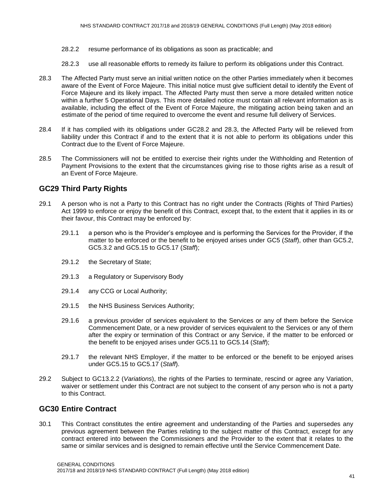- 28.2.2 resume performance of its obligations as soon as practicable; and
- 28.2.3 use all reasonable efforts to remedy its failure to perform its obligations under this Contract.
- 28.3 The Affected Party must serve an initial written notice on the other Parties immediately when it becomes aware of the Event of Force Majeure. This initial notice must give sufficient detail to identify the Event of Force Majeure and its likely impact. The Affected Party must then serve a more detailed written notice within a further 5 Operational Days. This more detailed notice must contain all relevant information as is available, including the effect of the Event of Force Majeure, the mitigating action being taken and an estimate of the period of time required to overcome the event and resume full delivery of Services.
- 28.4 If it has complied with its obligations under GC28.2 and 28.3, the Affected Party will be relieved from liability under this Contract if and to the extent that it is not able to perform its obligations under this Contract due to the Event of Force Majeure.
- 28.5 The Commissioners will not be entitled to exercise their rights under the Withholding and Retention of Payment Provisions to the extent that the circumstances giving rise to those rights arise as a result of an Event of Force Majeure.

# **GC29 Third Party Rights**

- 29.1 A person who is not a Party to this Contract has no right under the Contracts (Rights of Third Parties) Act 1999 to enforce or enjoy the benefit of this Contract, except that, to the extent that it applies in its or their favour, this Contract may be enforced by:
	- 29.1.1 a person who is the Provider's employee and is performing the Services for the Provider, if the matter to be enforced or the benefit to be enjoyed arises under GC5 (*Staff*), other than GC5.2, GC5.3.2 and GC5.15 to GC5.17 (*Staff*);
	- 29.1.2 the Secretary of State;
	- 29.1.3 a Regulatory or Supervisory Body
	- 29.1.4 any CCG or Local Authority;
	- 29.1.5 the NHS Business Services Authority;
	- 29.1.6 a previous provider of services equivalent to the Services or any of them before the Service Commencement Date, or a new provider of services equivalent to the Services or any of them after the expiry or termination of this Contract or any Service, if the matter to be enforced or the benefit to be enjoyed arises under GC5.11 to GC5.14 (*Staff*);
	- 29.1.7 the relevant NHS Employer, if the matter to be enforced or the benefit to be enjoyed arises under GC5.15 to GC5.17 (*Staff*).
- 29.2 Subject to GC13.2.2 (*Variations*), the rights of the Parties to terminate, rescind or agree any Variation, waiver or settlement under this Contract are not subject to the consent of any person who is not a party to this Contract.

# **GC30 Entire Contract**

30.1 This Contract constitutes the entire agreement and understanding of the Parties and supersedes any previous agreement between the Parties relating to the subject matter of this Contract, except for any contract entered into between the Commissioners and the Provider to the extent that it relates to the same or similar services and is designed to remain effective until the Service Commencement Date.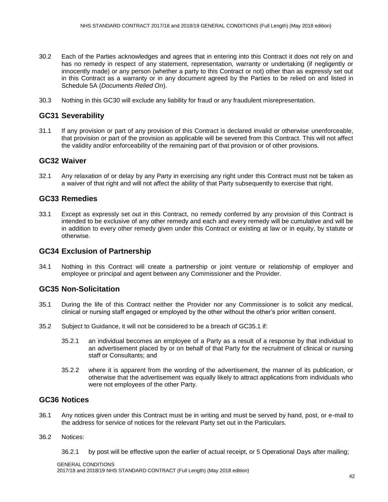- 30.2 Each of the Parties acknowledges and agrees that in entering into this Contract it does not rely on and has no remedy in respect of any statement, representation, warranty or undertaking (if negligently or innocently made) or any person (whether a party to this Contract or not) other than as expressly set out in this Contract as a warranty or in any document agreed by the Parties to be relied on and listed in Schedule 5A (*Documents Relied On*).
- 30.3 Nothing in this GC30 will exclude any liability for fraud or any fraudulent misrepresentation.

# **GC31 Severability**

31.1 If any provision or part of any provision of this Contract is declared invalid or otherwise unenforceable, that provision or part of the provision as applicable will be severed from this Contract. This will not affect the validity and/or enforceability of the remaining part of that provision or of other provisions.

# **GC32 Waiver**

32.1 Any relaxation of or delay by any Party in exercising any right under this Contract must not be taken as a waiver of that right and will not affect the ability of that Party subsequently to exercise that right.

# **GC33 Remedies**

33.1 Except as expressly set out in this Contract, no remedy conferred by any provision of this Contract is intended to be exclusive of any other remedy and each and every remedy will be cumulative and will be in addition to every other remedy given under this Contract or existing at law or in equity, by statute or otherwise.

## **GC34 Exclusion of Partnership**

34.1 Nothing in this Contract will create a partnership or joint venture or relationship of employer and employee or principal and agent between any Commissioner and the Provider.

# **GC35 Non-Solicitation**

- 35.1 During the life of this Contract neither the Provider nor any Commissioner is to solicit any medical, clinical or nursing staff engaged or employed by the other without the other's prior written consent.
- 35.2 Subject to Guidance, it will not be considered to be a breach of GC35.1 if:
	- 35.2.1 an individual becomes an employee of a Party as a result of a response by that individual to an advertisement placed by or on behalf of that Party for the recruitment of clinical or nursing staff or Consultants; and
	- 35.2.2 where it is apparent from the wording of the advertisement, the manner of its publication, or otherwise that the advertisement was equally likely to attract applications from individuals who were not employees of the other Party.

# **GC36 Notices**

36.1 Any notices given under this Contract must be in writing and must be served by hand, post, or e-mail to the address for service of notices for the relevant Party set out in the Particulars.

#### 36.2 Notices:

36.2.1 by post will be effective upon the earlier of actual receipt, or 5 Operational Days after mailing;

#### GENERAL CONDITIONS

2017/18 and 2018/19 NHS STANDARD CONTRACT (Full Length) (May 2018 edition)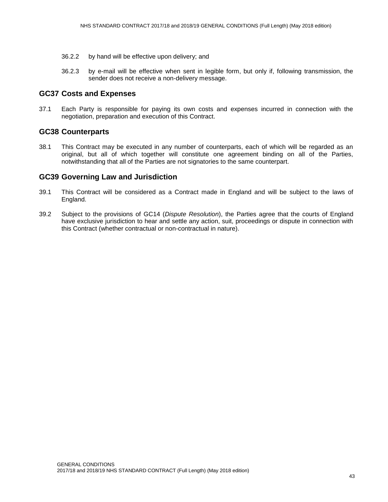- 36.2.2 by hand will be effective upon delivery; and
- 36.2.3 by e-mail will be effective when sent in legible form, but only if, following transmission, the sender does not receive a non-delivery message.

# **GC37 Costs and Expenses**

37.1 Each Party is responsible for paying its own costs and expenses incurred in connection with the negotiation, preparation and execution of this Contract.

# **GC38 Counterparts**

38.1 This Contract may be executed in any number of counterparts, each of which will be regarded as an original, but all of which together will constitute one agreement binding on all of the Parties, notwithstanding that all of the Parties are not signatories to the same counterpart.

# **GC39 Governing Law and Jurisdiction**

- 39.1 This Contract will be considered as a Contract made in England and will be subject to the laws of England.
- 39.2 Subject to the provisions of GC14 (*Dispute Resolution*), the Parties agree that the courts of England have exclusive jurisdiction to hear and settle any action, suit, proceedings or dispute in connection with this Contract (whether contractual or non-contractual in nature).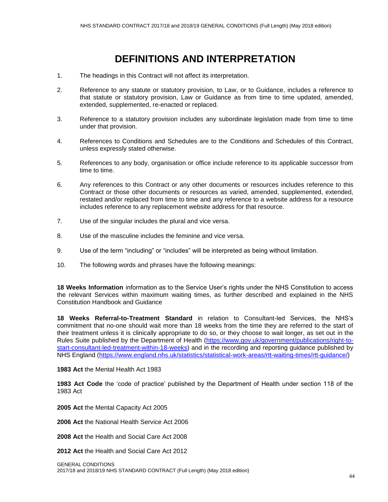# **DEFINITIONS AND INTERPRETATION**

- 1. The headings in this Contract will not affect its interpretation.
- 2. Reference to any statute or statutory provision, to Law, or to Guidance, includes a reference to that statute or statutory provision, Law or Guidance as from time to time updated, amended, extended, supplemented, re-enacted or replaced.
- 3. Reference to a statutory provision includes any subordinate legislation made from time to time under that provision.
- 4. References to Conditions and Schedules are to the Conditions and Schedules of this Contract, unless expressly stated otherwise.
- 5. References to any body, organisation or office include reference to its applicable successor from time to time.
- 6. Any references to this Contract or any other documents or resources includes reference to this Contract or those other documents or resources as varied, amended, supplemented, extended, restated and/or replaced from time to time and any reference to a website address for a resource includes reference to any replacement website address for that resource.
- 7. Use of the singular includes the plural and vice versa.
- 8. Use of the masculine includes the feminine and vice versa.
- 9. Use of the term "including" or "includes" will be interpreted as being without limitation.
- 10. The following words and phrases have the following meanings:

**18 Weeks Information** information as to the Service User's rights under the NHS Constitution to access the relevant Services within maximum waiting times, as further described and explained in the NHS Constitution Handbook and Guidance

**18 Weeks Referral-to-Treatment Standard** in relation to Consultant-led Services, the NHS's commitment that no-one should wait more than 18 weeks from the time they are referred to the start of their treatment unless it is clinically appropriate to do so, or they choose to wait longer, as set out in the Rules Suite published by the Department of Health [\(https://www.gov.uk/government/publications/right-to](https://www.gov.uk/government/publications/right-to-start-consultant-led-treatment-within-18-weeks)[start-consultant-led-treatment-within-18-weeks\)](https://www.gov.uk/government/publications/right-to-start-consultant-led-treatment-within-18-weeks) and in the recording and reporting guidance published by NHS England [\(https://www.england.nhs.uk/statistics/statistical-work-areas/rtt-waiting-times/rtt-guidance/\)](https://www.england.nhs.uk/statistics/statistical-work-areas/rtt-waiting-times/rtt-guidance/)

**1983 Act** the Mental Health Act 1983

**1983 Act Code** the 'code of practice' published by the Department of Health under section 118 of the 1983 Act

**2005 Act** the Mental Capacity Act 2005

**2006 Act** the National Health Service Act 2006

**2008 Act** the Health and Social Care Act 2008

**2012 Act** the Health and Social Care Act 2012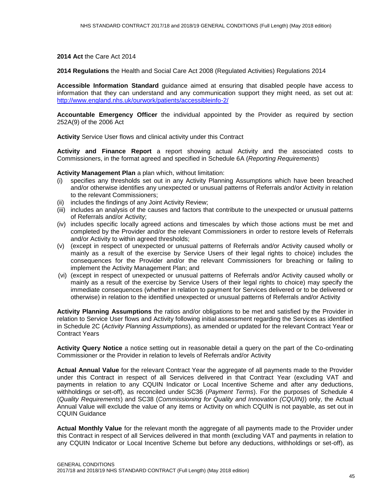**2014 Act** the Care Act 2014

**2014 Regulations** the Health and Social Care Act 2008 (Regulated Activities) Regulations 2014

**Accessible Information Standard** guidance aimed at ensuring that disabled people have access to information that they can understand and any communication support they might need, as set out at: <http://www.england.nhs.uk/ourwork/patients/accessibleinfo-2/>

**Accountable Emergency Officer** the individual appointed by the Provider as required by section 252A(9) of the 2006 Act

**Activity** Service User flows and clinical activity under this Contract

**Activity and Finance Report** a report showing actual Activity and the associated costs to Commissioners, in the format agreed and specified in Schedule 6A (*Reporting Requirements*)

**Activity Management Plan** a plan which, without limitation:

- (i) specifies any thresholds set out in any Activity Planning Assumptions which have been breached and/or otherwise identifies any unexpected or unusual patterns of Referrals and/or Activity in relation to the relevant Commissioners;
- (ii) includes the findings of any Joint Activity Review;
- (iii) includes an analysis of the causes and factors that contribute to the unexpected or unusual patterns of Referrals and/or Activity;
- (iv) includes specific locally agreed actions and timescales by which those actions must be met and completed by the Provider and/or the relevant Commissioners in order to restore levels of Referrals and/or Activity to within agreed thresholds;
- (v) (except in respect of unexpected or unusual patterns of Referrals and/or Activity caused wholly or mainly as a result of the exercise by Service Users of their legal rights to choice) includes the consequences for the Provider and/or the relevant Commissioners for breaching or failing to implement the Activity Management Plan; and
- (vi) (except in respect of unexpected or unusual patterns of Referrals and/or Activity caused wholly or mainly as a result of the exercise by Service Users of their legal rights to choice) may specify the immediate consequences (whether in relation to payment for Services delivered or to be delivered or otherwise) in relation to the identified unexpected or unusual patterns of Referrals and/or Activity

**Activity Planning Assumptions** the ratios and/or obligations to be met and satisfied by the Provider in relation to Service User flows and Activity following initial assessment regarding the Services as identified in Schedule 2C (*Activity Planning Assumptions*), as amended or updated for the relevant Contract Year or Contract Years

**Activity Query Notice** a notice setting out in reasonable detail a query on the part of the Co-ordinating Commissioner or the Provider in relation to levels of Referrals and/or Activity

**Actual Annual Value** for the relevant Contract Year the aggregate of all payments made to the Provider under this Contract in respect of all Services delivered in that Contract Year (excluding VAT and payments in relation to any CQUIN Indicator or Local Incentive Scheme and after any deductions, withholdings or set-off), as reconciled under SC36 (*Payment Terms*). For the purposes of Schedule 4 (*Quality Requirements*) and SC38 (*Commissioning for Quality and Innovation (CQUIN)*) only, the Actual Annual Value will exclude the value of any items or Activity on which CQUIN is not payable, as set out in CQUIN Guidance

**Actual Monthly Value** for the relevant month the aggregate of all payments made to the Provider under this Contract in respect of all Services delivered in that month (excluding VAT and payments in relation to any CQUIN Indicator or Local Incentive Scheme but before any deductions, withholdings or set-off), as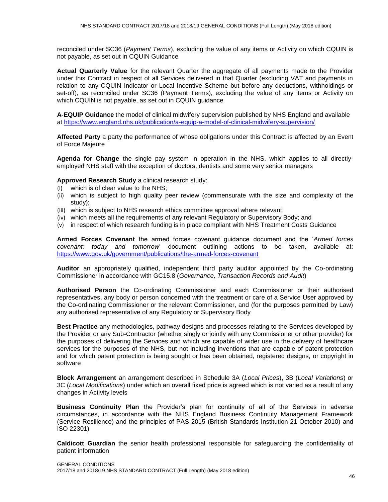reconciled under SC36 (*Payment Terms*), excluding the value of any items or Activity on which CQUIN is not payable, as set out in CQUIN Guidance

**Actual Quarterly Value** for the relevant Quarter the aggregate of all payments made to the Provider under this Contract in respect of all Services delivered in that Quarter (excluding VAT and payments in relation to any CQUIN Indicator or Local Incentive Scheme but before any deductions, withholdings or set-off), as reconciled under SC36 (Payment Terms), excluding the value of any items or Activity on which CQUIN is not payable, as set out in CQUIN guidance

**A-EQUIP Guidance** the model of clinical midwifery supervision published by NHS England and available at<https://www.england.nhs.uk/publication/a-equip-a-model-of-clinical-midwifery-supervision/>

**Affected Party** a party the performance of whose obligations under this Contract is affected by an Event of Force Majeure

**Agenda for Change** the single pay system in operation in the NHS, which applies to all directlyemployed NHS staff with the exception of doctors, dentists and some very senior managers

**Approved Research Study** a clinical research study:

- (i) which is of clear value to the NHS;
- (ii) which is subject to high quality peer review (commensurate with the size and complexity of the study);
- (iii) which is subject to NHS research ethics committee approval where relevant;
- (iv) which meets all the requirements of any relevant Regulatory or Supervisory Body; and
- (v) in respect of which research funding is in place compliant with NHS Treatment Costs Guidance

**Armed Forces Covenant** the armed forces covenant guidance document and the '*Armed forces covenant: today and tomorrow*' document outlining actions to be taken, available at: <https://www.gov.uk/government/publications/the-armed-forces-covenant>

**Auditor** an appropriately qualified, independent third party auditor appointed by the Co-ordinating Commissioner in accordance with GC15.8 (*Governance, Transaction Records and Audit*)

**Authorised Person** the Co-ordinating Commissioner and each Commissioner or their authorised representatives, any body or person concerned with the treatment or care of a Service User approved by the Co-ordinating Commissioner or the relevant Commissioner, and (for the purposes permitted by Law) any authorised representative of any Regulatory or Supervisory Body

**Best Practice** any methodologies, pathway designs and processes relating to the Services developed by the Provider or any Sub-Contractor (whether singly or jointly with any Commissioner or other provider) for the purposes of delivering the Services and which are capable of wider use in the delivery of healthcare services for the purposes of the NHS, but not including inventions that are capable of patent protection and for which patent protection is being sought or has been obtained, registered designs, or copyright in software

**Block Arrangement** an arrangement described in Schedule 3A (*Local Prices*), 3B (*Local Variations*) or 3C (*Local Modifications*) under which an overall fixed price is agreed which is not varied as a result of any changes in Activity levels

**Business Continuity Plan** the Provider's plan for continuity of all of the Services in adverse circumstances, in accordance with the NHS England Business Continuity Management Framework (Service Resilience) and the principles of PAS 2015 (British Standards Institution 21 October 2010) and ISO 22301)

**Caldicott Guardian** the senior health professional responsible for safeguarding the confidentiality of patient information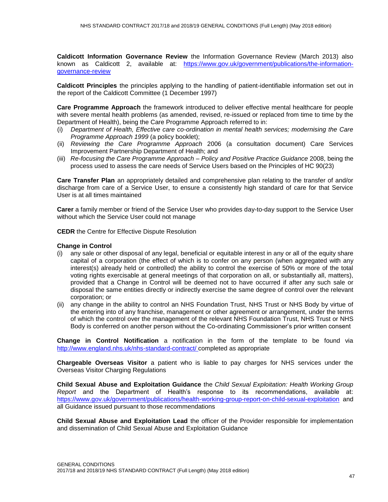**Caldicott Information Governance Review** the Information Governance Review (March 2013) also known as Caldicott 2, available at: [https://www.gov.uk/government/publications/the-information](https://www.gov.uk/government/publications/the-information-governance-review)[governance-review](https://www.gov.uk/government/publications/the-information-governance-review)

**Caldicott Principles** the principles applying to the handling of patient-identifiable information set out in the report of the Caldicott Committee (1 December 1997)

**Care Programme Approach** the framework introduced to deliver effective mental healthcare for people with severe mental health problems (as amended, revised, re-issued or replaced from time to time by the Department of Health), being the Care Programme Approach referred to in:

- (i) *Department of Health, Effective care co-ordination in mental health services; modernising the Care Programme Approach 1999* (a policy booklet);
- (ii) *Reviewing the Care Programme Approach* 2006 (a consultation document) Care Services Improvement Partnership Department of Health; and
- (iii) *Re-focusing the Care Programme Approach – Policy and Positive Practice Guidance* 2008, being the process used to assess the care needs of Service Users based on the Principles of HC 90(23)

**Care Transfer Plan** an appropriately detailed and comprehensive plan relating to the transfer of and/or discharge from care of a Service User, to ensure a consistently high standard of care for that Service User is at all times maintained

**Carer** a family member or friend of the Service User who provides day-to-day support to the Service User without which the Service User could not manage

**CEDR** the Centre for Effective Dispute Resolution

#### **Change in Control**

- (i) any sale or other disposal of any legal, beneficial or equitable interest in any or all of the equity share capital of a corporation (the effect of which is to confer on any person (when aggregated with any interest(s) already held or controlled) the ability to control the exercise of 50% or more of the total voting rights exercisable at general meetings of that corporation on all, or substantially all, matters), provided that a Change in Control will be deemed not to have occurred if after any such sale or disposal the same entities directly or indirectly exercise the same degree of control over the relevant corporation; or
- (ii) any change in the ability to control an NHS Foundation Trust, NHS Trust or NHS Body by virtue of the entering into of any franchise, management or other agreement or arrangement, under the terms of which the control over the management of the relevant NHS Foundation Trust, NHS Trust or NHS Body is conferred on another person without the Co-ordinating Commissioner's prior written consent

**Change in Control Notification** a notification in the form of the template to be found via <http://www.england.nhs.uk/nhs-standard-contract/> completed as appropriate

**Chargeable Overseas Visitor** a patient who is liable to pay charges for NHS services under the Overseas Visitor Charging Regulations

**Child Sexual Abuse and Exploitation Guidance** the *Child Sexual Exploitation: Health Working Group Report* and the Department of Health's response to its recommendations, available at: <https://www.gov.uk/government/publications/health-working-group-report-on-child-sexual-exploitation> and all Guidance issued pursuant to those recommendations

**Child Sexual Abuse and Exploitation Lead** the officer of the Provider responsible for implementation and dissemination of Child Sexual Abuse and Exploitation Guidance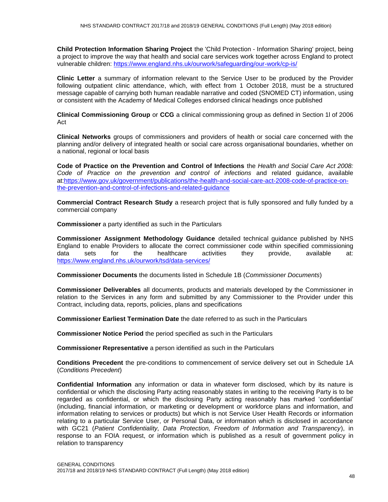**Child Protection Information Sharing Project** the 'Child Protection - Information Sharing' project, being a project to improve the way that health and social care services work together across England to protect vulnerable children: <https://www.england.nhs.uk/ourwork/safeguarding/our-work/cp-is/>

**Clinic Letter** a summary of information relevant to the Service User to be produced by the Provider following outpatient clinic attendance, which, with effect from 1 October 2018, must be a structured message capable of carrying both human readable narrative and coded (SNOMED CT) information, using or consistent with the Academy of Medical Colleges endorsed clinical headings once published

**Clinical Commissioning Group** or **CCG** a clinical commissioning group as defined in Section 1l of 2006 Act

**Clinical Networks** groups of commissioners and providers of health or social care concerned with the planning and/or delivery of integrated health or social care across organisational boundaries, whether on a national, regional or local basis

**Code of Practice on the Prevention and Control of Infections** the *Health and Social Care Act 2008: Code of Practice on the prevention and control of infections* and related guidance, available at[:https://www.gov.uk/government/publications/the-health-and-social-care-act-2008-code-of-practice-on](https://www.gov.uk/government/publications/the-health-and-social-care-act-2008-code-of-practice-on-the-prevention-and-control-of-infections-and-related-guidance)[the-prevention-and-control-of-infections-and-related-guidance](https://www.gov.uk/government/publications/the-health-and-social-care-act-2008-code-of-practice-on-the-prevention-and-control-of-infections-and-related-guidance)

**Commercial Contract Research Study** a research project that is fully sponsored and fully funded by a commercial company

**Commissioner** a party identified as such in the Particulars

**Commissioner Assignment Methodology Guidance** detailed technical guidance published by NHS England to enable Providers to allocate the correct commissioner code within specified commissioning data sets for the healthcare activities they provide, available at: <https://www.england.nhs.uk/ourwork/tsd/data-services/>

**Commissioner Documents** the documents listed in Schedule 1B (*Commissioner Documents*)

**Commissioner Deliverables** all documents, products and materials developed by the Commissioner in relation to the Services in any form and submitted by any Commissioner to the Provider under this Contract, including data, reports, policies, plans and specifications

**Commissioner Earliest Termination Date** the date referred to as such in the Particulars

**Commissioner Notice Period** the period specified as such in the Particulars

**Commissioner Representative** a person identified as such in the Particulars

**Conditions Precedent** the pre-conditions to commencement of service delivery set out in Schedule 1A (*Conditions Precedent*)

**Confidential Information** any information or data in whatever form disclosed, which by its nature is confidential or which the disclosing Party acting reasonably states in writing to the receiving Party is to be regarded as confidential, or which the disclosing Party acting reasonably has marked 'confidential' (including, financial information, or marketing or development or workforce plans and information, and information relating to services or products) but which is not Service User Health Records or information relating to a particular Service User, or Personal Data, or information which is disclosed in accordance with GC21 (*Patient Confidentiality, Data Protection, Freedom of Information and Transparency*), in response to an FOIA request, or information which is published as a result of government policy in relation to transparency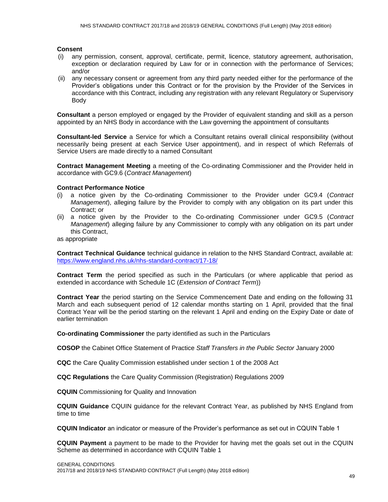### **Consent**

- (i) any permission, consent, approval, certificate, permit, licence, statutory agreement, authorisation, exception or declaration required by Law for or in connection with the performance of Services; and/or
- (ii) any necessary consent or agreement from any third party needed either for the performance of the Provider's obligations under this Contract or for the provision by the Provider of the Services in accordance with this Contract, including any registration with any relevant Regulatory or Supervisory Body

**Consultant** a person employed or engaged by the Provider of equivalent standing and skill as a person appointed by an NHS Body in accordance with the Law governing the appointment of consultants

**Consultant-led Service** a Service for which a Consultant retains overall clinical responsibility (without necessarily being present at each Service User appointment), and in respect of which Referrals of Service Users are made directly to a named Consultant

**Contract Management Meeting** a meeting of the Co-ordinating Commissioner and the Provider held in accordance with GC9.6 (*Contract Management*)

#### **Contract Performance Notice**

- (i) a notice given by the Co-ordinating Commissioner to the Provider under GC9.4 (*Contract Management*), alleging failure by the Provider to comply with any obligation on its part under this Contract; or
- (ii) a notice given by the Provider to the Co-ordinating Commissioner under GC9.5 (*Contract Management*) alleging failure by any Commissioner to comply with any obligation on its part under this Contract,

as appropriate

**Contract Technical Guidance** technical guidance in relation to the NHS Standard Contract, available at: <https://www.england.nhs.uk/nhs-standard-contract/17-18/>

**Contract Term** the period specified as such in the Particulars (or where applicable that period as extended in accordance with Schedule 1C (*Extension of Contract Term*))

**Contract Year** the period starting on the Service Commencement Date and ending on the following 31 March and each subsequent period of 12 calendar months starting on 1 April, provided that the final Contract Year will be the period starting on the relevant 1 April and ending on the Expiry Date or date of earlier termination

**Co-ordinating Commissioner** the party identified as such in the Particulars

**COSOP** the Cabinet Office Statement of Practice *Staff Transfers in the Public Sector* January 2000

**CQC** the Care Quality Commission established under section 1 of the 2008 Act

**CQC Regulations** the Care Quality Commission (Registration) Regulations 2009

**CQUIN** Commissioning for Quality and Innovation

**CQUIN Guidance** CQUIN guidance for the relevant Contract Year, as published by NHS England from time to time

**CQUIN Indicator** an indicator or measure of the Provider's performance as set out in CQUIN Table 1

**CQUIN Payment** a payment to be made to the Provider for having met the goals set out in the CQUIN Scheme as determined in accordance with CQUIN Table 1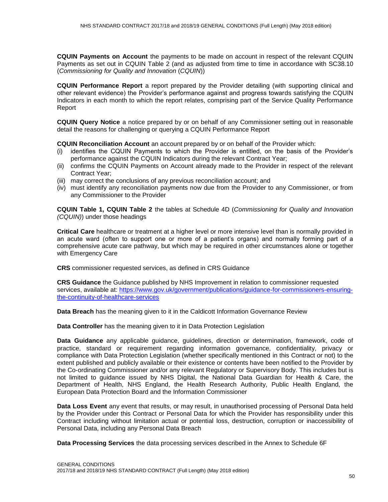**CQUIN Payments on Account** the payments to be made on account in respect of the relevant CQUIN Payments as set out in CQUIN Table 2 (and as adjusted from time to time in accordance with SC38.10 (*Commissioning for Quality and Innovation* (*CQUIN*))

**CQUIN Performance Report** a report prepared by the Provider detailing (with supporting clinical and other relevant evidence) the Provider's performance against and progress towards satisfying the CQUIN Indicators in each month to which the report relates, comprising part of the Service Quality Performance Report

**CQUIN Query Notice** a notice prepared by or on behalf of any Commissioner setting out in reasonable detail the reasons for challenging or querying a CQUIN Performance Report

**CQUIN Reconciliation Account** an account prepared by or on behalf of the Provider which:

- (i) identifies the CQUIN Payments to which the Provider is entitled, on the basis of the Provider's performance against the CQUIN Indicators during the relevant Contract Year;
- (ii) confirms the CQUIN Payments on Account already made to the Provider in respect of the relevant Contract Year;
- (iii) may correct the conclusions of any previous reconciliation account; and
- (iv) must identify any reconciliation payments now due from the Provider to any Commissioner, or from any Commissioner to the Provider

**CQUIN Table 1, CQUIN Table 2** the tables at Schedule 4D (*Commissioning for Quality and Innovation (CQUIN)*) under those headings

**Critical Care** healthcare or treatment at a higher level or more intensive level than is normally provided in an acute ward (often to support one or more of a patient's organs) and normally forming part of a comprehensive acute care pathway, but which may be required in other circumstances alone or together with Emergency Care

**CRS** commissioner requested services, as defined in CRS Guidance

**CRS Guidance** the Guidance published by NHS Improvement in relation to commissioner requested services, available at: [https://www.gov.uk/government/publications/guidance-for-commissioners-ensuring](https://www.gov.uk/government/publications/guidance-for-commissioners-ensuring-the-continuity-of-healthcare-services)[the-continuity-of-healthcare-services](https://www.gov.uk/government/publications/guidance-for-commissioners-ensuring-the-continuity-of-healthcare-services)

**Data Breach** has the meaning given to it in the Caldicott Information Governance Review

**Data Controller** has the meaning given to it in Data Protection Legislation

**Data Guidance** any applicable guidance, guidelines, direction or determination, framework, code of practice, standard or requirement regarding information governance, confidentiality, privacy or compliance with Data Protection Legislation (whether specifically mentioned in this Contract or not) to the extent published and publicly available or their existence or contents have been notified to the Provider by the Co-ordinating Commissioner and/or any relevant Regulatory or Supervisory Body. This includes but is not limited to guidance issued by NHS Digital, the National Data Guardian for Health & Care, the Department of Health, NHS England, the Health Research Authority, Public Health England, the European Data Protection Board and the Information Commissioner

**Data Loss Event** any event that results, or may result, in unauthorised processing of Personal Data held by the Provider under this Contract or Personal Data for which the Provider has responsibility under this Contract including without limitation actual or potential loss, destruction, corruption or inaccessibility of Personal Data, including any Personal Data Breach

**Data Processing Services** the data processing services described in the Annex to Schedule 6F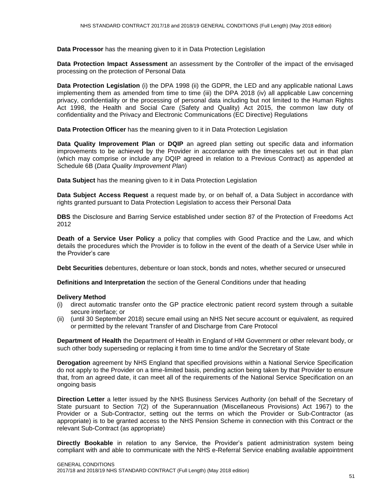**Data Processor** has the meaning given to it in Data Protection Legislation

**Data Protection Impact Assessment** an assessment by the Controller of the impact of the envisaged processing on the protection of Personal Data

**Data Protection Legislation** (i) the DPA 1998 (ii) the GDPR, the LED and any applicable national Laws implementing them as amended from time to time (iii) the DPA 2018 (iv) all applicable Law concerning privacy, confidentiality or the processing of personal data including but not limited to the Human Rights Act 1998, the Health and Social Care (Safety and Quality) Act 2015, the common law duty of confidentiality and the Privacy and Electronic Communications (EC Directive) Regulations

**Data Protection Officer** has the meaning given to it in Data Protection Legislation

**Data Quality Improvement Plan** or **DQIP** an agreed plan setting out specific data and information improvements to be achieved by the Provider in accordance with the timescales set out in that plan (which may comprise or include any DQIP agreed in relation to a Previous Contract) as appended at Schedule 6B (*Data Quality Improvement Plan*)

**Data Subject** has the meaning given to it in Data Protection Legislation

**Data Subject Access Request** a request made by, or on behalf of, a Data Subject in accordance with rights granted pursuant to Data Protection Legislation to access their Personal Data

**DBS** the Disclosure and Barring Service established under section 87 of the Protection of Freedoms Act 2012

**Death of a Service User Policy** a policy that complies with Good Practice and the Law, and which details the procedures which the Provider is to follow in the event of the death of a Service User while in the Provider's care

**Debt Securities** debentures, debenture or loan stock, bonds and notes, whether secured or unsecured

**Definitions and Interpretation** the section of the General Conditions under that heading

#### **Delivery Method**

- (i) direct automatic transfer onto the GP practice electronic patient record system through a suitable secure interface; or
- (ii) (until 30 September 2018) secure email using an NHS Net secure account or equivalent, as required or permitted by the relevant Transfer of and Discharge from Care Protocol

**Department of Health** the Department of Health in England of HM Government or other relevant body, or such other body superseding or replacing it from time to time and/or the Secretary of State

**Derogation** agreement by NHS England that specified provisions within a National Service Specification do not apply to the Provider on a time-limited basis, pending action being taken by that Provider to ensure that, from an agreed date, it can meet all of the requirements of the National Service Specification on an ongoing basis

**Direction Letter** a letter issued by the NHS Business Services Authority (on behalf of the Secretary of State pursuant to Section 7(2) of the Superannuation (Miscellaneous Provisions) Act 1967) to the Provider or a Sub-Contractor, setting out the terms on which the Provider or Sub-Contractor (as appropriate) is to be granted access to the NHS Pension Scheme in connection with this Contract or the relevant Sub-Contract (as appropriate)

**Directly Bookable** in relation to any Service, the Provider's patient administration system being compliant with and able to communicate with the NHS e-Referral Service enabling available appointment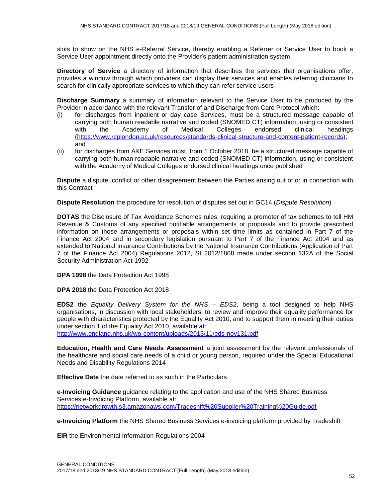slots to show on the NHS e-Referral Service, thereby enabling a Referrer or Service User to book a Service User appointment directly onto the Provider's patient administration system

**Directory of Service** a directory of information that describes the services that organisations offer, provides a window through which providers can display their services and enables referring clinicians to search for clinically appropriate services to which they can refer service users

**Discharge Summary** a summary of information relevant to the Service User to be produced by the Provider in accordance with the relevant Transfer of and Discharge from Care Protocol which:

- (i) for discharges from inpatient or day case Services, must be a structured message capable of carrying both human readable narrative and coded (SNOMED CT) information, using or consistent with the Academy of Medical Colleges endorsed clinical headings [\(https://www.rcplondon.ac.uk/resources/standards-clinical-structure-and-content-patient-records\)](https://www.rcplondon.ac.uk/resources/standards-clinical-structure-and-content-patient-records); and
- (ii) for discharges from A&E Services must, from 1 October 2018, be a structured message capable of carrying both human readable narrative and coded (SNOMED CT) information, using or consistent with the Academy of Medical Colleges endorsed clinical headings once published

**Dispute** a dispute, conflict or other disagreement between the Parties arising out of or in connection with this Contract

**Dispute Resolution** the procedure for resolution of disputes set out in GC14 (*Dispute Resolution*)

**DOTAS** the Disclosure of Tax Avoidance Schemes rules, requiring a promoter of tax schemes to tell HM Revenue & Customs of any specified notifiable arrangements or proposals and to provide prescribed information on those arrangements or proposals within set time limits as contained in Part 7 of the Finance Act 2004 and in secondary legislation pursuant to Part 7 of the Finance Act 2004 and as extended to National Insurance Contributions by the National Insurance Contributions (Application of Part 7 of the Finance Act 2004) Regulations 2012, SI 2012/1868 made under section 132A of the Social Security Administration Act 1992

**DPA 1998** the Data Protection Act 1998

**DPA 2018** the Data Protection Act 2018

**EDS2** the *Equality Delivery System for the NHS – EDS2*, being a tool designed to help NHS organisations, in discussion with local stakeholders, to review and improve their equality performance for people with characteristics protected by the Equality Act 2010, and to support them in meeting their duties under section 1 of the Equality Act 2010, available at:

<http://www.england.nhs.uk/wp-content/uploads/2013/11/eds-nov131.pdf>

**Education, Health and Care Needs Assessment** a joint assessment by the relevant professionals of the healthcare and social care needs of a child or young person, required under the Special Educational Needs and Disability Regulations 2014

**Effective Date** the date referred to as such in the Particulars

**e-Invoicing Guidance** guidance relating to the application and use of the NHS Shared Business Services e-Invoicing Platform, available at: https://networkgrowth.s3.amazonaws.com/Tradeshift%20Supplier%20Training%20Guide.pdf

**e-Invoicing Platform** the NHS Shared Business Services e-invoicing platform provided by Tradeshift

**EIR** the Environmental Information Regulations 2004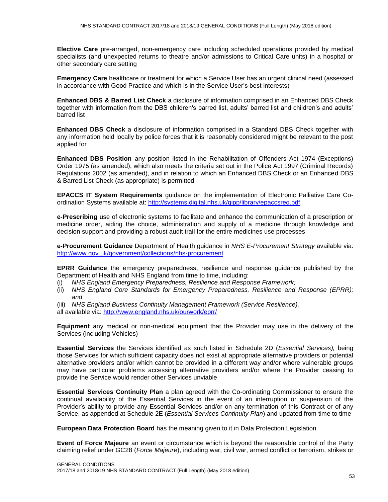**Elective Care** pre-arranged, non-emergency care including scheduled operations provided by medical specialists (and unexpected returns to theatre and/or admissions to Critical Care units) in a hospital or other secondary care setting

**Emergency Care** healthcare or treatment for which a Service User has an urgent clinical need (assessed in accordance with Good Practice and which is in the Service User's best interests)

**Enhanced DBS & Barred List Check** a disclosure of information comprised in an Enhanced DBS Check together with information from the DBS children's barred list, adults' barred list and children's and adults' barred list

**Enhanced DBS Check** a disclosure of information comprised in a Standard DBS Check together with any information held locally by police forces that it is reasonably considered might be relevant to the post applied for

**Enhanced DBS Position** any position listed in the Rehabilitation of Offenders Act 1974 (Exceptions) Order 1975 (as amended), which also meets the criteria set out in the Police Act 1997 (Criminal Records) Regulations 2002 (as amended), and in relation to which an Enhanced DBS Check or an Enhanced DBS & Barred List Check (as appropriate) is permitted

**EPACCS IT System Requirements** guidance on the implementation of Electronic Palliative Care Coordination Systems available at: <http://systems.digital.nhs.uk/qipp/library/epaccsreq.pdf>

**e-Prescribing** use of electronic systems to facilitate and enhance the communication of a prescription or medicine order, aiding the choice, administration and supply of a medicine through knowledge and decision support and providing a robust audit trail for the entire medicines use processes

**e-Procurement Guidance** Department of Health guidance in *NHS E-Procurement Strategy* available via: <http://www.gov.uk/government/collections/nhs-procurement>

**EPRR Guidance** the emergency preparedness, resilience and response guidance published by the Department of Health and NHS England from time to time, including:

- (i) *NHS England Emergency Preparedness, Resilience and Response Framework;*
- (ii) *NHS England Core Standards for Emergency Preparedness, Resilience and Response (EPRR); and*
- (iii) *NHS England Business Continuity Management Framework (Service Resilience),*

all available via: <http://www.england.nhs.uk/ourwork/eprr/>

**Equipment** any medical or non-medical equipment that the Provider may use in the delivery of the Services (including Vehicles)

**Essential Services** the Services identified as such listed in Schedule 2D (*Essential Services),* being those Services for which sufficient capacity does not exist at appropriate alternative providers or potential alternative providers and/or which cannot be provided in a different way and/or where vulnerable groups may have particular problems accessing alternative providers and/or where the Provider ceasing to provide the Service would render other Services unviable

**Essential Services Continuity Plan** a plan agreed with the Co-ordinating Commissioner to ensure the continual availability of the Essential Services in the event of an interruption or suspension of the Provider's ability to provide any Essential Services and/or on any termination of this Contract or of any Service, as appended at Schedule 2E (*Essential Services Continuity Plan*) and updated from time to time

**European Data Protection Board** has the meaning given to it in Data Protection Legislation

**Event of Force Majeure** an event or circumstance which is beyond the reasonable control of the Party claiming relief under GC28 (*Force Majeure*), including war, civil war, armed conflict or terrorism, strikes or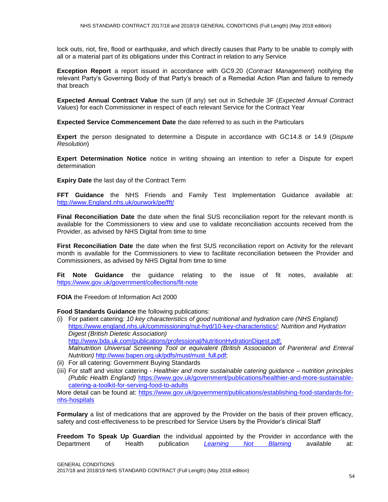lock outs, riot, fire, flood or earthquake, and which directly causes that Party to be unable to comply with all or a material part of its obligations under this Contract in relation to any Service

**Exception Report** a report issued in accordance with GC9.20 (*Contract Management*) notifying the relevant Party's Governing Body of that Party's breach of a Remedial Action Plan and failure to remedy that breach

**Expected Annual Contract Value** the sum (if any) set out in Schedule 3F (*Expected Annual Contract Values*) for each Commissioner in respect of each relevant Service for the Contract Year

**Expected Service Commencement Date** the date referred to as such in the Particulars

**Expert** the person designated to determine a Dispute in accordance with GC14.8 or 14.9 (*Dispute Resolution*)

**Expert Determination Notice** notice in writing showing an intention to refer a Dispute for expert determination

**Expiry Date** the last day of the Contract Term

**FFT Guidance** the NHS Friends and Family Test Implementation Guidance available at: [http://www.England.nhs.uk/ourwork/pe/fft/](http://www.england.nhs.uk/ourwork/pe/fft/)

**Final Reconciliation Date** the date when the final SUS reconciliation report for the relevant month is available for the Commissioners to view and use to validate reconciliation accounts received from the Provider, as advised by NHS Digital from time to time

**First Reconciliation Date** the date when the first SUS reconciliation report on Activity for the relevant month is available for the Commissioners to view to facilitate reconciliation between the Provider and Commissioners, as advised by NHS Digital from time to time

**Fit Note Guidance** the guidance relating to the issue of fit notes, available at: <https://www.gov.uk/government/collections/fit-note>

**FOIA** the Freedom of Information Act 2000

**Food Standards Guidance** the following publications:

- (i) For patient catering*: 10 key characteristics of good nutritional and hydration care (NHS England)*  [https://www.england.nhs.uk/commissioning/nut-hyd/10-key-characteristics/;](https://www.england.nhs.uk/commissioning/nut-hyd/10-key-characteristics/) *Nutrition and Hydration Digest (British Dietetic Association)* [http://www.bda.uk.com/publications/professional/NutritionHydrationDigest.pdf;](http://www.bda.uk.com/publications/professional/NutritionHydrationDigest.pdf) *Malnutrition Universal Screening Tool or equivalent (British Association of Parenteral and Enteral Nutrition)* [http://www.bapen.org.uk/pdfs/must/must\\_full.pdf;](http://www.bapen.org.uk/pdfs/must/must_full.pdf)
- (ii) For all catering: Government Buying Standards
- (iii) For staff and visitor catering *Healthier and more sustainable catering guidance – nutrition principles (Public Health England)* [https://www.gov.uk/government/publications/healthier-and-more-sustainable](https://www.gov.uk/government/publications/healthier-and-more-sustainable-catering-a-toolkit-for-serving-food-to-adults)[catering-a-toolkit-for-serving-food-to-adults](https://www.gov.uk/government/publications/healthier-and-more-sustainable-catering-a-toolkit-for-serving-food-to-adults)

More detail can be found at: [https://www.gov.uk/government/publications/establishing-food-standards-for](https://www.gov.uk/government/publications/establishing-food-standards-for-nhs-hospitals)[nhs-hospitals](https://www.gov.uk/government/publications/establishing-food-standards-for-nhs-hospitals)

**Formulary** a list of medications that are approved by the Provider on the basis of their proven efficacy, safety and cost-effectiveness to be prescribed for Service Users by the Provider's clinical Staff

**Freedom To Speak Up Guardian** the individual appointed by the Provider in accordance with the Department of Health publication *[Learning Not Blaming](https://www.gov.uk/government/publications/learning-not-blaming-response-to-3-reports-on-patient-safety)* available at: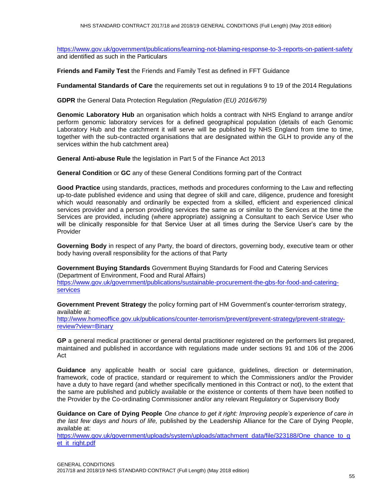<https://www.gov.uk/government/publications/learning-not-blaming-response-to-3-reports-on-patient-safety> and identified as such in the Particulars

**Friends and Family Test** the Friends and Family Test as defined in FFT Guidance

**Fundamental Standards of Care** the requirements set out in regulations 9 to 19 of the 2014 Regulations

**GDPR** the General Data Protection Regulation *(Regulation (EU) 2016/679)*

**Genomic Laboratory Hub** an organisation which holds a contract with NHS England to arrange and/or perform genomic laboratory services for a defined geographical population (details of each Genomic Laboratory Hub and the catchment it will serve will be published by NHS England from time to time, together with the sub-contracted organisations that are designated within the GLH to provide any of the services within the hub catchment area)

**General Anti-abuse Rule** the legislation in Part 5 of the Finance Act 2013

**General Condition** or **GC** any of these General Conditions forming part of the Contract

**Good Practice** using standards, practices, methods and procedures conforming to the Law and reflecting up-to-date published evidence and using that degree of skill and care, diligence, prudence and foresight which would reasonably and ordinarily be expected from a skilled, efficient and experienced clinical services provider and a person providing services the same as or similar to the Services at the time the Services are provided, including (where appropriate) assigning a Consultant to each Service User who will be clinically responsible for that Service User at all times during the Service User's care by the Provider

**Governing Body** in respect of any Party, the board of directors, governing body, executive team or other body having overall responsibility for the actions of that Party

**Government Buying Standards** Government Buying Standards for Food and Catering Services (Department of Environment, Food and Rural Affairs)

[https://www.gov.uk/government/publications/sustainable-procurement-the-gbs-for-food-and-catering](https://www.gov.uk/government/publications/sustainable-procurement-the-gbs-for-food-and-catering-services)[services](https://www.gov.uk/government/publications/sustainable-procurement-the-gbs-for-food-and-catering-services)

**Government Prevent Strategy** the policy forming part of HM Government's counter-terrorism strategy, available at:

[http://www.homeoffice.gov.uk/publications/counter-terrorism/prevent/prevent-strategy/prevent-strategy](http://www.homeoffice.gov.uk/publications/counter-terrorism/prevent/prevent-strategy/prevent-strategy-review?view=Binary)[review?view=Binary](http://www.homeoffice.gov.uk/publications/counter-terrorism/prevent/prevent-strategy/prevent-strategy-review?view=Binary)

**GP** a general medical practitioner or general dental practitioner registered on the performers list prepared, maintained and published in accordance with regulations made under sections 91 and 106 of the 2006 Act

**Guidance** any applicable health or social care guidance, guidelines, direction or determination, framework, code of practice, standard or requirement to which the Commissioners and/or the Provider have a duty to have regard (and whether specifically mentioned in this Contract or not), to the extent that the same are published and publicly available or the existence or contents of them have been notified to the Provider by the Co-ordinating Commissioner and/or any relevant Regulatory or Supervisory Body

**Guidance on Care of Dying People** *One chance to get it right: Improving people's experience of care in the last few days and hours of life,* published by the Leadership Alliance for the Care of Dying People, available at:

[https://www.gov.uk/government/uploads/system/uploads/attachment\\_data/file/323188/One\\_chance\\_to\\_g](https://www.gov.uk/government/uploads/system/uploads/attachment_data/file/323188/One_chance_to_get_it_right.pdf) et it right.pdf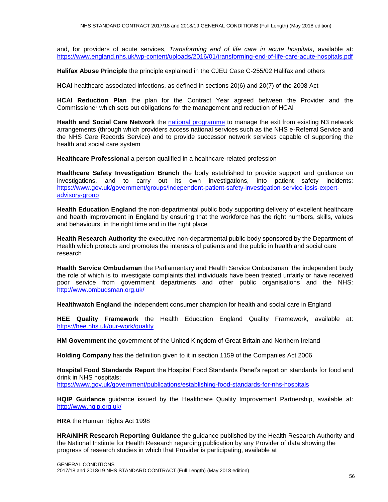and, for providers of acute services, *Transforming end of life care in acute hospitals*, available at: <https://www.england.nhs.uk/wp-content/uploads/2016/01/transforming-end-of-life-care-acute-hospitals.pdf>

**Halifax Abuse Principle** the principle explained in the CJEU Case C-255/02 Halifax and others

**HCAI** healthcare associated infections, as defined in sections 20(6) and 20(7) of the 2008 Act

**HCAI Reduction Plan** the plan for the Contract Year agreed between the Provider and the Commissioner which sets out obligations for the management and reduction of HCAI

**Health and Social Care Network** the [national programme](http://systems.digital.nhs.uk/hscn) to manage the exit from existing N3 network arrangements (through which providers access national services such as the NHS e-Referral Service and the NHS Care Records Service) and to provide successor network services capable of supporting the health and social care system

**Healthcare Professional** a person qualified in a healthcare-related profession

**Healthcare Safety Investigation Branch** the body established to provide support and guidance on investigations, and to carry out its own investigations, into patient safety incidents: [https://www.gov.uk/government/groups/independent-patient-safety-investigation-service-ipsis-expert](https://www.gov.uk/government/groups/independent-patient-safety-investigation-service-ipsis-expert-advisory-group)[advisory-group](https://www.gov.uk/government/groups/independent-patient-safety-investigation-service-ipsis-expert-advisory-group)

**Health Education England** the non-departmental public body supporting delivery of excellent healthcare and health improvement in England by ensuring that the workforce has the right numbers, skills, values and behaviours, in the right time and in the right place

**Health Research Authority** the executive non-departmental public body sponsored by the Department of Health which protects and promotes the interests of patients and the public in health and social care research

**Health Service Ombudsman** the Parliamentary and Health Service Ombudsman, the independent body the role of which is to investigate complaints that individuals have been treated unfairly or have received poor service from government departments and other public organisations and the NHS: <http://www.ombudsman.org.uk/>

**Healthwatch England** the independent consumer champion for health and social care in England

**HEE Quality Framework** the Health Education England Quality Framework, available at: <https://hee.nhs.uk/our-work/quality>

**HM Government** the government of the United Kingdom of Great Britain and Northern Ireland

**Holding Company** has the definition given to it in section 1159 of the Companies Act 2006

**Hospital Food Standards Report** the Hospital Food Standards Panel's report on standards for food and drink in NHS hospitals: <https://www.gov.uk/government/publications/establishing-food-standards-for-nhs-hospitals>

**HQIP Guidance** guidance issued by the Healthcare Quality Improvement Partnership, available at: <http://www.hqip.org.uk/>

**HRA** the Human Rights Act 1998

**HRA/NIHR Research Reporting Guidance** the guidance published by the Health Research Authority and the National Institute for Health Research regarding publication by any Provider of data showing the progress of research studies in which that Provider is participating, available at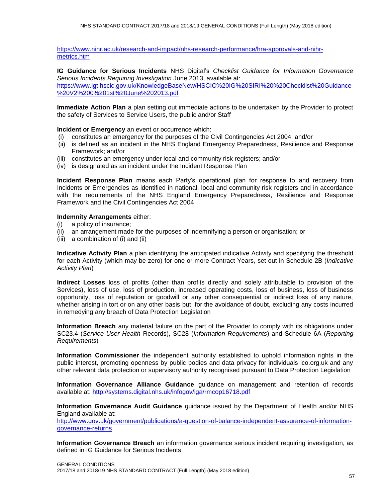[https://www.nihr.ac.uk/research-and-impact/nhs-research-performance/hra-approvals-and-nihr](https://www.nihr.ac.uk/research-and-impact/nhs-research-performance/hra-approvals-and-nihr-metrics.htm)[metrics.htm](https://www.nihr.ac.uk/research-and-impact/nhs-research-performance/hra-approvals-and-nihr-metrics.htm)

**IG Guidance for Serious Incidents** NHS Digital's *Checklist Guidance for Information Governance Serious Incidents Requiring Investigation* June 2013, available at:

[https://www.igt.hscic.gov.uk/KnowledgeBaseNew/HSCIC%20IG%20SIRI%20%20Checklist%20Guidance](https://www.igt.hscic.gov.uk/KnowledgeBaseNew/HSCIC%20IG%20SIRI%20%20Checklist%20Guidance%20V2%200%201st%20June%202013.pdf) [%20V2%200%201st%20June%202013.pdf](https://www.igt.hscic.gov.uk/KnowledgeBaseNew/HSCIC%20IG%20SIRI%20%20Checklist%20Guidance%20V2%200%201st%20June%202013.pdf)

**Immediate Action Plan** a plan setting out immediate actions to be undertaken by the Provider to protect the safety of Services to Service Users, the public and/or Staff

**Incident or Emergency** an event or occurrence which:

- (i) constitutes an emergency for the purposes of the Civil Contingencies Act 2004; and/or
- (ii) is defined as an incident in the NHS England Emergency Preparedness, Resilience and Response Framework; and/or
- (iii) constitutes an emergency under local and community risk registers; and/or
- (iv) is designated as an incident under the Incident Response Plan

**Incident Response Plan** means each Party's operational plan for response to and recovery from Incidents or Emergencies as identified in national, local and community risk registers and in accordance with the requirements of the NHS England Emergency Preparedness, Resilience and Response Framework and the Civil Contingencies Act 2004

#### **Indemnity Arrangements** either:

- (i) a policy of insurance;
- (ii) an arrangement made for the purposes of indemnifying a person or organisation; or
- (iii) a combination of (i) and (ii)

**Indicative Activity Plan** a plan identifying the anticipated indicative Activity and specifying the threshold for each Activity (which may be zero) for one or more Contract Years, set out in Schedule 2B (*Indicative Activity Plan*)

**Indirect Losses** loss of profits (other than profits directly and solely attributable to provision of the Services), loss of use, loss of production, increased operating costs, loss of business, loss of business opportunity, loss of reputation or goodwill or any other consequential or indirect loss of any nature, whether arising in tort or on any other basis but, for the avoidance of doubt, excluding any costs incurred in remedying any breach of Data Protection Legislation

**Information Breach** any material failure on the part of the Provider to comply with its obligations under SC23.4 (*Service User Health* Records), SC28 (*Information Requirements*) and Schedule 6A (*Reporting Requirements*)

**Information Commissioner** the independent authority established to uphold information rights in the public interest, promoting openness by public bodies and data privacy for individuals ico.org.uk and any other relevant data protection or supervisory authority recognised pursuant to Data Protection Legislation

**Information Governance Alliance Guidance** guidance on management and retention of records available at:<http://systems.digital.nhs.uk/infogov/iga/rmcop16718.pdf>

**Information Governance Audit Guidance** guidance issued by the Department of Health and/or NHS England available at:

[http://www.gov.uk/government/publications/a-question-of-balance-independent-assurance-of-information](http://www.gov.uk/government/publications/a-question-of-balance-independent-assurance-of-information-governance-returns)[governance-returns](http://www.gov.uk/government/publications/a-question-of-balance-independent-assurance-of-information-governance-returns)

**Information Governance Breach** an information governance serious incident requiring investigation, as defined in IG Guidance for Serious Incidents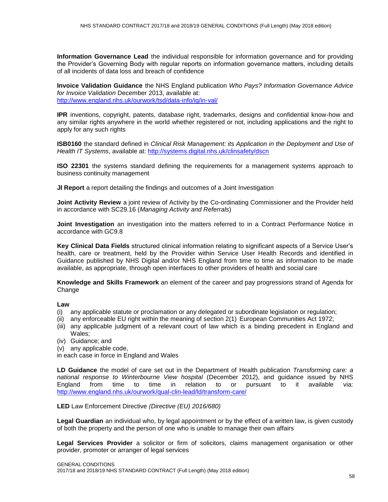**Information Governance Lead** the individual responsible for information governance and for providing the Provider's Governing Body with regular reports on information governance matters, including details of all incidents of data loss and breach of confidence

**Invoice Validation Guidance** the NHS England publication *Who Pays? Information Governance Advice for Invoice Validation* December 2013, available at: <http://www.england.nhs.uk/ourwork/tsd/data-info/ig/in-val/>

**IPR** inventions, copyright, patents, database right, trademarks, designs and confidential know-how and any similar rights anywhere in the world whether registered or not, including applications and the right to apply for any such rights

**ISB0160** the standard defined in *Clinical Risk Management: its Application in the Deployment and Use of Health IT Systems*, available at: <http://systems.digital.nhs.uk/clinsafety/dscn>

**ISO 22301** the systems standard defining the requirements for a management systems approach to business continuity management

**JI Report** a report detailing the findings and outcomes of a Joint Investigation

**Joint Activity Review** a joint review of Activity by the Co-ordinating Commissioner and the Provider held in accordance with SC29.16 (*Managing Activity and Referrals*)

**Joint Investigation** an investigation into the matters referred to in a Contract Performance Notice in accordance with GC9.8

**Key Clinical Data Fields** structured clinical information relating to significant aspects of a Service User's health, care or treatment, held by the Provider within Service User Health Records and identified in Guidance published by NHS Digital and/or NHS England from time to time as information to be made available, as appropriate, through open interfaces to other providers of health and social care

**Knowledge and Skills Framework** an element of the career and pay progressions strand of Agenda for Change

#### **Law**

- (i) any applicable statute or proclamation or any delegated or subordinate legislation or regulation;
- (ii) any enforceable EU right within the meaning of section 2(1) European Communities Act 1972;
- (iii) any applicable judgment of a relevant court of law which is a binding precedent in England and Wales:
- (iv) Guidance; and
- (v) any applicable code,

in each case in force in England and Wales

**LD Guidance** the model of care set out in the Department of Health publication *Transforming care: a national response to Winterbourne View hospital* (December 2012), and guidance issued by NHS England from time to time in relation to or pursuant to it available via: <http://www.england.nhs.uk/ourwork/qual-clin-lead/ld/transform-care/>

#### **LED** Law Enforcement Directive *(Directive (EU) 2016/680)*

**Legal Guardian** an individual who, by legal appointment or by the effect of a written law, is given custody of both the property and the person of one who is unable to manage their own affairs

**Legal Services Provider** a solicitor or firm of solicitors, claims management organisation or other provider, promoter or arranger of legal services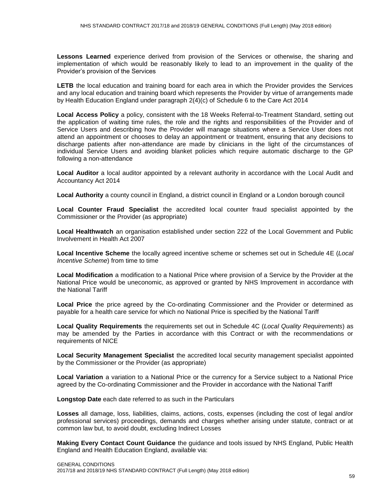**Lessons Learned** experience derived from provision of the Services or otherwise, the sharing and implementation of which would be reasonably likely to lead to an improvement in the quality of the Provider's provision of the Services

**LETB** the local education and training board for each area in which the Provider provides the Services and any local education and training board which represents the Provider by virtue of arrangements made by Health Education England under paragraph 2(4)(c) of Schedule 6 to the Care Act 2014

**Local Access Policy** a policy, consistent with the 18 Weeks Referral-to-Treatment Standard, setting out the application of waiting time rules, the role and the rights and responsibilities of the Provider and of Service Users and describing how the Provider will manage situations where a Service User does not attend an appointment or chooses to delay an appointment or treatment, ensuring that any decisions to discharge patients after non-attendance are made by clinicians in the light of the circumstances of individual Service Users and avoiding blanket policies which require automatic discharge to the GP following a non-attendance

**Local Auditor** a local auditor appointed by a relevant authority in accordance with the Local Audit and Accountancy Act 2014

**Local Authority** a county council in England, a district council in England or a London borough council

**Local Counter Fraud Specialist** the accredited local counter fraud specialist appointed by the Commissioner or the Provider (as appropriate)

**Local Healthwatch** an organisation established under section 222 of the Local Government and Public Involvement in Health Act 2007

**Local Incentive Scheme** the locally agreed incentive scheme or schemes set out in Schedule 4E (*Local Incentive Scheme*) from time to time

**Local Modification** a modification to a National Price where provision of a Service by the Provider at the National Price would be uneconomic, as approved or granted by NHS Improvement in accordance with the National Tariff

**Local Price** the price agreed by the Co-ordinating Commissioner and the Provider or determined as payable for a health care service for which no National Price is specified by the National Tariff

**Local Quality Requirements** the requirements set out in Schedule 4C (*Local Quality Requirements*) as may be amended by the Parties in accordance with this Contract or with the recommendations or requirements of NICE

**Local Security Management Specialist** the accredited local security management specialist appointed by the Commissioner or the Provider (as appropriate)

**Local Variation** a variation to a National Price or the currency for a Service subject to a National Price agreed by the Co-ordinating Commissioner and the Provider in accordance with the National Tariff

**Longstop Date** each date referred to as such in the Particulars

**Losses** all damage, loss, liabilities, claims, actions, costs, expenses (including the cost of legal and/or professional services) proceedings, demands and charges whether arising under statute, contract or at common law but, to avoid doubt, excluding Indirect Losses

**Making Every Contact Count Guidance** the guidance and tools issued by NHS England, Public Health England and Health Education England, available via: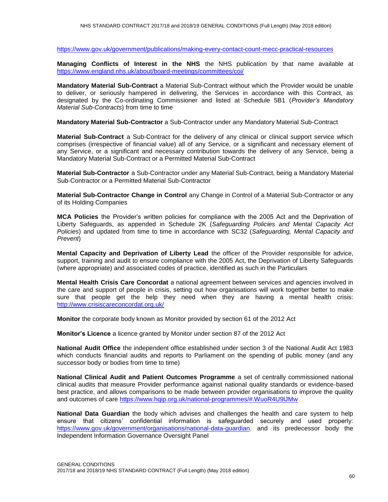<https://www.gov.uk/government/publications/making-every-contact-count-mecc-practical-resources>

**Managing Conflicts of Interest in the NHS** the NHS publication by that name available at <https://www.england.nhs.uk/about/board-meetings/committees/coi/>

**Mandatory Material Sub-Contract** a Material Sub-Contract without which the Provider would be unable to deliver, or seriously hampered in delivering, the Services in accordance with this Contract, as designated by the Co-ordinating Commissioner and listed at Schedule 5B1 (*Provider's Mandatory Material Sub-Contracts*) from time to time

**Mandatory Material Sub-Contractor** a Sub-Contractor under any Mandatory Material Sub-Contract

**Material Sub-Contract** a Sub-Contract for the delivery of any clinical or clinical support service which comprises (irrespective of financial value) all of any Service, or a significant and necessary element of any Service, or a significant and necessary contribution towards the delivery of any Service, being a Mandatory Material Sub-Contract or a Permitted Material Sub-Contract

**Material Sub-Contractor** a Sub-Contractor under any Material Sub-Contract, being a Mandatory Material Sub-Contractor or a Permitted Material Sub-Contractor

**Material Sub-Contractor Change in Control** any Change in Control of a Material Sub-Contractor or any of its Holding Companies

**MCA Policies** the Provider's written policies for compliance with the 2005 Act and the Deprivation of Liberty Safeguards, as appended in Schedule 2K (*Safeguarding Policies and Mental Capacity Act Policies*) and updated from time to time in accordance with SC32 (*Safeguarding, Mental Capacity and Prevent*)

**Mental Capacity and Deprivation of Liberty Lead** the officer of the Provider responsible for advice, support, training and audit to ensure compliance with the 2005 Act, the Deprivation of Liberty Safeguards (where appropriate) and associated codes of practice, identified as such in the Particulars

**Mental Health Crisis Care Concordat** a national agreement between services and agencies involved in the care and support of people in crisis, setting out how organisations will work together better to make sure that people get the help they need when they are having a mental health crisis: <http://www.crisiscareconcordat.org.uk/>

**Monitor** the corporate body known as Monitor provided by section 61 of the 2012 Act

**Monitor's Licence** a licence granted by Monitor under section 87 of the 2012 Act

**National Audit Office** the independent office established under section 3 of the National Audit Act 1983 which conducts financial audits and reports to Parliament on the spending of public money (and any successor body or bodies from time to time)

**National Clinical Audit and Patient Outcomes Programme** a set of centrally commissioned national clinical audits that measure Provider performance against national quality standards or evidence-based best practice, and allows comparisons to be made between provider organisations to improve the quality and outcomes of care https://www.hqip.org.uk/national-programmes/#.WuoR4U9lJMw

**National Data Guardian** the body which advises and challenges the health and care system to help ensure that citizens' confidential information is safeguarded securely and used properly: [https://www.gov.uk/government/organisations/national-data-guardian,](https://www.gov.uk/government/organisations/national-data-guardian) and its predecessor body the Independent Information Governance Oversight Panel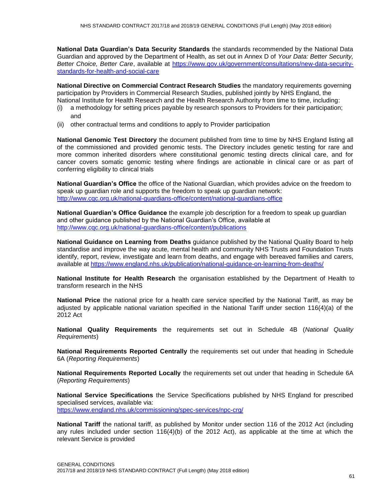**National Data Guardian's Data Security Standards** the standards recommended by the National Data Guardian and approved by the Department of Health, as set out in Annex D of *Your Data: Better Security, Better Choice, Better Care*, available at [https://www.gov.uk/government/consultations/new-data-security](https://www.gov.uk/government/consultations/new-data-security-standards-for-health-and-social-care)[standards-for-health-and-social-care](https://www.gov.uk/government/consultations/new-data-security-standards-for-health-and-social-care)

**National Directive on Commercial Contract Research Studies** the mandatory requirements governing participation by Providers in Commercial Research Studies, published jointly by NHS England, the National Institute for Health Research and the Health Research Authority from time to time, including:

- (i) a methodology for setting prices payable by research sponsors to Providers for their participation; and
- (ii) other contractual terms and conditions to apply to Provider participation

**National Genomic Test Directory** the document published from time to time by NHS England listing all of the commissioned and provided genomic tests. The Directory includes genetic testing for rare and more common inherited disorders where constitutional genomic testing directs clinical care, and for cancer covers somatic genomic testing where findings are actionable in clinical care or as part of conferring eligibility to clinical trials

**National Guardian's Office** the office of the National Guardian, which provides advice on the freedom to speak up guardian role and supports the freedom to speak up guardian network: <http://www.cqc.org.uk/national-guardians-office/content/national-guardians-office>

**National Guardian's Office Guidance** the example job description for a freedom to speak up guardian and other guidance published by the National Guardian's Office, available at <http://www.cqc.org.uk/national-guardians-office/content/publications>

**National Guidance on Learning from Deaths** guidance published by the National Quality Board to help standardise and improve the way acute, mental health and community NHS Trusts and Foundation Trusts identify, report, review, investigate and learn from deaths, and engage with bereaved families and carers, available at<https://www.england.nhs.uk/publication/national-guidance-on-learning-from-deaths/>

**National Institute for Health Research** the organisation established by the Department of Health to transform research in the NHS

**National Price** the national price for a health care service specified by the National Tariff, as may be adjusted by applicable national variation specified in the National Tariff under section 116(4)(a) of the 2012 Act

**National Quality Requirements** the requirements set out in Schedule 4B (*National Quality Requirements*)

**National Requirements Reported Centrally** the requirements set out under that heading in Schedule 6A (*Reporting Requirements*)

**National Requirements Reported Locally** the requirements set out under that heading in Schedule 6A (*Reporting Requirements*)

**National Service Specifications** the Service Specifications published by NHS England for prescribed specialised services, available via: <https://www.england.nhs.uk/commissioning/spec-services/npc-crg/>

**National Tariff** the national tariff, as published by Monitor under section 116 of the 2012 Act (including any rules included under section 116(4)(b) of the 2012 Act), as applicable at the time at which the relevant Service is provided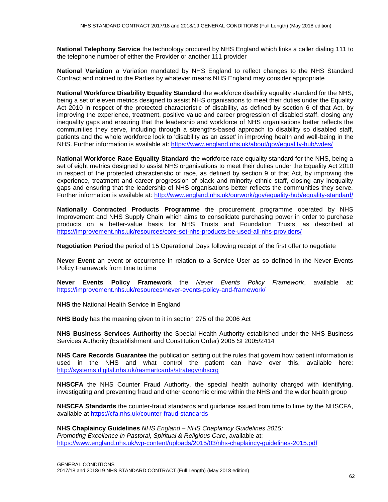**National Telephony Service** the technology procured by NHS England which links a caller dialing 111 to the telephone number of either the Provider or another 111 provider

**National Variation** a Variation mandated by NHS England to reflect changes to the NHS Standard Contract and notified to the Parties by whatever means NHS England may consider appropriate

**National Workforce Disability Equality Standard** the workforce disability equality standard for the NHS, being a set of eleven metrics designed to assist NHS organisations to meet their duties under the Equality Act 2010 in respect of the protected characteristic of disability, as defined by section 6 of that Act, by improving the experience, treatment, positive value and career progression of disabled staff, closing any inequality gaps and ensuring that the leadership and workforce of NHS organisations better reflects the communities they serve, including through a strengths-based approach to disability so disabled staff, patients and the whole workforce look to 'disability as an asset' in improving health and well-being in the NHS. Further information is available at:<https://www.england.nhs.uk/about/gov/equality-hub/wdes/>

**National Workforce Race Equality Standard** the workforce race equality standard for the NHS, being a set of eight metrics designed to assist NHS organisations to meet their duties under the Equality Act 2010 in respect of the protected characteristic of race, as defined by section 9 of that Act, by improving the experience, treatment and career progression of black and minority ethnic staff, closing any inequality gaps and ensuring that the leadership of NHS organisations better reflects the communities they serve. Further information is available at: <http://www.england.nhs.uk/ourwork/gov/equality-hub/equality-standard/>

**Nationally Contracted Products Programme** the procurement programme operated by NHS Improvement and NHS Supply Chain which aims to consolidate purchasing power in order to purchase products on a better-value basis for NHS Trusts and Foundation Trusts, as described at <https://improvement.nhs.uk/resources/core-set-nhs-products-be-used-all-nhs-providers/>

**Negotiation Period** the period of 15 Operational Days following receipt of the first offer to negotiate

**Never Event** an event or occurrence in relation to a Service User as so defined in the Never Events Policy Framework from time to time

**Never Events Policy Framework** the *Never Events Policy Framework*, available at: <https://improvement.nhs.uk/resources/never-events-policy-and-framework/>

**NHS** the National Health Service in England

**NHS Body** has the meaning given to it in section 275 of the 2006 Act

**NHS Business Services Authority** the Special Health Authority established under the NHS Business Services Authority (Establishment and Constitution Order) 2005 SI 2005/2414

**NHS Care Records Guarantee** the publication setting out the rules that govern how patient information is used in the NHS and what control the patient can have over this, available here: <http://systems.digital.nhs.uk/rasmartcards/strategy/nhscrg>

**NHSCFA** the NHS Counter Fraud Authority, the special health authority charged with identifying, investigating and preventing fraud and other economic crime within the NHS and the wider health group

**NHSCFA Standards** the counter-fraud standards and guidance issued from time to time by the NHSCFA, available at<https://cfa.nhs.uk/counter-fraud-standards>

**NHS Chaplaincy Guidelines** *NHS England – NHS Chaplaincy Guidelines 2015: Promoting Excellence in Pastoral, Spiritual & Religious Care*, available at: <https://www.england.nhs.uk/wp-content/uploads/2015/03/nhs-chaplaincy-guidelines-2015.pdf>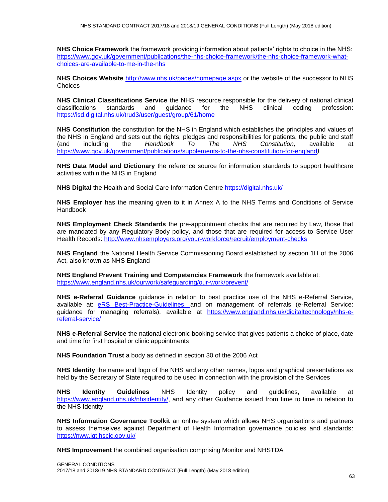**NHS Choice Framework** the framework providing information about patients' rights to choice in the NHS: https://www.gov.uk/government/publications/the-nhs-choice-framework/the-nhs-choice-framework-whatchoices-are-available-to-me-in-the-nhs

**NHS Choices Website** <http://www.nhs.uk/pages/homepage.aspx> or the website of the successor to NHS Choices

**NHS Clinical Classifications Service** the NHS resource responsible for the delivery of national clinical classifications standards and guidance for the NHS clinical coding profession: https://isd.digital.nhs.uk/trud3/user/guest/group/61/home

**NHS Constitution** the constitution for the NHS in England which establishes the principles and values of the NHS in England and sets out the rights, pledges and responsibilities for patients, the public and staff (and including the *Handbook To The NHS Constitution,* available at <https://www.gov.uk/government/publications/supplements-to-the-nhs-constitution-for-england>*)*

**NHS Data Model and Dictionary** the reference source for information standards to support healthcare activities within the NHS in England

**NHS Digital** the Health and Social Care Information Centre<https://digital.nhs.uk/>

**NHS Employer** has the meaning given to it in Annex A to the NHS Terms and Conditions of Service Handbook

**NHS Employment Check Standards** the pre-appointment checks that are required by Law, those that are mandated by any Regulatory Body policy, and those that are required for access to Service User Health Records:<http://www.nhsemployers.org/your-workforce/recruit/employment-checks>

**NHS England** the National Health Service Commissioning Board established by section 1H of the 2006 Act, also known as NHS England

**NHS England Prevent Training and Competencies Framework** the framework available at: <https://www.england.nhs.uk/ourwork/safeguarding/our-work/prevent/>

**NHS e-Referral Guidance** guidance in relation to best practice use of the NHS e-Referral Service, available at: [eRS Best-Practice-Guidelines,](http://www.hscic.gov.uk/media/18859/Best-Practice-Guidelines/pdf/Best_Practice_Guidelines_all_102015.pdf) and on management of referrals (e-Referral Service: guidance for managing referrals), available at [https://www.england.nhs.uk/digitaltechnology/nhs-e](https://www.england.nhs.uk/digitaltechnology/nhs-e-referral-service/)[referral-service/](https://www.england.nhs.uk/digitaltechnology/nhs-e-referral-service/)

**NHS e-Referral Service** the national electronic booking service that gives patients a choice of place, date and time for first hospital or clinic appointments

**NHS Foundation Trust** a body as defined in section 30 of the 2006 Act

**NHS Identity** the name and logo of the NHS and any other names, logos and graphical presentations as held by the Secretary of State required to be used in connection with the provision of the Services

**NHS Identity Guidelines** NHS Identity policy and guidelines, available at [https://www.england.nhs.uk/nhsidentity/,](https://www.england.nhs.uk/nhsidentity/) and any other Guidance issued from time to time in relation to the NHS Identity

**NHS Information Governance Toolkit** an online system which allows NHS organisations and partners to assess themselves against Department of Health Information governance policies and standards: <https://nww.igt.hscic.gov.uk/>

**NHS Improvement** the combined organisation comprising Monitor and NHSTDA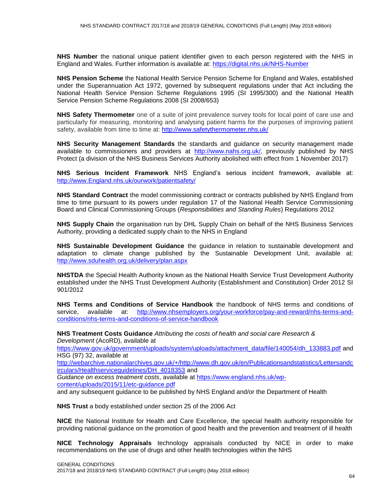**NHS Number** the national unique patient identifier given to each person registered with the NHS in England and Wales. Further information is available at:<https://digital.nhs.uk/NHS-Number>

**NHS Pension Scheme** the National Health Service Pension Scheme for England and Wales, established under the Superannuation Act 1972, governed by subsequent regulations under that Act including the National Health Service Pension Scheme Regulations 1995 (SI 1995/300) and the National Health Service Pension Scheme Regulations 2008 (SI 2008/653)

**NHS Safety Thermometer** one of a suite of joint prevalence survey tools for local point of care use and particularly for measuring, monitoring and analysing patient harms for the purposes of improving patient safety, available from time to time at:<http://www.safetythermometer.nhs.uk/>

**NHS Security Management Standards** the standards and guidance on security management made available to commissioners and providers at [http://www.nahs.org.uk/,](http://www.nahs.org.uk/) previously published by NHS Protect (a division of the NHS Business Services Authority abolished with effect from 1 November 2017)

**NHS Serious Incident Framework** NHS England's serious incident framework, available at: [http://www.England.nhs.uk/ourwork/patientsafety/](http://www.england.nhs.uk/ourwork/patientsafety/)

**NHS Standard Contract** the model commissioning contract or contracts published by NHS England from time to time pursuant to its powers under regulation 17 of the National Health Service Commissioning Board and Clinical Commissioning Groups (*Responsibilities and Standing Rules*) Regulations 2012

**NHS Supply Chain** the organisation run by DHL Supply Chain on behalf of the NHS Business Services Authority, providing a dedicated supply chain to the NHS in England

**NHS Sustainable Development Guidance** the guidance in relation to sustainable development and adaptation to climate change published by the Sustainable Development Unit, available at: <http://www.sduhealth.org.uk/delivery/plan.aspx>

**NHSTDA** the Special Health Authority known as the National Health Service Trust Development Authority established under the NHS Trust Development Authority (Establishment and Constitution) Order 2012 SI 901/2012

**NHS Terms and Conditions of Service Handbook** the handbook of NHS terms and conditions of service, available at: [http://www.nhsemployers.org/your-workforce/pay-and-reward/nhs-terms-and](http://www.nhsemployers.org/your-workforce/pay-and-reward/nhs-terms-and-conditions/nhs-terms-and-conditions-of-service-handbook)[conditions/nhs-terms-and-conditions-of-service-handbook](http://www.nhsemployers.org/your-workforce/pay-and-reward/nhs-terms-and-conditions/nhs-terms-and-conditions-of-service-handbook)

**NHS Treatment Costs Guidance** *Attributing the costs of health and social care Research & Development* (AcoRD), available at

[https://www.gov.uk/government/uploads/system/uploads/attachment\\_data/file/140054/dh\\_133883.pdf](https://www.gov.uk/government/uploads/system/uploads/attachment_data/file/140054/dh_133883.pdf) and HSG (97) 32, available at

[http://webarchive.nationalarchives.gov.uk/+/http://www.dh.gov.uk/en/Publicationsandstatistics/Lettersandc](http://webarchive.nationalarchives.gov.uk/+/http:/www.dh.gov.uk/en/Publicationsandstatistics/Lettersandcirculars/Healthserviceguidelines/DH_4018353) [irculars/Healthserviceguidelines/DH\\_4018353](http://webarchive.nationalarchives.gov.uk/+/http:/www.dh.gov.uk/en/Publicationsandstatistics/Lettersandcirculars/Healthserviceguidelines/DH_4018353) and

*Guidance on excess treatment costs*, available at [https://www.england.nhs.uk/wp](https://www.england.nhs.uk/wp-content/uploads/2015/11/etc-guidance.pdf)[content/uploads/2015/11/etc-guidance.pdf](https://www.england.nhs.uk/wp-content/uploads/2015/11/etc-guidance.pdf)

and any subsequent guidance to be published by NHS England and/or the Department of Health

**NHS Trust** a body established under section 25 of the 2006 Act

**NICE** the National Institute for Health and Care Excellence, the special health authority responsible for providing national guidance on the promotion of good health and the prevention and treatment of ill health

**NICE Technology Appraisals** technology appraisals conducted by NICE in order to make recommendations on the use of drugs and other health technologies within the NHS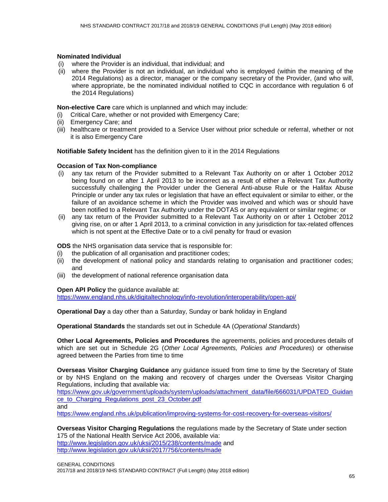#### **Nominated Individual**

- (i) where the Provider is an individual, that individual; and
- (ii) where the Provider is not an individual, an individual who is employed (within the meaning of the 2014 Regulations) as a director, manager or the company secretary of the Provider, (and who will, where appropriate, be the nominated individual notified to CQC in accordance with regulation 6 of the 2014 Regulations)

**Non-elective Care** care which is unplanned and which may include:

- (i) Critical Care, whether or not provided with Emergency Care;
- (ii) Emergency Care; and
- (iii) healthcare or treatment provided to a Service User without prior schedule or referral, whether or not it is also Emergency Care

**Notifiable Safety Incident** has the definition given to it in the 2014 Regulations

#### **Occasion of Tax Non-compliance**

- (i) any tax return of the Provider submitted to a Relevant Tax Authority on or after 1 October 2012 being found on or after 1 April 2013 to be incorrect as a result of either a Relevant Tax Authority successfully challenging the Provider under the General Anti-abuse Rule or the Halifax Abuse Principle or under any tax rules or legislation that have an effect equivalent or similar to either, or the failure of an avoidance scheme in which the Provider was involved and which was or should have been notified to a Relevant Tax Authority under the DOTAS or any equivalent or similar regime; or
- (ii) any tax return of the Provider submitted to a Relevant Tax Authority on or after 1 October 2012 giving rise, on or after 1 April 2013, to a criminal conviction in any jurisdiction for tax-related offences which is not spent at the Effective Date or to a civil penalty for fraud or evasion

**ODS** the NHS organisation data service that is responsible for:

- (i) the publication of all organisation and practitioner codes;
- (ii) the development of national policy and standards relating to organisation and practitioner codes; and
- (iii) the development of national reference organisation data

#### **Open API Policy** the guidance available at:

<https://www.england.nhs.uk/digitaltechnology/info-revolution/interoperability/open-api/>

**Operational Day** a day other than a Saturday, Sunday or bank holiday in England

**Operational Standards** the standards set out in Schedule 4A (*Operational Standards*)

**Other Local Agreements, Policies and Procedures** the agreements, policies and procedures details of which are set out in Schedule 2G (*Other Local Agreements, Policies and Procedures*) or otherwise agreed between the Parties from time to time

**Overseas Visitor Charging Guidance** any guidance issued from time to time by the Secretary of State or by NHS England on the making and recovery of charges under the Overseas Visitor Charging Regulations, including that available via:

[https://www.gov.uk/government/uploads/system/uploads/attachment\\_data/file/666031/UPDATED\\_Guidan](https://www.gov.uk/government/uploads/system/uploads/attachment_data/file/666031/UPDATED_Guidance_to_Charging_Regulations_post_23_October.pdf) [ce\\_to\\_Charging\\_Regulations\\_post\\_23\\_October.pdf](https://www.gov.uk/government/uploads/system/uploads/attachment_data/file/666031/UPDATED_Guidance_to_Charging_Regulations_post_23_October.pdf) and

https://www.england.nhs.uk/publication/improving-systems-for-cost-recovery-for-overseas-visitors/

**Overseas Visitor Charging Regulations** the regulations made by the Secretary of State under section 175 of the National Health Service Act 2006, available via: <http://www.legislation.gov.uk/uksi/2015/238/contents/made> and <http://www.legislation.gov.uk/uksi/2017/756/contents/made>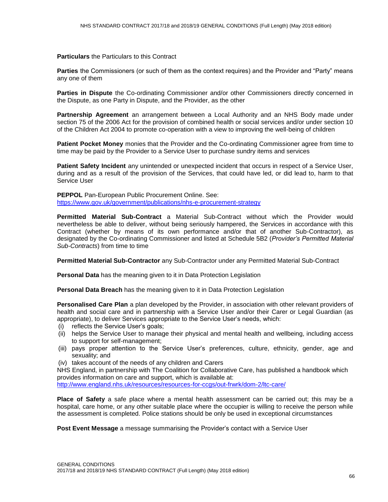#### **Particulars** the Particulars to this Contract

**Parties** the Commissioners (or such of them as the context requires) and the Provider and "Party" means any one of them

**Parties in Dispute** the Co-ordinating Commissioner and/or other Commissioners directly concerned in the Dispute, as one Party in Dispute, and the Provider, as the other

**Partnership Agreement** an arrangement between a Local Authority and an NHS Body made under section 75 of the 2006 Act for the provision of combined health or social services and/or under section 10 of the Children Act 2004 to promote co-operation with a view to improving the well-being of children

**Patient Pocket Money** monies that the Provider and the Co-ordinating Commissioner agree from time to time may be paid by the Provider to a Service User to purchase sundry items and services

**Patient Safety Incident** any unintended or unexpected incident that occurs in respect of a Service User, during and as a result of the provision of the Services, that could have led, or did lead to, harm to that Service User

**PEPPOL** Pan-European Public Procurement Online. See: <https://www.gov.uk/government/publications/nhs-e-procurement-strategy>

**Permitted Material Sub-Contract** a Material Sub-Contract without which the Provider would nevertheless be able to deliver, without being seriously hampered, the Services in accordance with this Contract (whether by means of its own performance and/or that of another Sub-Contractor), as designated by the Co-ordinating Commissioner and listed at Schedule 5B2 (*Provider's Permitted Material Sub-Contracts*) from time to time

**Permitted Material Sub-Contractor** any Sub-Contractor under any Permitted Material Sub-Contract

**Personal Data** has the meaning given to it in Data Protection Legislation

**Personal Data Breach** has the meaning given to it in Data Protection Legislation

**Personalised Care Plan** a plan developed by the Provider, in association with other relevant providers of health and social care and in partnership with a Service User and/or their Carer or Legal Guardian (as appropriate), to deliver Services appropriate to the Service User's needs, which:

- (i) reflects the Service User's goals;
- (ii) helps the Service User to manage their physical and mental health and wellbeing, including access to support for self-management;
- (iii) pays proper attention to the Service User's preferences, culture, ethnicity, gender, age and sexuality; and
- (iv) takes account of the needs of any children and Carers

NHS England, in partnership with The Coalition for Collaborative Care, has published a handbook which provides information on care and support, which is available at:

<http://www.england.nhs.uk/resources/resources-for-ccgs/out-frwrk/dom-2/ltc-care/>

**Place of Safety** a safe place where a mental health assessment can be carried out; this may be a hospital, care home, or any other suitable place where the occupier is willing to receive the person while the assessment is completed. Police stations should be only be used in exceptional circumstances

**Post Event Message** a message summarising the Provider's contact with a Service User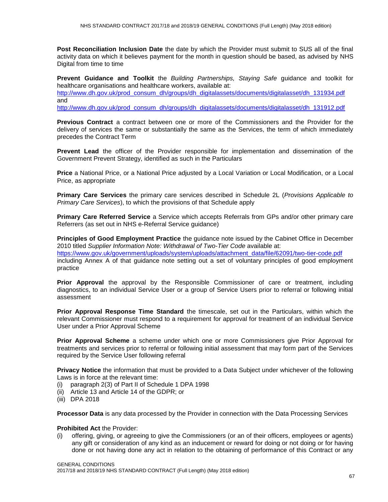**Post Reconciliation Inclusion Date** the date by which the Provider must submit to SUS all of the final activity data on which it believes payment for the month in question should be based, as advised by NHS Digital from time to time

**Prevent Guidance and Toolkit** the *Building Partnerships, Staying Safe* guidance and toolkit for healthcare organisations and healthcare workers, available at: [http://www.dh.gov.uk/prod\\_consum\\_dh/groups/dh\\_digitalassets/documents/digitalasset/dh\\_131934.pdf](http://www.dh.gov.uk/prod_consum_dh/groups/dh_digitalassets/documents/digitalasset/dh_131934.pdf) and

[http://www.dh.gov.uk/prod\\_consum\\_dh/groups/dh\\_digitalassets/documents/digitalasset/dh\\_131912.pdf](http://www.dh.gov.uk/prod_consum_dh/groups/dh_digitalassets/documents/digitalasset/dh_131912.pdf)

**Previous Contract** a contract between one or more of the Commissioners and the Provider for the delivery of services the same or substantially the same as the Services, the term of which immediately precedes the Contract Term

**Prevent Lead** the officer of the Provider responsible for implementation and dissemination of the Government Prevent Strategy, identified as such in the Particulars

**Price** a National Price, or a National Price adjusted by a Local Variation or Local Modification, or a Local Price, as appropriate

**Primary Care Services** the primary care services described in Schedule 2L (*Provisions Applicable to Primary Care Services*), to which the provisions of that Schedule apply

**Primary Care Referred Service** a Service which accepts Referrals from GPs and/or other primary care Referrers (as set out in NHS e-Referral Service guidance)

**Principles of Good Employment Practice** the guidance note issued by the Cabinet Office in December 2010 titled *Supplier Information Note: Withdrawal of Two-Tier Code* available at: [https://www.gov.uk/government/uploads/system/uploads/attachment\\_data/file/62091/two-tier-code.pdf](https://www.gov.uk/government/uploads/system/uploads/attachment_data/file/62091/two-tier-code.pdf) including Annex A of that guidance note setting out a set of voluntary principles of good employment practice

**Prior Approval** the approval by the Responsible Commissioner of care or treatment, including diagnostics, to an individual Service User or a group of Service Users prior to referral or following initial assessment

**Prior Approval Response Time Standard** the timescale, set out in the Particulars, within which the relevant Commissioner must respond to a requirement for approval for treatment of an individual Service User under a Prior Approval Scheme

**Prior Approval Scheme** a scheme under which one or more Commissioners give Prior Approval for treatments and services prior to referral or following initial assessment that may form part of the Services required by the Service User following referral

**Privacy Notice** the information that must be provided to a Data Subject under whichever of the following Laws is in force at the relevant time:

- (i) paragraph 2(3) of Part II of Schedule 1 DPA 1998
- (ii) Article 13 and Article 14 of the GDPR; or
- (iii) DPA 2018

**Processor Data** is any data processed by the Provider in connection with the Data Processing Services

#### **Prohibited Act** the Provider:

(i) offering, giving, or agreeing to give the Commissioners (or an of their officers, employees or agents) any gift or consideration of any kind as an inducement or reward for doing or not doing or for having done or not having done any act in relation to the obtaining of performance of this Contract or any

GENERAL CONDITIONS

2017/18 and 2018/19 NHS STANDARD CONTRACT (Full Length) (May 2018 edition)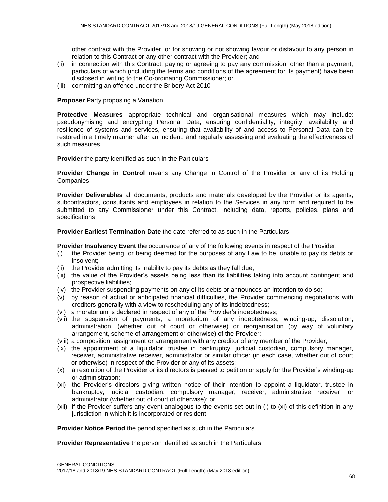other contract with the Provider, or for showing or not showing favour or disfavour to any person in relation to this Contract or any other contract with the Provider; and

- (ii) in connection with this Contract, paying or agreeing to pay any commission, other than a payment, particulars of which (including the terms and conditions of the agreement for its payment) have been disclosed in writing to the Co-ordinating Commissioner; or
- (iii) committing an offence under the Bribery Act 2010

#### **Proposer** Party proposing a Variation

**Protective Measures** appropriate technical and organisational measures which may include: pseudonymising and encrypting Personal Data, ensuring confidentiality, integrity, availability and resilience of systems and services, ensuring that availability of and access to Personal Data can be restored in a timely manner after an incident, and regularly assessing and evaluating the effectiveness of such measures

**Provider** the party identified as such in the Particulars

**Provider Change in Control** means any Change in Control of the Provider or any of its Holding **Companies** 

**Provider Deliverables** all documents, products and materials developed by the Provider or its agents, subcontractors, consultants and employees in relation to the Services in any form and required to be submitted to any Commissioner under this Contract, including data, reports, policies, plans and specifications

#### **Provider Earliest Termination Date** the date referred to as such in the Particulars

**Provider Insolvency Event** the occurrence of any of the following events in respect of the Provider:

- (i) the Provider being, or being deemed for the purposes of any Law to be, unable to pay its debts or insolvent;
- (ii) the Provider admitting its inability to pay its debts as they fall due;
- (iii) the value of the Provider's assets being less than its liabilities taking into account contingent and prospective liabilities;
- (iv) the Provider suspending payments on any of its debts or announces an intention to do so;
- (v) by reason of actual or anticipated financial difficulties, the Provider commencing negotiations with creditors generally with a view to rescheduling any of its indebtedness;
- (vi) a moratorium is declared in respect of any of the Provider's indebtedness;
- (vii) the suspension of payments, a moratorium of any indebtedness, winding-up, dissolution, administration, (whether out of court or otherwise) or reorganisation (by way of voluntary arrangement, scheme of arrangement or otherwise) of the Provider;
- (viii) a composition, assignment or arrangement with any creditor of any member of the Provider;
- (ix) the appointment of a liquidator, trustee in bankruptcy, judicial custodian, compulsory manager, receiver, administrative receiver, administrator or similar officer (in each case, whether out of court or otherwise) in respect of the Provider or any of its assets;
- (x) a resolution of the Provider or its directors is passed to petition or apply for the Provider's winding-up or administration;
- (xi) the Provider's directors giving written notice of their intention to appoint a liquidator, trustee in bankruptcy, judicial custodian, compulsory manager, receiver, administrative receiver, or administrator (whether out of court of otherwise); or
- (xii) if the Provider suffers any event analogous to the events set out in (i) to (xi) of this definition in any jurisdiction in which it is incorporated or resident

**Provider Notice Period** the period specified as such in the Particulars

**Provider Representative** the person identified as such in the Particulars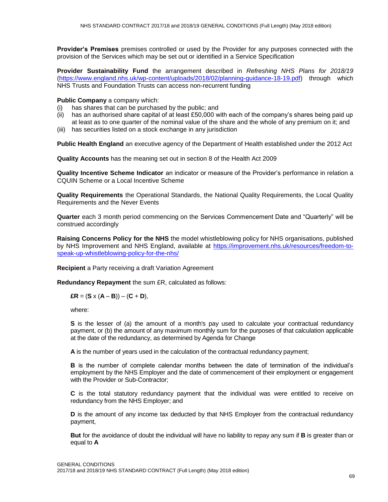**Provider's Premises** premises controlled or used by the Provider for any purposes connected with the provision of the Services which may be set out or identified in a Service Specification

**Provider Sustainability Fund** the arrangement described in *Refreshing NHS Plans for 2018/19* [\(https://www.england.nhs.uk/wp-content/uploads/2018/02/planning-guidance-18-19.pdf\)](https://www.england.nhs.uk/wp-content/uploads/2018/02/planning-guidance-18-19.pdf) through which NHS Trusts and Foundation Trusts can access non-recurrent funding

## **Public Company** a company which:

- (i) has shares that can be purchased by the public; and
- (ii) has an authorised share capital of at least  $£50,000$  with each of the company's shares being paid up at least as to one quarter of the nominal value of the share and the whole of any premium on it; and
- (iii) has securities listed on a stock exchange in any jurisdiction

**Public Health England** an executive agency of the Department of Health established under the 2012 Act

**Quality Accounts** has the meaning set out in section 8 of the Health Act 2009

**Quality Incentive Scheme Indicator** an indicator or measure of the Provider's performance in relation a CQUIN Scheme or a Local Incentive Scheme

**Quality Requirements** the Operational Standards, the National Quality Requirements, the Local Quality Requirements and the Never Events

**Quarter** each 3 month period commencing on the Services Commencement Date and "Quarterly" will be construed accordingly

**Raising Concerns Policy for the NHS** the model whistleblowing policy for NHS organisations, published by NHS Improvement and NHS England, available at [https://improvement.nhs.uk/resources/freedom-to](https://improvement.nhs.uk/resources/freedom-to-speak-up-whistleblowing-policy-for-the-nhs/)[speak-up-whistleblowing-policy-for-the-nhs/](https://improvement.nhs.uk/resources/freedom-to-speak-up-whistleblowing-policy-for-the-nhs/)

**Recipient** a Party receiving a draft Variation Agreement

**Redundancy Repayment** the sum £R, calculated as follows:

$$
ER = (S \times (A - B)) - (C + D),
$$

where:

S is the lesser of (a) the amount of a month's pay used to calculate your contractual redundancy payment, or (b) the amount of any maximum monthly sum for the purposes of that calculation applicable at the date of the redundancy, as determined by Agenda for Change

**A** is the number of years used in the calculation of the contractual redundancy payment;

**B** is the number of complete calendar months between the date of termination of the individual's employment by the NHS Employer and the date of commencement of their employment or engagement with the Provider or Sub-Contractor;

**C** is the total statutory redundancy payment that the individual was were entitled to receive on redundancy from the NHS Employer; and

**D** is the amount of any income tax deducted by that NHS Employer from the contractual redundancy payment,

**But** for the avoidance of doubt the individual will have no liability to repay any sum if **B** is greater than or equal to **A**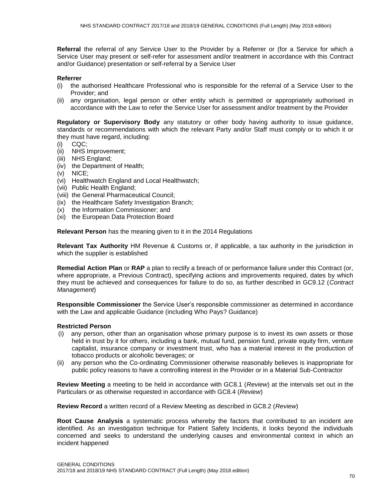**Referral** the referral of any Service User to the Provider by a Referrer or (for a Service for which a Service User may present or self-refer for assessment and/or treatment in accordance with this Contract and/or Guidance) presentation or self-referral by a Service User

## **Referrer**

- (i) the authorised Healthcare Professional who is responsible for the referral of a Service User to the Provider; and
- (ii) any organisation, legal person or other entity which is permitted or appropriately authorised in accordance with the Law to refer the Service User for assessment and/or treatment by the Provider

**Regulatory or Supervisory Body** any statutory or other body having authority to issue guidance, standards or recommendations with which the relevant Party and/or Staff must comply or to which it or they must have regard, including:

- (i) CQC;
- (ii) NHS Improvement;
- (iii) NHS England;
- (iv) the Department of Health;
- (v) NICE;
- (vi) Healthwatch England and Local Healthwatch;
- (vii) Public Health England;
- (viii) the General Pharmaceutical Council;
- (ix) the Healthcare Safety Investigation Branch;
- (x) the Information Commissioner; and
- (xi) the European Data Protection Board

**Relevant Person** has the meaning given to it in the 2014 Regulations

**Relevant Tax Authority** HM Revenue & Customs or, if applicable, a tax authority in the jurisdiction in which the supplier is established

**Remedial Action Plan** or **RAP** a plan to rectify a breach of or performance failure under this Contract (or, where appropriate, a Previous Contract), specifying actions and improvements required, dates by which they must be achieved and consequences for failure to do so, as further described in GC9.12 (*Contract Management*)

**Responsible Commissioner** the Service User's responsible commissioner as determined in accordance with the Law and applicable Guidance (including Who Pays? Guidance)

#### **Restricted Person**

- (i) any person, other than an organisation whose primary purpose is to invest its own assets or those held in trust by it for others, including a bank, mutual fund, pension fund, private equity firm, venture capitalist, insurance company or investment trust, who has a material interest in the production of tobacco products or alcoholic beverages; or
- (ii) any person who the Co-ordinating Commissioner otherwise reasonably believes is inappropriate for public policy reasons to have a controlling interest in the Provider or in a Material Sub-Contractor

**Review Meeting** a meeting to be held in accordance with GC8.1 (*Review*) at the intervals set out in the Particulars or as otherwise requested in accordance with GC8.4 (*Review*)

**Review Record** a written record of a Review Meeting as described in GC8.2 (*Review*)

**Root Cause Analysis** a systematic process whereby the factors that contributed to an incident are identified. As an investigation technique for Patient Safety Incidents, it looks beyond the individuals concerned and seeks to understand the underlying causes and environmental context in which an incident happened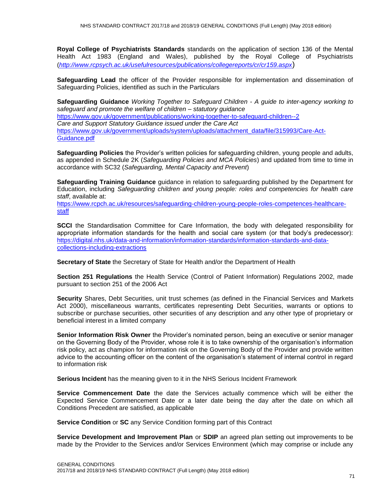**Royal College of Psychiatrists Standards** standards on the application of section 136 of the Mental Health Act 1983 (England and Wales), published by the Royal College of Psychiatrists (*<http://www.rcpsych.ac.uk/usefulresources/publications/collegereports/cr/cr159.aspx>*)

**Safeguarding Lead** the officer of the Provider responsible for implementation and dissemination of Safeguarding Policies, identified as such in the Particulars

**Safeguarding Guidance** *Working Together to Safeguard Children - A guide to inter-agency working to safeguard and promote the welfare of children – statutory guidance* <https://www.gov.uk/government/publications/working-together-to-safeguard-children--2> *Care and Support Statutory Guidance issued under the Care Act* [https://www.gov.uk/government/uploads/system/uploads/attachment\\_data/file/315993/Care-Act-](https://www.gov.uk/government/uploads/system/uploads/attachment_data/file/315993/Care-Act-Guidance.pdf)[Guidance.pdf](https://www.gov.uk/government/uploads/system/uploads/attachment_data/file/315993/Care-Act-Guidance.pdf)

**Safeguarding Policies** the Provider's written policies for safeguarding children, young people and adults, as appended in Schedule 2K (*Safeguarding Policies and MCA Policies*) and updated from time to time in accordance with SC32 (*Safeguarding, Mental Capacity and Prevent*)

**Safeguarding Training Guidance** guidance in relation to safeguarding published by the Department for Education, including *Safeguarding children and young people: roles and competencies for health care staff*, available at:

[https://www.rcpch.ac.uk/resources/safeguarding-children-young-people-roles-competences-healthcare](https://www.rcpch.ac.uk/resources/safeguarding-children-young-people-roles-competences-healthcare-staff)[staff](https://www.rcpch.ac.uk/resources/safeguarding-children-young-people-roles-competences-healthcare-staff)

**SCCI** the Standardisation Committee for Care Information, the body with delegated responsibility for appropriate information standards for the health and social care system (or that body's predecessor): [https://digital.nhs.uk/data-and-information/information-standards/information-standards-and-data](https://digital.nhs.uk/data-and-information/information-standards/information-standards-and-data-collections-including-extractions)[collections-including-extractions](https://digital.nhs.uk/data-and-information/information-standards/information-standards-and-data-collections-including-extractions)

**Secretary of State** the Secretary of State for Health and/or the Department of Health

**Section 251 Regulations** the Health Service (Control of Patient Information) Regulations 2002, made pursuant to section 251 of the 2006 Act

**Security** Shares, Debt Securities, unit trust schemes (as defined in the Financial Services and Markets Act 2000), miscellaneous warrants, certificates representing Debt Securities, warrants or options to subscribe or purchase securities, other securities of any description and any other type of proprietary or beneficial interest in a limited company

**Senior Information Risk Owner** the Provider's nominated person, being an executive or senior manager on the Governing Body of the Provider, whose role it is to take ownership of the organisation's information risk policy, act as champion for information risk on the Governing Body of the Provider and provide written advice to the accounting officer on the content of the organisation's statement of internal control in regard to information risk

**Serious Incident** has the meaning given to it in the NHS Serious Incident Framework

**Service Commencement Date** the date the Services actually commence which will be either the Expected Service Commencement Date or a later date being the day after the date on which all Conditions Precedent are satisfied, as applicable

**Service Condition** or **SC** any Service Condition forming part of this Contract

**Service Development and Improvement Plan** or **SDIP** an agreed plan setting out improvements to be made by the Provider to the Services and/or Services Environment (which may comprise or include any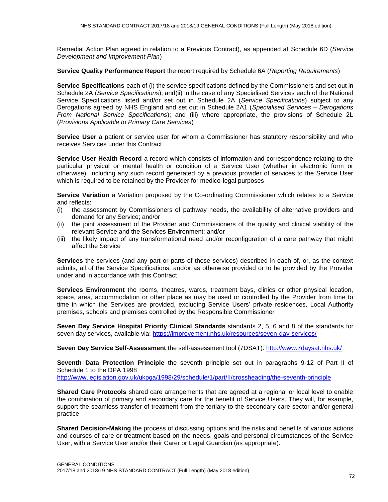Remedial Action Plan agreed in relation to a Previous Contract), as appended at Schedule 6D (*Service Development and Improvement Plan*)

**Service Quality Performance Report** the report required by Schedule 6A (*Reporting Requirements*)

**Service Specifications** each of (i) the service specifications defined by the Commissioners and set out in Schedule 2A (*Service Specifications*); and(ii) in the case of any Specialised Services each of the National Service Specifications listed and/or set out in Schedule 2A (*Service Specifications*) subject to any Derogations agreed by NHS England and set out in Schedule 2A1 (*Specialised Services – Derogations From National Service Specifications*); and (iii) where appropriate, the provisions of Schedule 2L (*Provisions Applicable to Primary Care Services*)

**Service User** a patient or service user for whom a Commissioner has statutory responsibility and who receives Services under this Contract

**Service User Health Record** a record which consists of information and correspondence relating to the particular physical or mental health or condition of a Service User (whether in electronic form or otherwise), including any such record generated by a previous provider of services to the Service User which is required to be retained by the Provider for medico-legal purposes

**Service Variation** a Variation proposed by the Co-ordinating Commissioner which relates to a Service and reflects:

- (i) the assessment by Commissioners of pathway needs, the availability of alternative providers and demand for any Service; and/or
- (ii) the joint assessment of the Provider and Commissioners of the quality and clinical viability of the relevant Service and the Services Environment; and/or
- (iii) the likely impact of any transformational need and/or reconfiguration of a care pathway that might affect the Service

**Services** the services (and any part or parts of those services) described in each of, or, as the context admits, all of the Service Specifications, and/or as otherwise provided or to be provided by the Provider under and in accordance with this Contract

**Services Environment** the rooms, theatres, wards, treatment bays, clinics or other physical location, space, area, accommodation or other place as may be used or controlled by the Provider from time to time in which the Services are provided, excluding Service Users' private residences, Local Authority premises, schools and premises controlled by the Responsible Commissioner

**Seven Day Service Hospital Priority Clinical Standards** standards 2, 5, 6 and 8 of the standards for seven day services, available via: https://improvement.nhs.uk/resources/seven-day-services/

**Seven Day Service Self-Assessment** the self-assessment tool (7DSAT): <http://www.7daysat.nhs.uk/>

**Seventh Data Protection Principle** the seventh principle set out in paragraphs 9-12 of Part II of Schedule 1 to the DPA 1998

<http://www.legislation.gov.uk/ukpga/1998/29/schedule/1/part/II/crossheading/the-seventh-principle>

**Shared Care Protocols** shared care arrangements that are agreed at a regional or local level to enable the combination of primary and secondary care for the benefit of Service Users. They will, for example, support the seamless transfer of treatment from the tertiary to the secondary care sector and/or general practice

**Shared Decision-Making** the process of discussing options and the risks and benefits of various actions and courses of care or treatment based on the needs, goals and personal circumstances of the Service User, with a Service User and/or their Carer or Legal Guardian (as appropriate).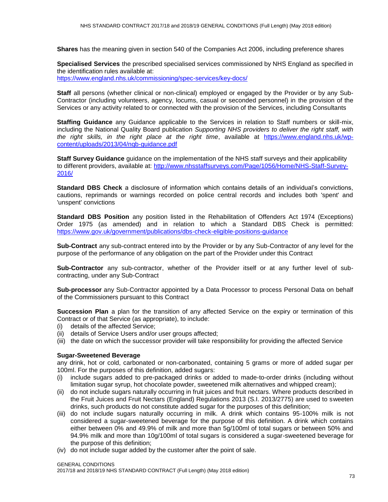**Shares** has the meaning given in section 540 of the Companies Act 2006, including preference shares

**Specialised Services** the prescribed specialised services commissioned by NHS England as specified in the identification rules available at: <https://www.england.nhs.uk/commissioning/spec-services/key-docs/>

**Staff** all persons (whether clinical or non-clinical) employed or engaged by the Provider or by any Sub-Contractor (including volunteers, agency, locums, casual or seconded personnel) in the provision of the Services or any activity related to or connected with the provision of the Services, including Consultants

**Staffing Guidance** any Guidance applicable to the Services in relation to Staff numbers or skill-mix, including the National Quality Board publication *Supporting NHS providers to deliver the right staff, with the right skills, in the right place at the right time*, available at [https://www.england.nhs.uk/wp](https://www.england.nhs.uk/wp-content/uploads/2013/04/nqb-guidance.pdf)[content/uploads/2013/04/nqb-guidance.pdf](https://www.england.nhs.uk/wp-content/uploads/2013/04/nqb-guidance.pdf)

**Staff Survey Guidance** guidance on the implementation of the NHS staff surveys and their applicability to different providers, available at: [http://www.nhsstaffsurveys.com/Page/1056/Home/NHS-Staff-Survey-](http://www.nhsstaffsurveys.com/Page/1056/Home/NHS-Staff-Survey-2016/)[2016/](http://www.nhsstaffsurveys.com/Page/1056/Home/NHS-Staff-Survey-2016/)

**Standard DBS Check** a disclosure of information which contains details of an individual's convictions, cautions, reprimands or warnings recorded on police central records and includes both 'spent' and 'unspent' convictions

**Standard DBS Position** any position listed in the Rehabilitation of Offenders Act 1974 (Exceptions) Order 1975 (as amended) and in relation to which a Standard DBS Check is permitted: https://www.gov.uk/government/publications/dbs-check-eligible-positions-guidance

**Sub-Contract** any sub-contract entered into by the Provider or by any Sub-Contractor of any level for the purpose of the performance of any obligation on the part of the Provider under this Contract

**Sub-Contractor** any sub-contractor, whether of the Provider itself or at any further level of subcontracting, under any Sub-Contract

**Sub-processor** any Sub-Contractor appointed by a Data Processor to process Personal Data on behalf of the Commissioners pursuant to this Contract

**Succession Plan** a plan for the transition of any affected Service on the expiry or termination of this Contract or of that Service (as appropriate), to include:

- (i) details of the affected Service;
- (ii) details of Service Users and/or user groups affected;
- (iii) the date on which the successor provider will take responsibility for providing the affected Service

## **Sugar-Sweetened Beverage**

any drink, hot or cold, carbonated or non-carbonated, containing 5 grams or more of added sugar per 100ml. For the purposes of this definition, added sugars:

- (i) include sugars added to pre-packaged drinks or added to made-to-order drinks (including without limitation sugar syrup, hot chocolate powder, sweetened milk alternatives and whipped cream);
- (ii) do not include sugars naturally occurring in fruit juices and fruit nectars. Where products described in the Fruit Juices and Fruit Nectars (England) Regulations 2013 (S.I. 2013/2775) are used to sweeten drinks, such products do not constitute added sugar for the purposes of this definition;
- (iii) do not include sugars naturally occurring in milk. A drink which contains 95-100% milk is not considered a sugar-sweetened beverage for the purpose of this definition. A drink which contains either between 0% and 49.9% of milk and more than 5g/100ml of total sugars or between 50% and 94.9% milk and more than 10g/100ml of total sugars is considered a sugar-sweetened beverage for the purpose of this definition;
- (iv) do not include sugar added by the customer after the point of sale.

GENERAL CONDITIONS

2017/18 and 2018/19 NHS STANDARD CONTRACT (Full Length) (May 2018 edition)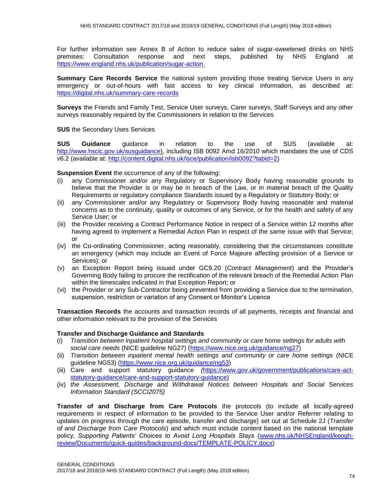For further information see Annex B of Action to reduce sales of sugar-sweetened drinks on NHS premises: Consultation response and next steps, published by NHS England at [https://www.england.nhs.uk/publication/sugar-action.](https://www.england.nhs.uk/publication/sugar-action)

**Summary Care Records Service** the national system providing those treating Service Users in any emergency or out-of-hours with fast access to key clinical information, as described at: <https://digital.nhs.uk/summary-care-records>

**Surveys** the Friends and Family Test, Service User surveys, Carer surveys, Staff Surveys and any other surveys reasonably required by the Commissioners in relation to the Services

**SUS** the Secondary Uses Services

**SUS Guidance** guidance in relation to the use of SUS (available at: [http://www.hscic.gov.uk/susguidance\)](http://www.hscic.gov.uk/susguidance), including ISB 0092 Amd 16/2010 which mandates the use of CDS v6.2 (available at: [http://content.digital.nhs.uk/isce/publication/isb0092?tabid=2\)](http://content.digital.nhs.uk/isce/publication/isb0092?tabid=2)

**Suspension Event** the occurrence of any of the following:

- (i) any Commissioner and/or any Regulatory or Supervisory Body having reasonable grounds to believe that the Provider is or may be in breach of the Law, or in material breach of the Quality Requirements or regulatory compliance Standards issued by a Regulatory or Statutory Body; or
- (ii) any Commissioner and/or any Regulatory or Supervisory Body having reasonable and material concerns as to the continuity, quality or outcomes of any Service, or for the health and safety of any Service User; or
- (iii) the Provider receiving a Contract Performance Notice in respect of a Service within 12 months after having agreed to implement a Remedial Action Plan in respect of the same issue with that Service; or
- (iv) the Co-ordinating Commissioner, acting reasonably, considering that the circumstances constitute an emergency (which may include an Event of Force Majeure affecting provision of a Service or Services); or
- (v) an Exception Report being issued under GC9.20 (*Contract Management*) and the Provider's Governing Body failing to procure the rectification of the relevant breach of the Remedial Action Plan within the timescales indicated in that Exception Report; or
- (vi) the Provider or any Sub-Contractor being prevented from providing a Service due to the termination, suspension, restriction or variation of any Consent or Monitor's Licence

**Transaction Records** the accounts and transaction records of all payments, receipts and financial and other information relevant to the provision of the Services

## **Transfer and Discharge Guidance and Standards**

- (i) *Transition between inpatient hospital settings and community or care home settings for adults with social care needs* (NICE guideline NG27) [\(https://www.nice.org.uk/guidance/ng27\)](https://www.nice.org.uk/guidance/ng27)
- (ii) *Transition between inpatient mental health settings and community or care home settings* (NICE guideline NG53) [\(https://www.nice.org.uk/guidance/ng53\)](https://www.nice.org.uk/guidance/ng53)
- (iii) Care and support statutory guidance *(*[https://www.gov.uk/government/publications/care-act](https://www.gov.uk/government/publications/care-act-statutory-guidance/care-and-support-statutory-guidance)[statutory-guidance/care-and-support-statutory-guidance\)](https://www.gov.uk/government/publications/care-act-statutory-guidance/care-and-support-statutory-guidance)
- (iv) *the Assessment, Discharge and Withdrawal Notices between Hospitals and Social Services Information Standard (SCCI2075)*

**Transfer of and Discharge from Care Protocols** the protocols (to include all locally-agreed requirements in respect of information to be provided to the Service User and/or Referrer relating to updates on progress through the care episode, transfer and discharge) set out at Schedule 2J (*Transfer of and Discharge from Care Protocols*) and which must include content based on the national template policy, *Supporting Patients' Choices to Avoid Long Hospitals Stays* [\(www.nhs.uk/NHSEngland/keogh](http://www.nhs.uk/NHSEngland/keogh-review/Documents/quick-guides/background-docs/TEMPLATE-POLICY.docx)[review/Documents/quick-guides/background-docs/TEMPLATE-POLICY.docx\)](http://www.nhs.uk/NHSEngland/keogh-review/Documents/quick-guides/background-docs/TEMPLATE-POLICY.docx)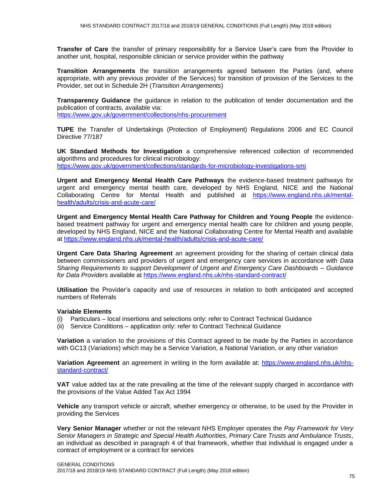**Transfer of Care** the transfer of primary responsibility for a Service User's care from the Provider to another unit, hospital, responsible clinician or service provider within the pathway

**Transition Arrangements** the transition arrangements agreed between the Parties (and, where appropriate, with any previous provider of the Services) for transition of provision of the Services to the Provider, set out in Schedule 2H (*Transition Arrangements*)

**Transparency Guidance** the guidance in relation to the publication of tender documentation and the publication of contracts, available via:

<https://www.gov.uk/government/collections/nhs-procurement>

**TUPE** the Transfer of Undertakings (Protection of Employment) Regulations 2006 and EC Council Directive 77/187

**UK Standard Methods for Investigation** a comprehensive referenced collection of recommended algorithms and procedures for clinical microbiology: <https://www.gov.uk/government/collections/standards-for-microbiology-investigations-smi>

**Urgent and Emergency Mental Health Care Pathways** the evidence-based treatment pathways for urgent and emergency mental health care, developed by NHS England, NICE and the National Collaborating Centre for Mental Health and published at [https://www.england.nhs.uk/mental](https://www.england.nhs.uk/mental-health/adults/crisis-and-acute-care/)[health/adults/crisis-and-acute-care/](https://www.england.nhs.uk/mental-health/adults/crisis-and-acute-care/)

**Urgent and Emergency Mental Health Care Pathway for Children and Young People** the evidencebased treatment pathway for urgent and emergency mental health care for children and young people, developed by NHS England, NICE and the National Collaborating Centre for Mental Health and available at<https://www.england.nhs.uk/mental-health/adults/crisis-and-acute-care/>

**Urgent Care Data Sharing Agreement** an agreement providing for the sharing of certain clinical data between commissioners and providers of urgent and emergency care services in accordance with *Data Sharing Requirements to support Development of Urgent and Emergency Care Dashboards – Guidance for Data Providers* available at<https://www.england.nhs.uk/nhs-standard-contract/>

**Utilisation** the Provider's capacity and use of resources in relation to both anticipated and accepted numbers of Referrals

## **Variable Elements**

- (i) Particulars local insertions and selections only: refer to Contract Technical Guidance
- (ii) Service Conditions application only: refer to Contract Technical Guidance

**Variation** a variation to the provisions of this Contract agreed to be made by the Parties in accordance with GC13 (*Variations*) which may be a Service Variation, a National Variation, or any other variation

**Variation Agreement** an agreement in writing in the form available at: [https://www.england.nhs.uk/nhs](https://www.england.nhs.uk/nhs-standard-contract/)[standard-contract/](https://www.england.nhs.uk/nhs-standard-contract/)

**VAT** value added tax at the rate prevailing at the time of the relevant supply charged in accordance with the provisions of the Value Added Tax Act 1994

**Vehicle** any transport vehicle or aircraft, whether emergency or otherwise, to be used by the Provider in providing the Services

**Very Senior Manager** whether or not the relevant NHS Employer operates the *Pay Framework for Very Senior Managers in Strategic and Special Health Authorities, Primary Care Trusts and Ambulance Trusts*, an individual as described in paragraph 4 of that framework, whether that individual is engaged under a contract of employment or a contract for services